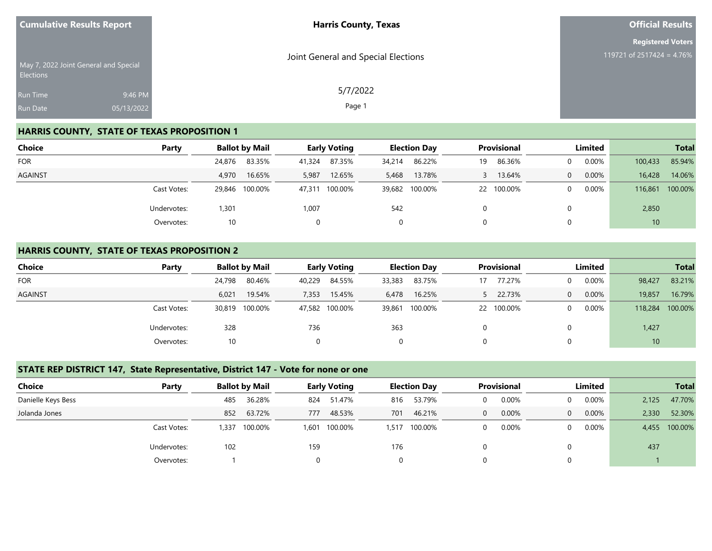|                  | <b>Cumulative Results Report</b>      | <b>Harris County, Texas</b>         | <b>Official Results</b>   |
|------------------|---------------------------------------|-------------------------------------|---------------------------|
|                  |                                       |                                     | <b>Registered Voters</b>  |
| <b>Elections</b> | May 7, 2022 Joint General and Special | Joint General and Special Elections | 119721 of 2517424 = 4.76% |
| <b>Run Time</b>  | 9:46 PM                               | 5/7/2022                            |                           |
| <b>Run Date</b>  | 05/13/2022                            | Page 1                              |                           |

#### **HARRIS COUNTY, STATE OF TEXAS PROPOSITION 1**

| <b>Choice</b>  | Party       |        | <b>Ballot by Mail</b> |        | <b>Early Voting</b> |        | <b>Election Day</b> |    | Provisional |          | Limited  |         | <b>Total</b> |
|----------------|-------------|--------|-----------------------|--------|---------------------|--------|---------------------|----|-------------|----------|----------|---------|--------------|
| <b>FOR</b>     |             | 24,876 | 83.35%                | 41,324 | 87.35%              | 34,214 | 86.22%              | 19 | 86.36%      | $\Omega$ | 0.00%    | 100,433 | 85.94%       |
| <b>AGAINST</b> |             | 4,970  | 16.65%                | 5,987  | 12.65%              | 5,468  | 13.78%              |    | 13.64%      | $\Omega$ | 0.00%    | 16,428  | 14.06%       |
|                | Cast Votes: | 29,846 | 100.00%               |        | 47,311 100.00%      |        | 39,682 100.00%      | 22 | 100.00%     | $\Omega$ | $0.00\%$ | 116,861 | 100.00%      |
|                | Undervotes: | 301,ا  |                       | 1,007  |                     | 542    |                     |    |             | 0        |          | 2,850   |              |
|                | Overvotes:  | 10     |                       |        |                     | 0      |                     |    |             | 0        |          | 10      |              |

#### **HARRIS COUNTY, STATE OF TEXAS PROPOSITION 2**

| <b>Choice</b>  | Party       |        | <b>Ballot by Mail</b> |        | <b>Early Voting</b> |        | <b>Election Day</b> | <b>Provisional</b> |            | Limited  |          | <b>Total</b> |         |
|----------------|-------------|--------|-----------------------|--------|---------------------|--------|---------------------|--------------------|------------|----------|----------|--------------|---------|
| <b>FOR</b>     |             | 24,798 | 80.46%                | 40,229 | 84.55%              | 33,383 | 83.75%              | 17                 | 77.27%     | $\Omega$ | $0.00\%$ | 98,427       | 83.21%  |
| <b>AGAINST</b> |             | 6,021  | 19.54%                | 7,353  | 15.45%              | 6,478  | 16.25%              |                    | 22.73%     | 0        | $0.00\%$ | 19,857       | 16.79%  |
|                | Cast Votes: |        | 30,819 100.00%        |        | 47,582 100.00%      | 39,861 | 100.00%             |                    | 22 100.00% | $\Omega$ | $0.00\%$ | 118,284      | 100.00% |
|                | Undervotes: | 328    |                       | 736    |                     | 363    |                     |                    |            | 0        |          | 1,427        |         |
|                | Overvotes:  | 10     |                       |        |                     | 0      |                     |                    |            | 0        |          | 10           |         |

#### **STATE REP DISTRICT 147, State Representative, District 147 - Vote for none or one**

| <b>Choice</b>      | Party       |      | <b>Ballot by Mail</b> |       | <b>Early Voting</b> |       | <b>Election Day</b> |              | <b>Provisional</b> |          | Limited |       | <b>Total</b>  |
|--------------------|-------------|------|-----------------------|-------|---------------------|-------|---------------------|--------------|--------------------|----------|---------|-------|---------------|
| Danielle Keys Bess |             | 485  | 36.28%                | 824   | 51.47%              | 816   | 53.79%              | $\Omega$     | 0.00%              |          | 0.00%   | 2,125 | 47.70%        |
| Jolanda Jones      |             | 852  | 63.72%                | 777   | 48.53%              | 701   | 46.21%              | $\mathbf{0}$ | 0.00%              | $\theta$ | 0.00%   | 2,330 | 52.30%        |
|                    | Cast Votes: | .337 | 100.00%               | 1,601 | 100.00%             | 1,517 | 100.00%             | $\Omega$     | 0.00%              |          | 0.00%   |       | 4,455 100.00% |
|                    | Undervotes: | 102  |                       | 159   |                     | 176   |                     |              |                    |          |         | 437   |               |
|                    | Overvotes:  |      |                       |       |                     | 0     |                     | $\Omega$     |                    |          |         |       |               |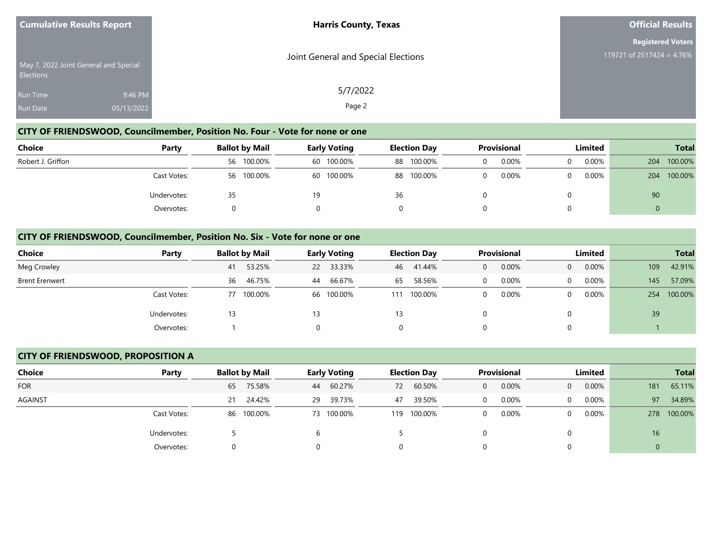| <b>Cumulative Results Report</b> |                                       | <b>Harris County, Texas</b>         | <b>Official Results</b>   |
|----------------------------------|---------------------------------------|-------------------------------------|---------------------------|
|                                  |                                       |                                     | <b>Registered Voters</b>  |
| <b>Elections</b>                 | May 7, 2022 Joint General and Special | Joint General and Special Elections | 119721 of 2517424 = 4.76% |
| Run Time                         | 9:46 PM                               | 5/7/2022                            |                           |
| <b>Run Date</b>                  | 05/13/2022                            | Page 2                              |                           |

#### **CITY OF FRIENDSWOOD, Councilmember, Position No. Four - Vote for none or one**

| Choice            | Party       |    | <b>Ballot by Mail</b> |    | <b>Early Voting</b> |    | <b>Election Day</b> |  | <b>Provisional</b> |          | Limited  |     | <b>Total</b> |
|-------------------|-------------|----|-----------------------|----|---------------------|----|---------------------|--|--------------------|----------|----------|-----|--------------|
| Robert J. Griffon |             |    | 56 100.00%            |    | 60 100.00%          |    | 88 100.00%          |  | $0.00\%$           | $\Omega$ | 0.00%    | 204 | 100.00%      |
|                   | Cast Votes: |    | 56 100.00%            |    | 60 100.00%          |    | 88 100.00%          |  | 0.00%              | 0        | $0.00\%$ | 204 | 100.00%      |
|                   | Undervotes: | 35 |                       | 19 |                     | 36 |                     |  |                    |          |          | 90  |              |
|                   | Overvotes:  |    |                       |    |                     |    |                     |  |                    |          |          |     |              |

#### **CITY OF FRIENDSWOOD, Councilmember, Position No. Six - Vote for none or one**

| <b>Choice</b><br>Party |    | <b>Ballot by Mail</b> |    | <b>Early Voting</b> |                | <b>Election Day</b> |   | <b>Provisional</b> |          | Limited  |     | <b>Total</b> |
|------------------------|----|-----------------------|----|---------------------|----------------|---------------------|---|--------------------|----------|----------|-----|--------------|
| Meg Crowley            | 41 | 53.25%                |    | 22 33.33%           | 46             | 41.44%              | 0 | 0.00%              | $\Omega$ | $0.00\%$ | 109 | 42.91%       |
| <b>Brent Erenwert</b>  |    | 46.75%<br>36          | 44 | 66.67%              | 65             | 58.56%              |   | 0.00%              | $\Omega$ | 0.00%    | 145 | 57.09%       |
| Cast Votes:            |    | 100.00%<br>77         |    | 66 100.00%          | 111            | 100.00%             |   | 0.00%              | $\Omega$ | $0.00\%$ | 254 | 100.00%      |
| Undervotes:            | 13 |                       | 13 |                     | 13             |                     |   |                    | 0        |          | 39  |              |
| Overvotes:             |    |                       |    |                     | $\overline{0}$ |                     |   |                    | 0        |          |     |              |

#### **CITY OF FRIENDSWOOD, PROPOSITION A**

| <b>Choice</b>  | Party       |    | <b>Ballot by Mail</b> |    | <b>Early Voting</b> |     | <b>Election Day</b> |   | <b>Provisional</b> |              | Limited  |     | <b>Total</b> |
|----------------|-------------|----|-----------------------|----|---------------------|-----|---------------------|---|--------------------|--------------|----------|-----|--------------|
| <b>FOR</b>     |             | 65 | 75.58%                | 44 | 60.27%              | 72  | 60.50%              | 0 | 0.00%              | $\mathbf{0}$ | 0.00%    | 181 | 65.11%       |
| <b>AGAINST</b> |             | 21 | 24.42%                | 29 | 39.73%              | 47  | 39.50%              |   | 0.00%              | $\Omega$     | $0.00\%$ | 97  | 34.89%       |
|                | Cast Votes: |    | 86 100.00%            |    | 73 100.00%          | 119 | 100.00%             |   | 0.00%              | $\Omega$     | $0.00\%$ | 278 | 100.00%      |
|                | Undervotes: |    |                       |    |                     |     |                     |   |                    | $\Omega$     |          | 16  |              |
|                | Overvotes:  | 0  |                       |    |                     |     |                     |   |                    | $\Omega$     |          | 0   |              |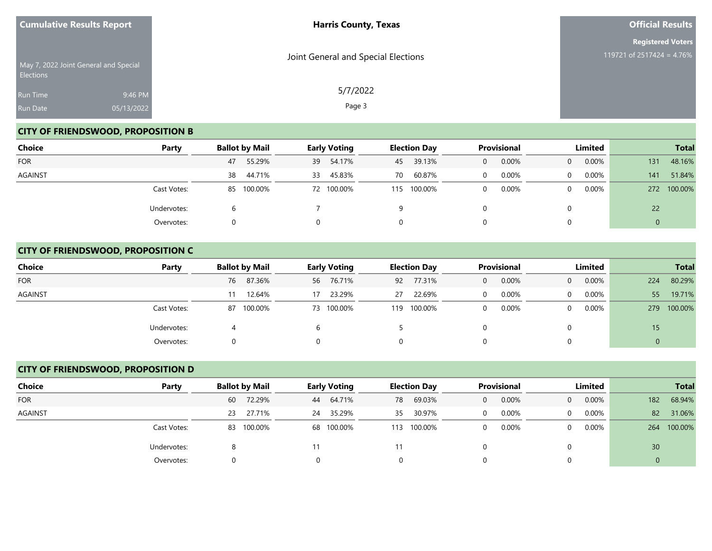|                  | <b>Cumulative Results Report</b>      | <b>Harris County, Texas</b>         | <b>Official Results</b>   |
|------------------|---------------------------------------|-------------------------------------|---------------------------|
|                  |                                       |                                     | <b>Registered Voters</b>  |
| <b>Elections</b> | May 7, 2022 Joint General and Special | Joint General and Special Elections | 119721 of 2517424 = 4.76% |
| <b>Run Time</b>  | 9:46 PM                               | 5/7/2022                            |                           |
| Run Date         | 05/13/2022                            | Page 3                              |                           |

# **CITY OF FRIENDSWOOD, PROPOSITION B**

| Choice     | Party       | <b>Ballot by Mail</b> | <b>Early Voting</b> | <b>Election Day</b> | <b>Provisional</b> | Limited                  | <b>Total</b>   |
|------------|-------------|-----------------------|---------------------|---------------------|--------------------|--------------------------|----------------|
| <b>FOR</b> |             | 55.29%<br>47          | 54.17%<br>39        | 39.13%<br>45        | 0.00%<br>0         | 0.00%<br>$\mathbf{0}$    | 48.16%<br>131  |
| AGAINST    |             | 44.71%<br>38          | 45.83%<br>33        | 60.87%<br>70        | 0.00%<br>$\Omega$  | $0.00\%$<br>$\mathbf{0}$ | 51.84%<br>141  |
|            | Cast Votes: | 85 100.00%            | 72 100.00%          | 100.00%<br>115      | 0.00%<br>0         | $0.00\%$<br>$\Omega$     | 100.00%<br>272 |
|            | Undervotes: | h                     |                     | 9                   |                    | $\Omega$                 | 22             |
|            | Overvotes:  |                       |                     | 0                   |                    | $\Omega$                 | Ü              |

## **CITY OF FRIENDSWOOD, PROPOSITION C**

| <b>Choice</b> | Party       | <b>Ballot by Mail</b> | <b>Early Voting</b> | <b>Election Day</b> | <b>Provisional</b> | Limited                    | <b>Total</b>   |
|---------------|-------------|-----------------------|---------------------|---------------------|--------------------|----------------------------|----------------|
| <b>FOR</b>    |             | 87.36%<br>76          | 56 76.71%           | 77.31%<br>92        | 0.00%<br>0         | $0.00\%$<br>$\overline{0}$ | 80.29%<br>224  |
| AGAINST       |             | 12.64%                | 23.29%<br>17        | 22.69%<br>27        | 0.00%<br>0         | $0.00\%$<br>$\overline{0}$ | 19.71%<br>55   |
|               | Cast Votes: | 100.00%<br>87         | 73 100.00%          | 100.00%<br>119      | 0.00%<br>0         | $0.00\%$<br>$\Omega$       | 100.00%<br>279 |
|               | Undervotes: |                       |                     |                     |                    |                            | 15             |
|               | Overvotes:  |                       |                     |                     |                    |                            | 0              |

## **CITY OF FRIENDSWOOD, PROPOSITION D**

| Choice         | Party       | <b>Ballot by Mail</b> | <b>Early Voting</b> | <b>Election Day</b> | <b>Provisional</b> | Limited                 | <b>Total</b>    |
|----------------|-------------|-----------------------|---------------------|---------------------|--------------------|-------------------------|-----------------|
| <b>FOR</b>     |             | 72.29%<br>60          | 64.71%<br>44        | 69.03%<br>78        | 0.00%<br>$\Omega$  | 0.00%<br>$\overline{0}$ | 68.94%<br>182   |
| <b>AGAINST</b> |             | 27.71%<br>23          | 35.29%<br>24        | 30.97%<br>35        | 0.00%              | 0.00%<br>$\Omega$       | 31.06%<br>82    |
|                | Cast Votes: | 100.00%<br>83         | 68 100.00%          | 100.00%<br>113      | 0.00%<br>$\Omega$  | 0.00%<br>0              | 100.00%<br>264  |
|                | Undervotes: |                       | 11                  |                     |                    |                         | 30 <sup>°</sup> |
|                | Overvotes:  | 0                     |                     |                     |                    |                         | $\mathbf 0$     |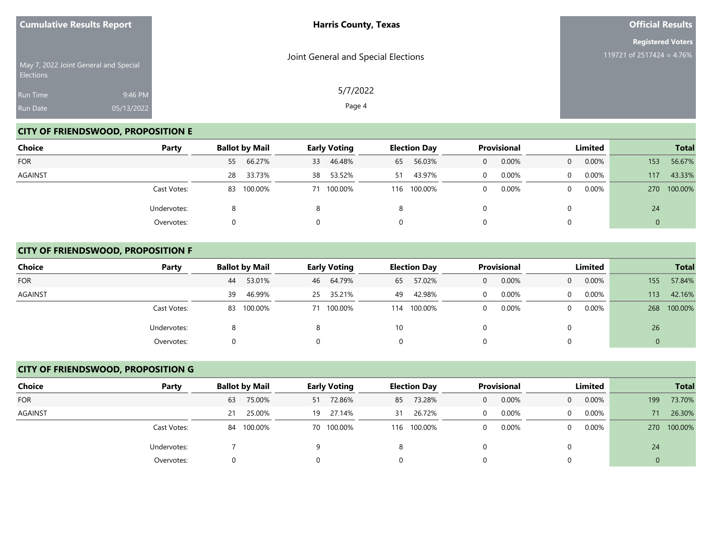| <b>Cumulative Results Report</b> |                                       | <b>Harris County, Texas</b>         | <b>Official Results</b>   |
|----------------------------------|---------------------------------------|-------------------------------------|---------------------------|
|                                  |                                       |                                     | <b>Registered Voters</b>  |
| <b>Elections</b>                 | May 7, 2022 Joint General and Special | Joint General and Special Elections | 119721 of 2517424 = 4.76% |
| <b>Run Time</b>                  | 9:46 PM                               | 5/7/2022                            |                           |
| Run Date                         | 05/13/2022                            | Page 4                              |                           |

# **CITY OF FRIENDSWOOD, PROPOSITION E**

| <b>Choice</b>  | Party       |    | <b>Ballot by Mail</b> |    | <b>Early Voting</b> |    | <b>Election Day</b> |   | <b>Provisional</b> |                | Limited  |            | <b>Total</b> |
|----------------|-------------|----|-----------------------|----|---------------------|----|---------------------|---|--------------------|----------------|----------|------------|--------------|
| <b>FOR</b>     |             | 55 | 66.27%                | 33 | 46.48%              | 65 | 56.03%              | 0 | 0.00%              | $\overline{0}$ | 0.00%    | 153        | 56.67%       |
| <b>AGAINST</b> |             | 28 | 33.73%                | 38 | 53.52%              | 51 | 43.97%              | 0 | 0.00%              | $\mathbf{0}$   | $0.00\%$ | 117        | 43.33%       |
|                | Cast Votes: |    | 83 100.00%            |    | 71 100.00%          |    | 116 100.00%         | 0 | 0.00%              | $\Omega$       | $0.00\%$ | <b>270</b> | 100.00%      |
|                | Undervotes: |    |                       |    |                     | 8  |                     |   |                    | $\Omega$       |          | 24         |              |
|                | Overvotes:  |    |                       |    |                     | 0  |                     |   |                    | $\Omega$       |          |            |              |

## **CITY OF FRIENDSWOOD, PROPOSITION F**

| <b>Choice</b> | Party       | <b>Ballot by Mail</b> | <b>Early Voting</b> | <b>Election Day</b> | <b>Provisional</b> | Limited                    | <b>Total</b>   |
|---------------|-------------|-----------------------|---------------------|---------------------|--------------------|----------------------------|----------------|
| <b>FOR</b>    |             | 53.01%<br>44          | 46 64.79%           | 57.02%<br>65        | 0.00%<br>0         | $0.00\%$<br>$\overline{0}$ | 57.84%<br>155  |
| AGAINST       |             | 46.99%<br>39          | 35.21%<br>25        | 42.98%<br>49        | 0.00%<br>0         | $0.00\%$<br>$\mathbf{0}$   | 42.16%<br>113  |
|               | Cast Votes: | 83 100.00%            | 71 100.00%          | 100.00%<br>114      | 0.00%<br>0         | $0.00\%$<br>0              | 100.00%<br>268 |
|               | Undervotes: |                       |                     | 10                  |                    |                            | 26             |
|               | Overvotes:  |                       |                     |                     |                    |                            | 0              |

## **CITY OF FRIENDSWOOD, PROPOSITION G**

| Choice         | Party       | <b>Ballot by Mail</b> |    | <b>Early Voting</b> |    | <b>Election Day</b> |          | <b>Provisional</b> |                | Limited |             | <b>Total</b> |
|----------------|-------------|-----------------------|----|---------------------|----|---------------------|----------|--------------------|----------------|---------|-------------|--------------|
| <b>FOR</b>     |             | 75.00%<br>63          | 51 | 72.86%              |    | 85 73.28%           | $\Omega$ | 0.00%              | $\overline{0}$ | 0.00%   | 199         | 73.70%       |
| <b>AGAINST</b> |             | 25.00%<br>21          |    | 19 27.14%           | 31 | 26.72%              |          | 0.00%              | $\Omega$       | 0.00%   | 71          | 26.30%       |
|                | Cast Votes: | 100.00%<br>84         |    | 70 100.00%          |    | 116 100.00%         | $\Omega$ | 0.00%              | $\Omega$       | 0.00%   | <b>270</b>  | 100.00%      |
|                | Undervotes: |                       |    |                     |    |                     |          |                    |                |         | 24          |              |
|                | Overvotes:  | 0                     |    |                     |    |                     |          |                    |                |         | $\mathbf 0$ |              |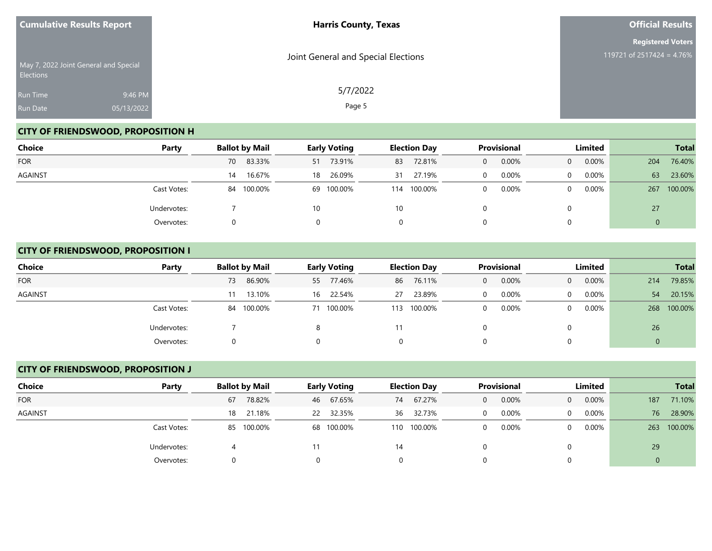| <b>Cumulative Results Report</b>                          |            | <b>Harris County, Texas</b>         | <b>Official Results</b>   |
|-----------------------------------------------------------|------------|-------------------------------------|---------------------------|
|                                                           |            |                                     | <b>Registered Voters</b>  |
| May 7, 2022 Joint General and Special<br><b>Elections</b> |            | Joint General and Special Elections | 119721 of 2517424 = 4.76% |
| <b>Run Time</b>                                           | 9:46 PM    | 5/7/2022                            |                           |
| Run Date                                                  | 05/13/2022 | Page 5                              |                           |

# **CITY OF FRIENDSWOOD, PROPOSITION H**

| Choice     | Party       | <b>Ballot by Mail</b> | <b>Early Voting</b> | <b>Election Day</b> | <b>Provisional</b> | Limited                  | <b>Total</b>   |
|------------|-------------|-----------------------|---------------------|---------------------|--------------------|--------------------------|----------------|
| <b>FOR</b> |             | 83.33%<br>70          | 73.91%<br>51        | 72.81%<br>83        | 0.00%<br>0         | 0.00%<br>$\mathbf{0}$    | 76.40%<br>204  |
| AGAINST    |             | 16.67%<br>14          | 26.09%<br>18        | 27.19%<br>31        | 0.00%<br>$\Omega$  | $0.00\%$<br>$\mathbf{0}$ | 63<br>23.60%   |
|            | Cast Votes: | 84 100.00%            | 69 100.00%          | 100.00%<br>114      | 0.00%<br>0         | $0.00\%$<br>$\Omega$     | 100.00%<br>267 |
|            | Undervotes: |                       | 10                  | 10                  |                    | $\Omega$                 | 27             |
|            | Overvotes:  |                       |                     | 0                   |                    | $\Omega$                 | $\mathbf{0}$   |

## **CITY OF FRIENDSWOOD, PROPOSITION I**

| <b>Choice</b>  | Party       | <b>Ballot by Mail</b> | <b>Early Voting</b> | <b>Election Day</b> | <b>Provisional</b> | Limited                    | <b>Total</b>   |
|----------------|-------------|-----------------------|---------------------|---------------------|--------------------|----------------------------|----------------|
| <b>FOR</b>     |             | 86.90%<br>73          | 55 77.46%           | 76.11%<br>86        | 0.00%<br>0         | $0.00\%$<br>$\overline{0}$ | 79.85%<br>214  |
| <b>AGAINST</b> |             | 13.10%<br>11          | 22.54%<br>16        | 23.89%<br>27        | 0.00%<br>0         | $0.00\%$<br>$\overline{0}$ | 20.15%<br>54   |
|                | Cast Votes: | 84 100.00%            | 71 100.00%          | 100.00%<br>113      | 0.00%<br>0         | $0.00\%$<br>$\Omega$       | 100.00%<br>268 |
|                | Undervotes: |                       |                     | 11                  |                    |                            | 26             |
|                | Overvotes:  |                       |                     | 0                   |                    |                            | 0              |

## **CITY OF FRIENDSWOOD, PROPOSITION J**

| Choice         | Party       | <b>Ballot by Mail</b> | <b>Early Voting</b> | <b>Election Day</b> | <b>Provisional</b> | Limited                 | <b>Total</b>   |
|----------------|-------------|-----------------------|---------------------|---------------------|--------------------|-------------------------|----------------|
| <b>FOR</b>     |             | 78.82%<br>67          | 67.65%<br>46        | 67.27%<br>74        | 0.00%<br>$\Omega$  | 0.00%<br>$\overline{0}$ | 71.10%<br>187  |
| <b>AGAINST</b> |             | 21.18%<br>18          | 22 32.35%           | 36 32.73%           | 0.00%              | 0.00%<br>$\Omega$       | 28.90%<br>76   |
|                | Cast Votes: | 100.00%<br>85         | 68 100.00%          | 100.00%<br>110      | 0.00%<br>$\Omega$  | 0.00%<br>0              | 100.00%<br>263 |
|                | Undervotes: | 4                     | 11                  | 14                  |                    |                         | 29             |
|                | Overvotes:  | 0                     |                     |                     |                    |                         | $\mathbf 0$    |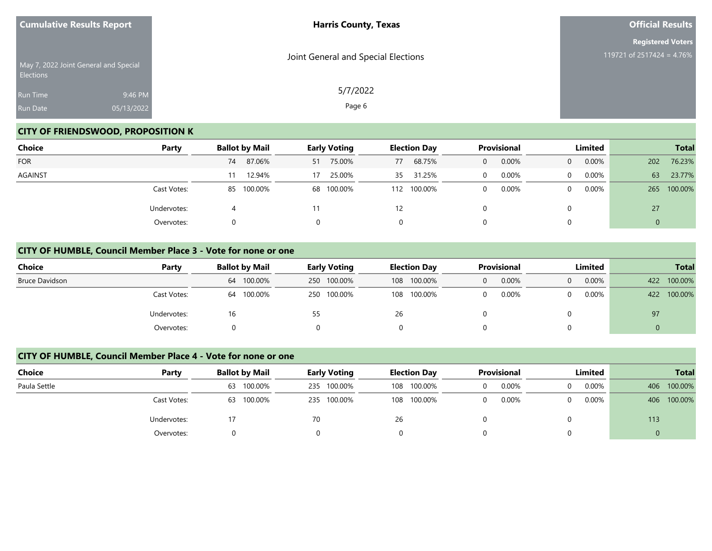| <b>Cumulative Results Report</b> |                                       | <b>Harris County, Texas</b>         | <b>Official Results</b>   |
|----------------------------------|---------------------------------------|-------------------------------------|---------------------------|
|                                  |                                       |                                     | <b>Registered Voters</b>  |
| <b>Elections</b>                 | May 7, 2022 Joint General and Special | Joint General and Special Elections | 119721 of 2517424 = 4.76% |
| <b>Run Time</b>                  | 9:46 PM                               | 5/7/2022                            |                           |
| Run Date                         | 05/13/2022                            | Page 6                              |                           |

# **CITY OF FRIENDSWOOD, PROPOSITION K**

| Choice     | Party       | <b>Ballot by Mail</b> | <b>Early Voting</b> | <b>Election Day</b> | Provisional           | Limited              | <b>Total</b>   |
|------------|-------------|-----------------------|---------------------|---------------------|-----------------------|----------------------|----------------|
| <b>FOR</b> |             | 87.06%<br>74          | 75.00%<br>51        | 68.75%<br>77        | 0.00%<br>$\mathbf{0}$ | 0.00%<br>$\Omega$    | 76.23%<br>202  |
| AGAINST    |             | 12.94%                | 25.00%<br>17        | 31.25%<br>35        | $0.00\%$<br>0         | $0.00\%$<br>$\Omega$ | 63<br>23.77%   |
|            | Cast Votes: | 85 100.00%            | 68 100.00%          | 100.00%<br>112      | 0.00%<br>0            | $0.00\%$<br>$\Omega$ | 100.00%<br>265 |
|            | Undervotes: |                       | 11                  | 12                  |                       |                      | 27             |
|            | Overvotes:  | 0                     | 0                   | 0                   |                       |                      | 0              |

#### **CITY OF HUMBLE, Council Member Place 3 - Vote for none or one**

| Choice                | Party       | <b>Ballot by Mail</b> | <b>Early Voting</b> | <b>Election Day</b> | Provisional           | Limited           | <b>Total</b>   |
|-----------------------|-------------|-----------------------|---------------------|---------------------|-----------------------|-------------------|----------------|
| <b>Bruce Davidson</b> |             | 100.00%<br>64         | 250 100.00%         | 108 100.00%         | 0.00%<br>$\mathbf{0}$ | 0.00%<br>$\Omega$ | 100.00%<br>422 |
|                       | Cast Votes: | 100.00%<br>64         | 250 100.00%         | 108 100.00%         | 0.00%<br>0            | $0.00\%$          | 100.00%<br>422 |
|                       | Undervotes: | 16                    | 55                  | 26                  |                       |                   | 97             |
|                       | Overvotes:  |                       |                     |                     |                       |                   | 0              |

#### **CITY OF HUMBLE, Council Member Place 4 - Vote for none or one**

| <b>Choice</b> | Party       | <b>Ballot by Mail</b> | <b>Early Voting</b> | <b>Election Day</b> | <b>Provisional</b> | <b>Limited</b> | <b>Total</b>   |
|---------------|-------------|-----------------------|---------------------|---------------------|--------------------|----------------|----------------|
| Paula Settle  |             | 100.00%<br>63         | 235 100.00%         | 100.00%<br>108      | 0.00%              | 0.00%<br>0     | 100.00%<br>406 |
|               | Cast Votes: | 100.00%<br>63         | 235 100.00%         | 108 100.00%         | 0.00%              | $0.00\%$<br>0  | 100.00%<br>406 |
|               | Undervotes: |                       | 70                  | 26                  |                    |                | 113            |
|               | Overvotes:  |                       |                     |                     |                    |                | U              |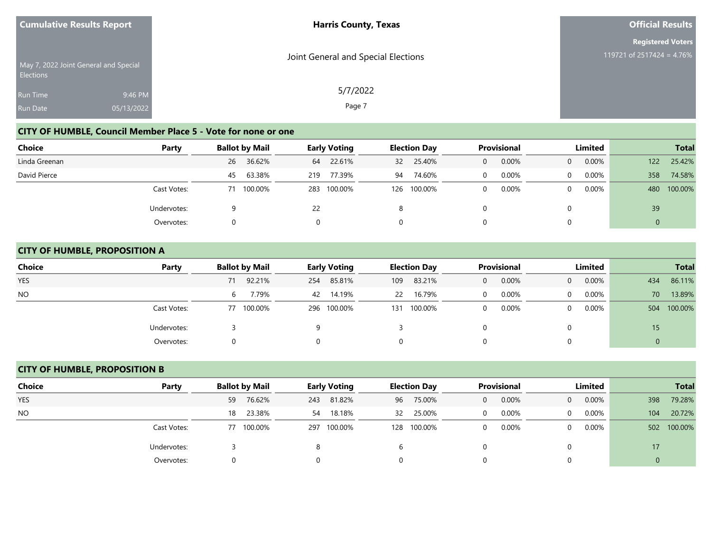| <b>Cumulative Results Report</b> |                                       | <b>Harris County, Texas</b>         | <b>Official Results</b>      |
|----------------------------------|---------------------------------------|-------------------------------------|------------------------------|
|                                  |                                       |                                     | <b>Registered Voters</b>     |
| <b>Elections</b>                 | May 7, 2022 Joint General and Special | Joint General and Special Elections | 119721 of 2517424 = $4.76\%$ |
| <b>Run Time</b>                  | 9:46 PM                               | 5/7/2022                            |                              |
| <b>Run Date</b>                  | 05/13/2022                            | Page 7                              |                              |

# **CITY OF HUMBLE, Council Member Place 5 - Vote for none or one**

| <b>Choice</b> | Party                     | <b>Ballot by Mail</b> |         | <b>Early Voting</b> |         | <b>Election Day</b> |         | <b>Provisional</b> |          | Limited        |          | <b>Total</b> |         |
|---------------|---------------------------|-----------------------|---------|---------------------|---------|---------------------|---------|--------------------|----------|----------------|----------|--------------|---------|
| Linda Greenan |                           | 26                    | 36.62%  | 64                  | 22.61%  | 32                  | 25.40%  | 0                  | 0.00%    | $\overline{0}$ | $0.00\%$ | 122          | 25.42%  |
| David Pierce  |                           | 45                    | 63.38%  | 219                 | 77.39%  | 94                  | 74.60%  |                    | 0.00%    | 0              | $0.00\%$ | 358          | 74.58%  |
|               | Cast Votes:               |                       | 100.00% | 283                 | 100.00% | 126                 | 100.00% |                    | $0.00\%$ | 0              | $0.00\%$ | 480          | 100.00% |
|               | Undervotes:<br>Overvotes: |                       |         | 22                  |         | 8                   |         |                    |          |                |          | 39           |         |
|               |                           |                       |         |                     |         | 0                   |         |                    |          |                |          |              |         |

#### **CITY OF HUMBLE, PROPOSITION A**

| <b>Choice</b> | Party       | <b>Ballot by Mail</b> |         | <b>Early Voting</b> |             |     | <b>Election Day</b> |   | <b>Provisional</b> |          | Limited  | <b>Total</b> |         |
|---------------|-------------|-----------------------|---------|---------------------|-------------|-----|---------------------|---|--------------------|----------|----------|--------------|---------|
| <b>YES</b>    |             | 71                    | 92.21%  | 254                 | 85.81%      | 109 | 83.21%              | 0 | 0.00%              | $\Omega$ | $0.00\%$ | 434          | 86.11%  |
| NO.           |             | 6                     | 7.79%   | 42                  | 14.19%      | 22  | 16.79%              |   | 0.00%              | $\Omega$ | $0.00\%$ | 70           | 13.89%  |
|               | Cast Votes: | 77                    | 100.00% |                     | 296 100.00% | 131 | 100.00%             |   | 0.00%              | $\Omega$ | $0.00\%$ | 504          | 100.00% |
|               | Undervotes: |                       |         | a                   |             |     |                     |   |                    | 0        |          | 15           |         |
|               | Overvotes:  |                       |         |                     |             | 0   |                     |   |                    | 0        |          | 0            |         |

## **CITY OF HUMBLE, PROPOSITION B**

| Choice         | Party       |    | <b>Ballot by Mail</b> |     | <b>Early Voting</b> |    | <b>Election Day</b> |          | <b>Provisional</b> |                | Limited  |     | <b>Total</b> |
|----------------|-------------|----|-----------------------|-----|---------------------|----|---------------------|----------|--------------------|----------------|----------|-----|--------------|
| <b>YES</b>     |             | 59 | 76.62%                | 243 | 81.82%              |    | 96 75.00%           | $\Omega$ | 0.00%              | $\overline{0}$ | $0.00\%$ | 398 | 79.28%       |
| N <sub>O</sub> |             | 18 | 23.38%                | 54  | 18.18%              | 32 | 25.00%              | $\Omega$ | 0.00%              | $\Omega$       | $0.00\%$ | 104 | 20.72%       |
|                | Cast Votes: | 77 | 100.00%               |     | 297 100.00%         |    | 128 100.00%         | $\Omega$ | 0.00%              | $\Omega$       | 0.00%    | 502 | 100.00%      |
|                | Undervotes: |    |                       |     |                     |    |                     |          |                    |                |          | 17  |              |
|                | Overvotes:  |    |                       |     |                     |    |                     |          |                    |                |          |     |              |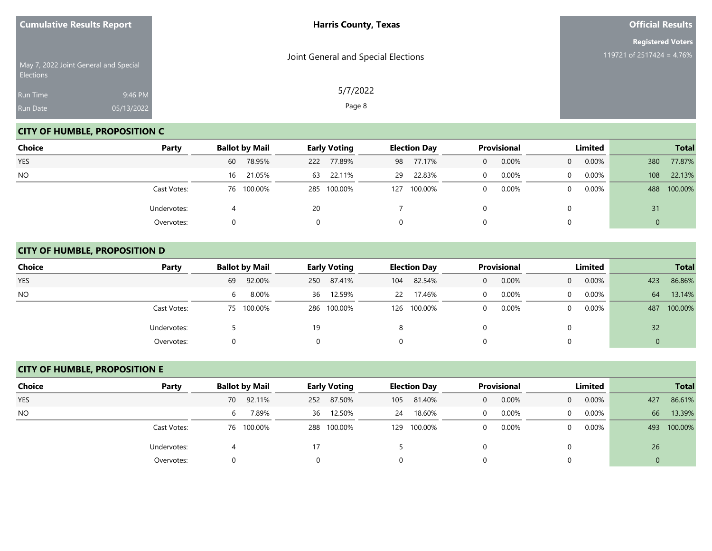| <b>Cumulative Results Report</b>                   |                       | <b>Harris County, Texas</b>         | <b>Official Results</b>                               |
|----------------------------------------------------|-----------------------|-------------------------------------|-------------------------------------------------------|
| May 7, 2022 Joint General and Special<br>Elections |                       | Joint General and Special Elections | <b>Registered Voters</b><br>119721 of 2517424 = 4.76% |
| Run Time<br>Run Date                               | 9:46 PM<br>05/13/2022 | 5/7/2022<br>Page 8                  |                                                       |

# **CITY OF HUMBLE, PROPOSITION C**

| <b>Choice</b> | Party       | <b>Ballot by Mail</b> | <b>Early Voting</b> | <b>Election Day</b> | <b>Provisional</b> | Limited                    | <b>Total</b>   |
|---------------|-------------|-----------------------|---------------------|---------------------|--------------------|----------------------------|----------------|
| <b>YES</b>    |             | 78.95%<br>60          | 77.89%<br>222       | 77.17%<br>98        | 0.00%<br>$\Omega$  | $0.00\%$<br>$\Omega$       | 77.87%<br>380  |
| <b>NO</b>     |             | 21.05%<br>16          | 22.11%<br>63        | 22.83%<br>29        | 0.00%<br>0         | $0.00\%$<br>$\overline{0}$ | 22.13%<br>108  |
|               | Cast Votes: | 76 100.00%            | 285 100.00%         | 100.00%<br>127      | 0.00%<br>$\Omega$  | $0.00\%$<br>$\Omega$       | 100.00%<br>488 |
|               | Undervotes: |                       | <b>20</b>           |                     |                    | $\Omega$                   | 31             |
|               | Overvotes:  |                       |                     | 0                   |                    | 0                          |                |

# **CITY OF HUMBLE, PROPOSITION D**

| <b>Choice</b> | Party       | <b>Ballot by Mail</b> | <b>Early Voting</b> | <b>Election Day</b> | <b>Provisional</b>    | Limited                    | <b>Total</b>   |
|---------------|-------------|-----------------------|---------------------|---------------------|-----------------------|----------------------------|----------------|
| <b>YES</b>    |             | 92.00%<br>69          | 250 87.41%          | 82.54%<br>104       | 0.00%<br>$\mathbf{0}$ | $0.00\%$<br>$\overline{0}$ | 86.86%<br>423  |
| <b>NO</b>     |             | 8.00%<br>6            | 12.59%<br>36        | 17.46%<br>22        | 0.00%                 | $0.00\%$<br>$\overline{0}$ | 13.14%<br>64   |
|               | Cast Votes: | 75 100.00%            | 286 100.00%         | 126 100.00%         | 0.00%                 | $0.00\%$<br>$\overline{0}$ | 100.00%<br>487 |
|               | Undervotes: |                       | 19                  |                     |                       | $\Omega$                   | 32             |
|               | Overvotes:  |                       |                     | 0                   |                       | 0                          |                |

## **CITY OF HUMBLE, PROPOSITION E**

| <b>Choice</b> | Party       | <b>Ballot by Mail</b> | <b>Early Voting</b> | <b>Election Day</b> | Provisional             | Limited                    | <b>Total</b>   |
|---------------|-------------|-----------------------|---------------------|---------------------|-------------------------|----------------------------|----------------|
| <b>YES</b>    |             | 70 92.11%             | 87.50%<br>252       | 81.40%<br>105       | 0.00%<br>$\Omega$       | $0.00\%$<br>$\overline{0}$ | 86.61%<br>427  |
| <b>NO</b>     |             | 7.89%<br>6            | 12.50%<br>36        | 18.60%<br>24        | 0.00%<br>$\overline{0}$ | $0.00\%$<br>0              | 13.39%<br>66   |
|               | Cast Votes: | 76 100.00%            | 288 100.00%         | 100.00%<br>129      | 0.00%<br>$\Omega$       | $0.00\%$<br>0              | 100.00%<br>493 |
|               | Undervotes: |                       | 17                  |                     |                         |                            | 26             |
|               | Overvotes:  |                       |                     |                     |                         |                            |                |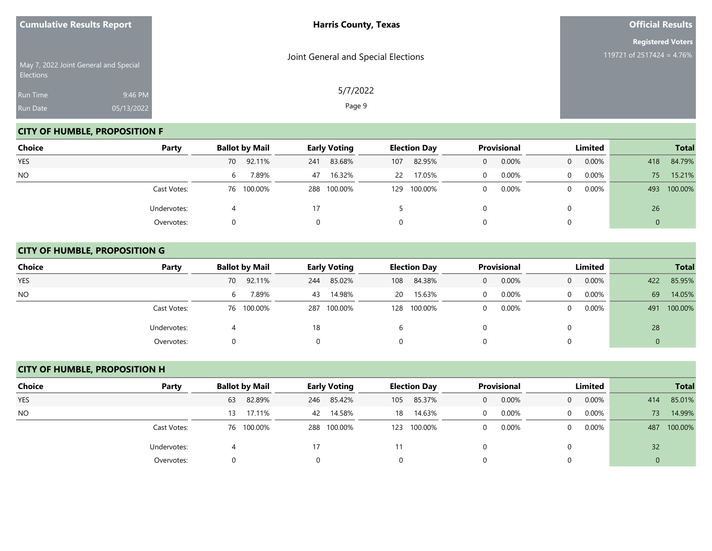|                             | <b>Cumulative Results Report</b>      | <b>Harris County, Texas</b>         | <b>Official Results</b>                               |
|-----------------------------|---------------------------------------|-------------------------------------|-------------------------------------------------------|
| Elections                   | May 7, 2022 Joint General and Special | Joint General and Special Elections | <b>Registered Voters</b><br>119721 of 2517424 = 4.76% |
| <b>Run Time</b><br>Run Date | 9:46 PM<br>05/13/2022                 | 5/7/2022<br>Page 9                  |                                                       |

# **CITY OF HUMBLE, PROPOSITION F**

| Choice     | Party       | <b>Ballot by Mail</b> | <b>Early Voting</b> | <b>Election Day</b> | Provisional | Limited              | <b>Total</b>   |
|------------|-------------|-----------------------|---------------------|---------------------|-------------|----------------------|----------------|
| <b>YES</b> |             | 70 92.11%             | 83.68%<br>241       | 82.95%<br>107       | 0.00%<br>0  | 0.00%<br>$\Omega$    | 84.79%<br>418  |
| <b>NO</b>  |             | 7.89%<br>6            | 16.32%<br>47        | 17.05%<br>22        | 0.00%       | $0.00\%$<br>$\Omega$ | 15.21%<br>75   |
|            | Cast Votes: | 76 100.00%            | 288 100.00%         | 100.00%<br>129      | 0.00%       | 0.00%<br>$\Omega$    | 100.00%<br>493 |
|            | Undervotes: |                       |                     |                     |             | 0                    | 26             |
|            | Overvotes:  |                       |                     | 0                   |             | 0                    | 0              |

# **CITY OF HUMBLE, PROPOSITION G**

| <b>Choice</b> | Party       | <b>Ballot by Mail</b> | <b>Early Voting</b> | <b>Election Day</b> | <b>Provisional</b>    | Limited                    | <b>Total</b>     |
|---------------|-------------|-----------------------|---------------------|---------------------|-----------------------|----------------------------|------------------|
| <b>YES</b>    |             | 92.11%<br>70          | 85.02%<br>244       | 84.38%<br>108       | 0.00%<br>$\mathbf{0}$ | 0.00%<br>$\overline{0}$    | 85.95%<br>422    |
| <b>NO</b>     |             | 7.89%<br>6            | 14.98%<br>43        | 15.63%<br>20 L      | 0.00%<br>$\Omega$     | 0.00%<br>$\Omega$          | 69<br>14.05%     |
|               | Cast Votes: | 76 100.00%            | 287 100.00%         | 100.00%<br>128      | 0.00%<br>$\mathbf 0$  | $0.00\%$<br>$\overline{0}$ | 100.00%<br>491   |
|               | Undervotes: |                       | 18                  |                     |                       | 0                          | 28               |
|               | Overvotes:  |                       |                     | 0                   |                       | 0                          | $\boldsymbol{0}$ |

## **CITY OF HUMBLE, PROPOSITION H**

| Choice         | Party       |    | <b>Ballot by Mail</b> |     | <b>Early Voting</b> |     | <b>Election Day</b> |          | Provisional |                | Limited  |     | <b>Total</b> |
|----------------|-------------|----|-----------------------|-----|---------------------|-----|---------------------|----------|-------------|----------------|----------|-----|--------------|
| <b>YES</b>     |             | 63 | 82.89%                | 246 | 85.42%              | 105 | 85.37%              | $\Omega$ | 0.00%       | $\overline{0}$ | $0.00\%$ | 414 | 85.01%       |
| N <sub>O</sub> |             | 13 | 17.11%                |     | 42 14.58%           | 18  | 14.63%              | $\Omega$ | 0.00%       | $\Omega$       | $0.00\%$ | 73  | 14.99%       |
|                | Cast Votes: |    | 76 100.00%            |     | 288 100.00%         | 123 | 100.00%             | $\Omega$ | 0.00%       | 0              | $0.00\%$ | 487 | 100.00%      |
|                | Undervotes: |    |                       | 17  |                     |     |                     |          |             |                |          | 32  |              |
|                | Overvotes:  |    |                       |     |                     |     |                     |          |             |                |          |     |              |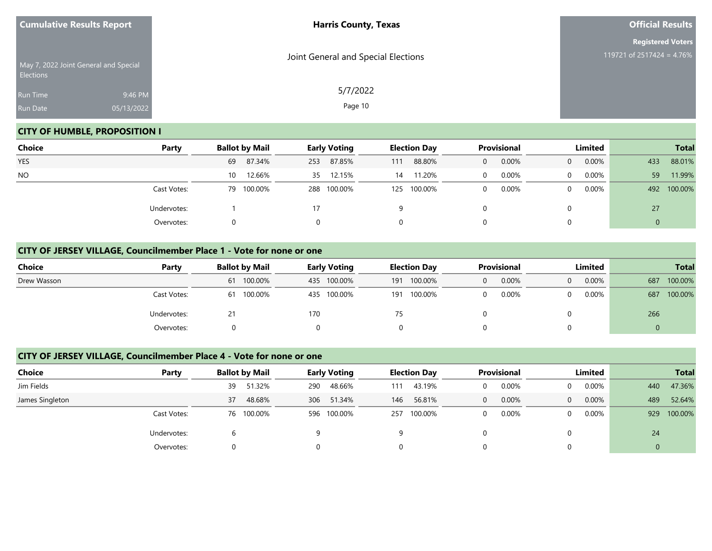| <b>Cumulative Results Report</b> |                                       | <b>Harris County, Texas</b>         | <b>Official Results</b>                               |  |  |
|----------------------------------|---------------------------------------|-------------------------------------|-------------------------------------------------------|--|--|
|                                  | May 7, 2022 Joint General and Special | Joint General and Special Elections | <b>Registered Voters</b><br>119721 of 2517424 = 4.76% |  |  |
| Elections<br>Run Time            | 9:46 PM                               | 5/7/2022                            |                                                       |  |  |
| Run Date                         | 05/13/2022                            | Page 10                             |                                                       |  |  |

## **CITY OF HUMBLE, PROPOSITION I**

| <b>Choice</b> | Party       | <b>Ballot by Mail</b> | <b>Early Voting</b> | <b>Election Day</b> | <b>Provisional</b> | Limited              | <b>Total</b>   |
|---------------|-------------|-----------------------|---------------------|---------------------|--------------------|----------------------|----------------|
| <b>YES</b>    |             | 87.34%<br>69          | 87.85%<br>253       | 88.80%<br>111       | 0.00%<br>0         | $0.00\%$<br>$\Omega$ | 88.01%<br>433  |
| <b>NO</b>     |             | 12.66%<br>10          | 12.15%<br>35        | 11.20%<br>14        | 0.00%<br>$\Omega$  | $0.00\%$<br>$\Omega$ | 59<br>11.99%   |
|               | Cast Votes: | 79 100.00%            | 288 100.00%         | 100.00%<br>125      | 0.00%<br>0         | $0.00\%$<br>$\Omega$ | 100.00%<br>492 |
|               | Undervotes: |                       |                     |                     |                    | $\Omega$             | 27             |
|               | Overvotes:  |                       |                     | 0                   |                    | 0                    |                |

#### **CITY OF JERSEY VILLAGE, Councilmember Place 1 - Vote for none or one**

| Choice      | Party       | <b>Ballot by Mail</b> |                | <b>Early Voting</b><br><b>Election Day</b> |              | Provisional |          | Limited  |     | <b>Total</b> |
|-------------|-------------|-----------------------|----------------|--------------------------------------------|--------------|-------------|----------|----------|-----|--------------|
| Drew Wasson |             | 100.00%<br>61         | 435 100.00%    | 191                                        | 100.00%<br>0 | 0.00%       | $\Omega$ | $0.00\%$ | 687 | 100.00%      |
|             | Cast Votes: | 100.00%<br>61         | 100.00%<br>435 | 191                                        | 100.00%<br>0 | 0.00%       |          | $0.00\%$ | 687 | 100.00%      |
|             | Undervotes: | 21                    | 170            | 75                                         |              |             |          |          | 266 |              |
|             | Overvotes:  |                       |                | 0                                          |              |             |          |          | 0   |              |

#### **CITY OF JERSEY VILLAGE, Councilmember Place 4 - Vote for none or one**

| <b>Choice</b>   | Party       |              | <b>Ballot by Mail</b><br><b>Early Voting</b> | <b>Election Day</b> | <b>Provisional</b> | Limited       | <b>Total</b>   |
|-----------------|-------------|--------------|----------------------------------------------|---------------------|--------------------|---------------|----------------|
| Jim Fields      |             | 51.32%<br>39 | 48.66%<br>290                                | 43.19%<br>111       | 0.00%<br>0         | 0.00%         | 47.36%<br>440  |
| James Singleton |             | 48.68%<br>37 | 306 51.34%                                   | 56.81%<br>146       | 0.00%<br>$\Omega$  | 0.00%<br>0    | 52.64%<br>489  |
|                 | Cast Votes: | 76 100.00%   | 596 100.00%                                  | 100.00%<br>257      | 0.00%<br>0         | $0.00\%$<br>0 | 100.00%<br>929 |
|                 | Undervotes: |              | a                                            | q                   |                    |               | 24             |
|                 | Overvotes:  |              | 0                                            | 0                   | 0                  |               | $\mathbf 0$    |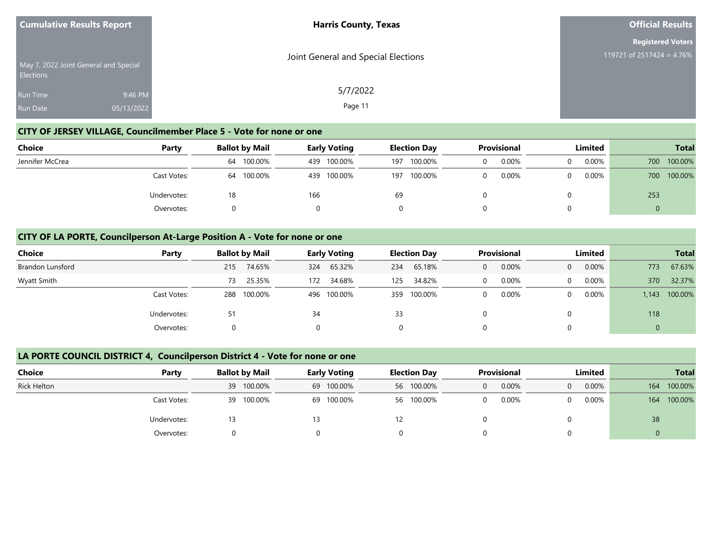| <b>Cumulative Results Report</b>      |            | <b>Harris County, Texas</b>         | <b>Official Results</b>                               |
|---------------------------------------|------------|-------------------------------------|-------------------------------------------------------|
| May 7, 2022 Joint General and Special |            | Joint General and Special Elections | <b>Registered Voters</b><br>119721 of 2517424 = 4.76% |
| <b>Elections</b><br><b>Run Time</b>   | 9:46 PM    | 5/7/2022                            |                                                       |
| <b>Run Date</b>                       | 05/13/2022 | Page 11                             |                                                       |

## **CITY OF JERSEY VILLAGE, Councilmember Place 5 - Vote for none or one**

| Choice          | Party       | <b>Ballot by Mail</b> | <b>Early Voting</b> | <b>Election Day</b> |       | Limited  | <b>Total</b> |  |
|-----------------|-------------|-----------------------|---------------------|---------------------|-------|----------|--------------|--|
| Jennifer McCrea |             | 100.00%<br>64         | 100.00%<br>439      | 100.00%<br>197      | 0.00% | $0.00\%$ | 700 100.00%  |  |
|                 | Cast Votes: | 100.00%<br>64         | 100.00%<br>439      | 100.00%<br>197      | 0.00% | 0.00%    | 700 100.00%  |  |
|                 | Undervotes: | 18                    | 166                 | 69                  |       |          | 253          |  |
|                 | Overvotes:  |                       |                     |                     |       |          | $\mathbf 0$  |  |

#### **CITY OF LA PORTE, Councilperson At-Large Position A - Vote for none or one**

| <b>Choice</b>           | Party       | <b>Ballot by Mail</b> | <b>Early Voting</b> | <b>Election Day</b> | <b>Provisional</b> | Limited              | <b>Total</b>     |
|-------------------------|-------------|-----------------------|---------------------|---------------------|--------------------|----------------------|------------------|
| <b>Brandon Lunsford</b> |             | 74.65%<br>215         | 65.32%<br>324       | 65.18%<br>234       | 0.00%<br>0         | $0.00\%$<br>$\Omega$ | 67.63%<br>773    |
| Wyatt Smith             |             | 25.35%<br>73          | 34.68%<br>172       | 34.82%<br>125       | 0.00%              | 0.00%<br>$\Omega$    | 32.37%<br>370    |
|                         | Cast Votes: | 100.00%<br>288        | 496 100.00%         | 100.00%<br>359      | 0.00%              | $0.00\%$<br>$\Omega$ | 100.00%<br>1,143 |
|                         | Undervotes: | 51                    | 34                  | 33                  |                    | $\Omega$             | 118              |
|                         | Overvotes:  |                       |                     | 0                   |                    | $\Omega$             |                  |

#### **LA PORTE COUNCIL DISTRICT 4, Councilperson District 4 - Vote for none or one**

| <b>Choice</b>      | Party       | <b>Ballot by Mail</b> | <b>Early Voting</b> | <b>Election Day</b> | Provisional       | Limited | <b>Total</b>   |
|--------------------|-------------|-----------------------|---------------------|---------------------|-------------------|---------|----------------|
| <b>Rick Helton</b> |             | 39 100.00%            | 69 100.00%          | 56 100.00%          | 0.00%<br>$\Omega$ | 0.00%   | 100.00%<br>164 |
|                    | Cast Votes: | 100.00%<br>39         | 69 100.00%          | 56 100.00%          | 0.00%<br>$\Omega$ | 0.00%   | 100.00%<br>164 |
|                    | Undervotes: |                       | 13                  | 12                  |                   |         | 38             |
|                    | Overvotes:  |                       |                     |                     |                   |         |                |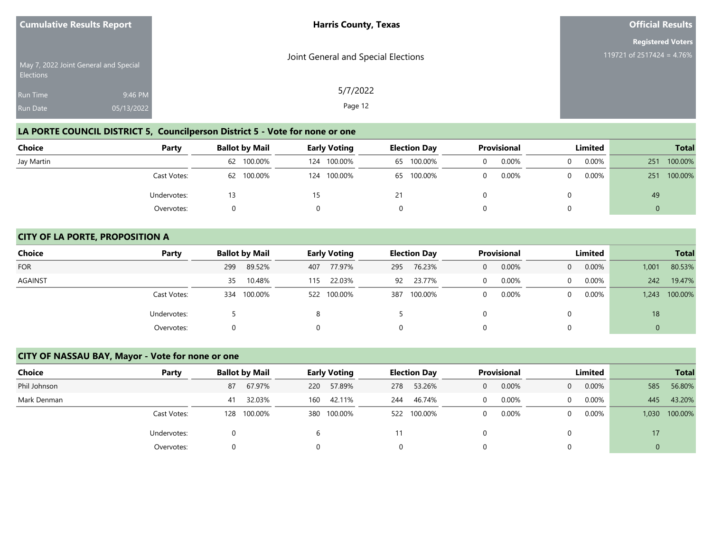|                  | <b>Cumulative Results Report</b>      | <b>Harris County, Texas</b>         | <b>Official Results</b>                               |  |  |
|------------------|---------------------------------------|-------------------------------------|-------------------------------------------------------|--|--|
|                  | May 7, 2022 Joint General and Special | Joint General and Special Elections | <b>Registered Voters</b><br>119721 of 2517424 = 4.76% |  |  |
| <b>Elections</b> |                                       |                                     |                                                       |  |  |
| Run Time         | 9:46 PM                               | 5/7/2022                            |                                                       |  |  |
| <b>Run Date</b>  | 05/13/2022                            | Page 12                             |                                                       |  |  |

# **LA PORTE COUNCIL DISTRICT 5, Councilperson District 5 - Vote for none or one**

| <b>Choice</b> | Party       | <b>Ballot by Mail</b> | <b>Early Voting</b> | <b>Election Day</b> | <b>Provisional</b> | Limited  | <b>Total</b>   |
|---------------|-------------|-----------------------|---------------------|---------------------|--------------------|----------|----------------|
| Jay Martin    |             | 62 100.00%            | 100.00%<br>124      | 65 100.00%          | 0.00%              | $0.00\%$ | 100.00%<br>251 |
|               | Cast Votes: | 62 100.00%            | 100.00%<br>124      | 65 100.00%          | 0.00%              | $0.00\%$ | 100.00%<br>251 |
|               | Undervotes: |                       |                     |                     |                    |          | 49             |
|               | Overvotes:  |                       |                     |                     |                    |          | 0              |

#### **CITY OF LA PORTE, PROPOSITION A**

| <b>Choice</b> | Party       | <b>Ballot by Mail</b> | <b>Early Voting</b> | <b>Election Day</b> | <b>Provisional</b> | Limited                 | <b>Total</b>     |
|---------------|-------------|-----------------------|---------------------|---------------------|--------------------|-------------------------|------------------|
| <b>FOR</b>    |             | 89.52%<br>299         | 77.97%<br>407       | 76.23%<br>295       | 0.00%<br>0         | 0.00%<br>$\overline{0}$ | 80.53%<br>1,001  |
| AGAINST       |             | 10.48%<br>35          | 22.03%<br>115       | 23.77%<br>92        | 0.00%<br>$\Omega$  | 0.00%<br>$\overline{0}$ | 19.47%<br>242    |
|               | Cast Votes: | 100.00%<br>334        | 522 100.00%         | 100.00%<br>387      | 0.00%<br>0         | $0.00\%$<br>$\Omega$    | 100.00%<br>1,243 |
|               | Undervotes: |                       | 8                   |                     |                    | $\Omega$                | 18               |
|               | Overvotes:  |                       |                     | 0                   |                    | $\Omega$                |                  |

# **CITY OF NASSAU BAY, Mayor - Vote for none or one**

| <b>Choice</b> | Party       | <b>Ballot by Mail</b> |         |     | <b>Early Voting</b> |     | <b>Election Day</b> |          | <b>Provisional</b> |          | <b>Limited</b> |             | <b>Total</b> |
|---------------|-------------|-----------------------|---------|-----|---------------------|-----|---------------------|----------|--------------------|----------|----------------|-------------|--------------|
| Phil Johnson  |             | 87                    | 67.97%  | 220 | 57.89%              | 278 | 53.26%              | 0        | 0.00%              | $\Omega$ | 0.00%          | 585         | 56.80%       |
| Mark Denman   |             | 41                    | 32.03%  | 160 | 42.11%              | 244 | 46.74%              | $\Omega$ | 0.00%              | $\Omega$ | $0.00\%$       | 445         | 43.20%       |
|               | Cast Votes: | 128                   | 100.00% |     | 380 100.00%         | 522 | 100.00%             | $\Omega$ | 0.00%              | $\Omega$ | 0.00%          | 1,030       | 100.00%      |
|               | Undervotes: |                       |         |     |                     |     |                     |          |                    | 0        |                | 17          |              |
|               | Overvotes:  |                       |         |     |                     | 0   |                     | 0        |                    | 0        |                | $\mathbf 0$ |              |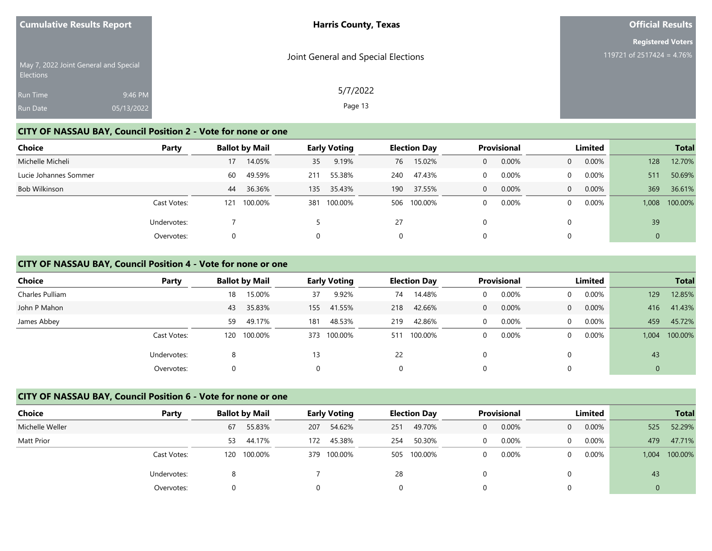| <b>Cumulative Results Report</b> |                                       | <b>Harris County, Texas</b>         | <b>Official Results</b>                               |
|----------------------------------|---------------------------------------|-------------------------------------|-------------------------------------------------------|
|                                  | May 7, 2022 Joint General and Special | Joint General and Special Elections | <b>Registered Voters</b><br>119721 of 2517424 = 4.76% |
| Elections                        |                                       |                                     |                                                       |
| <b>Run Time</b>                  | 9:46 PM                               | 5/7/2022                            |                                                       |
| Run Date                         | 05/13/2022                            | Page 13                             |                                                       |

#### **CITY OF NASSAU BAY, Council Position 2 - Vote for none or one**

| <b>Choice</b>         | Party       | <b>Ballot by Mail</b> |              | <b>Early Voting</b> |     | <b>Election Day</b> |          | <b>Provisional</b> |          | <b>Limited</b> |              | <b>Total</b> |
|-----------------------|-------------|-----------------------|--------------|---------------------|-----|---------------------|----------|--------------------|----------|----------------|--------------|--------------|
| Michelle Micheli      |             | 17                    | 14.05%<br>35 | 9.19%               | 76  | 15.02%              | 0        | 0.00%              | 0        | 0.00%          | 128          | 12.70%       |
| Lucie Johannes Sommer |             | 49.59%<br>60          | 211          | 55.38%              | 240 | 47.43%              | 0        | 0.00%              | $\Omega$ | 0.00%          | 511          | 50.69%       |
| Bob Wilkinson         |             | 36.36%<br>44          | 135          | 35.43%              | 190 | 37.55%              | $\Omega$ | 0.00%              | $\Omega$ | 0.00%          | 369          | 36.61%       |
|                       | Cast Votes: | 100.00%<br>121        | 381          | 100.00%             | 506 | 100.00%             | 0        | 0.00%              | $\Omega$ | 0.00%          | 1,008        | 100.00%      |
|                       | Undervotes: |                       |              |                     | 27  |                     | 0        |                    | 0        |                | 39           |              |
|                       | Overvotes:  |                       |              |                     | 0   |                     | 0        |                    | 0        |                | $\mathbf{0}$ |              |

#### **CITY OF NASSAU BAY, Council Position 4 - Vote for none or one**

| <b>Choice</b>   | Party       | <b>Ballot by Mail</b> |         |     | <b>Early Voting</b> |     | <b>Election Day</b> |          | Provisional |          | Limited |       | <b>Total</b> |
|-----------------|-------------|-----------------------|---------|-----|---------------------|-----|---------------------|----------|-------------|----------|---------|-------|--------------|
| Charles Pulliam |             | 18                    | 15.00%  | 37  | 9.92%               | 74  | 14.48%              | $\Omega$ | 0.00%       |          | 0.00%   | 129   | 12.85%       |
| John P Mahon    |             | 43                    | 35.83%  | 155 | 41.55%              | 218 | 42.66%              | $\Omega$ | 0.00%       | $\Omega$ | 0.00%   | 416   | 41.43%       |
| James Abbey     |             | 59                    | 49.17%  | 181 | 48.53%              | 219 | 42.86%              | $\Omega$ | 0.00%       | $\Omega$ | 0.00%   | 459   | 45.72%       |
|                 | Cast Votes: | 120                   | 100.00% |     | 373 100.00%         | 511 | 100.00%             | $\Omega$ | 0.00%       | $\Omega$ | 0.00%   | 1.004 | 100.00%      |
|                 | Undervotes: | ۰                     |         | 13  |                     | 22  |                     |          |             |          |         | 43    |              |
|                 | Overvotes:  |                       |         | 0   |                     | 0   |                     |          |             |          |         | 0     |              |

#### **CITY OF NASSAU BAY, Council Position 6 - Vote for none or one**

| Choice          | Party       | <b>Ballot by Mail</b> | <b>Early Voting</b> | <b>Election Day</b> | <b>Provisional</b> | Limited                    | <b>Total</b>     |  |  |
|-----------------|-------------|-----------------------|---------------------|---------------------|--------------------|----------------------------|------------------|--|--|
| Michelle Weller |             | 55.83%<br>67          | 54.62%<br>207       | 49.70%<br>251       | 0.00%<br>0         | $0.00\%$<br>$\overline{0}$ | 52.29%<br>525    |  |  |
| Matt Prior      |             | 44.17%<br>53          | 45.38%<br>172       | 50.30%<br>254       | 0.00%<br>0         | $0.00\%$<br>0              | 47.71%<br>479    |  |  |
|                 | Cast Votes: | 120 100.00%           | 100.00%<br>379      | 100.00%<br>505      | 0.00%<br>0         | $0.00\%$<br>$\Omega$       | 100.00%<br>1,004 |  |  |
|                 | Undervotes: |                       |                     | 28                  |                    |                            | 43               |  |  |
|                 | Overvotes:  |                       |                     |                     |                    |                            |                  |  |  |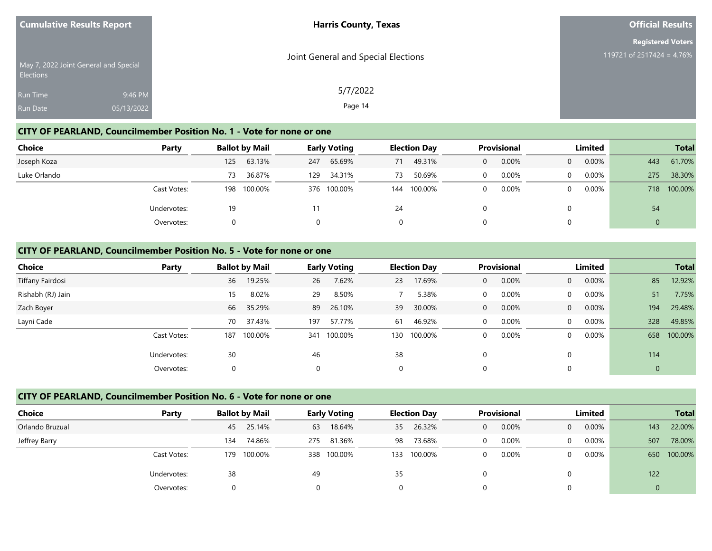| <b>Cumulative Results Report</b>                   | <b>Harris County, Texas</b>         | <b>Official Results</b>   |
|----------------------------------------------------|-------------------------------------|---------------------------|
|                                                    |                                     | <b>Registered Voters</b>  |
| May 7, 2022 Joint General and Special<br>Elections | Joint General and Special Elections | 119721 of 2517424 = 4.76% |
| 9:46 PM<br>Run Time                                | 5/7/2022                            |                           |
| Run Date<br>05/13/2022                             | Page 14                             |                           |

#### **CITY OF PEARLAND, Councilmember Position No. 1 - Vote for none or one**

| <b>Choice</b> | Party       |     | <b>Ballot by Mail</b> |     | <b>Early Voting</b> |    | <b>Election Day</b> |          | Provisional |                | Limited  |     | <b>Total</b> |
|---------------|-------------|-----|-----------------------|-----|---------------------|----|---------------------|----------|-------------|----------------|----------|-----|--------------|
| Joseph Koza   |             | 125 | 63.13%                | 247 | 65.69%              | 71 | 49.31%              | 0        | 0.00%       | $\overline{0}$ | 0.00%    | 443 | 61.70%       |
| Luke Orlando  |             | 73  | 36.87%                | 129 | 34.31%              | 73 | 50.69%              | 0        | 0.00%       | $\Omega$       | $0.00\%$ | 275 | 38.30%       |
|               | Cast Votes: | 198 | 100.00%               |     | 376 100.00%         |    | 144 100.00%         | $\Omega$ | 0.00%       | 0              | $0.00\%$ | 718 | 100.00%      |
|               | Undervotes: | 19  |                       |     |                     | 24 |                     |          |             |                |          | 54  |              |
|               | Overvotes:  |     |                       |     |                     |    |                     |          |             |                |          | 0   |              |

#### **CITY OF PEARLAND, Councilmember Position No. 5 - Vote for none or one**

| <b>Choice</b>     | Party       |     | <b>Ballot by Mail</b> |     | <b>Early Voting</b> |          | <b>Election Day</b> |              | <b>Provisional</b> |                | Limited  |              | <b>Total</b> |
|-------------------|-------------|-----|-----------------------|-----|---------------------|----------|---------------------|--------------|--------------------|----------------|----------|--------------|--------------|
| Tiffany Fairdosi  |             | 36  | 19.25%                | 26  | 7.62%               | 23       | 17.69%              | $\mathbf{0}$ | 0.00%              | $\overline{0}$ | 0.00%    | 85           | 12.92%       |
| Rishabh (RJ) Jain |             | 15  | 8.02%                 | 29  | 8.50%               |          | 5.38%               | 0            | 0.00%              | $\Omega$       | $0.00\%$ | 51           | 7.75%        |
| Zach Boyer        |             | 66  | 35.29%                | 89  | 26.10%              | 39       | 30.00%              | 0            | 0.00%              | $\Omega$       | 0.00%    | 194          | 29.48%       |
| Layni Cade        |             | 70  | 37.43%                | 197 | 57.77%              | 61       | 46.92%              | $\Omega$     | 0.00%              | $\Omega$       | $0.00\%$ | 328          | 49.85%       |
|                   | Cast Votes: | 187 | 100.00%               | 341 | 100.00%             | 130      | 100.00%             | 0            | 0.00%              | $\Omega$       | $0.00\%$ | 658          | 100.00%      |
|                   | Undervotes: | 30  |                       | 46  |                     | 38       |                     | 0            |                    |                |          | 114          |              |
|                   | Overvotes:  |     |                       | 0   |                     | $\Omega$ |                     | 0            |                    |                |          | $\mathbf{0}$ |              |

#### **CITY OF PEARLAND, Councilmember Position No. 6 - Vote for none or one**

| Choice          | Party       | <b>Ballot by Mail</b> |         | <b>Early Voting</b> |         | <b>Election Day</b> |             | <b>Provisional</b> |          | Limited  |          | <b>Total</b> |             |
|-----------------|-------------|-----------------------|---------|---------------------|---------|---------------------|-------------|--------------------|----------|----------|----------|--------------|-------------|
| Orlando Bruzual |             | 45                    | 25.14%  | 63                  | 18.64%  | 35                  | 26.32%      | 0                  | 0.00%    | $\Omega$ | $0.00\%$ | 143          | 22.00%      |
| Jeffrey Barry   |             | 134                   | 74.86%  | 275                 | 81.36%  | 98                  | 73.68%      | 0                  | $0.00\%$ | 0        | $0.00\%$ | 507          | 78.00%      |
|                 | Cast Votes: | 179                   | 100.00% | 338                 | 100.00% |                     | 133 100.00% | $\Omega$           | 0.00%    | 0        | $0.00\%$ |              | 650 100.00% |
|                 | Undervotes: | 38                    |         | 49                  |         | 35                  |             | 0                  |          |          |          | 122          |             |
|                 | Overvotes:  |                       |         |                     |         |                     |             |                    |          |          |          | 0            |             |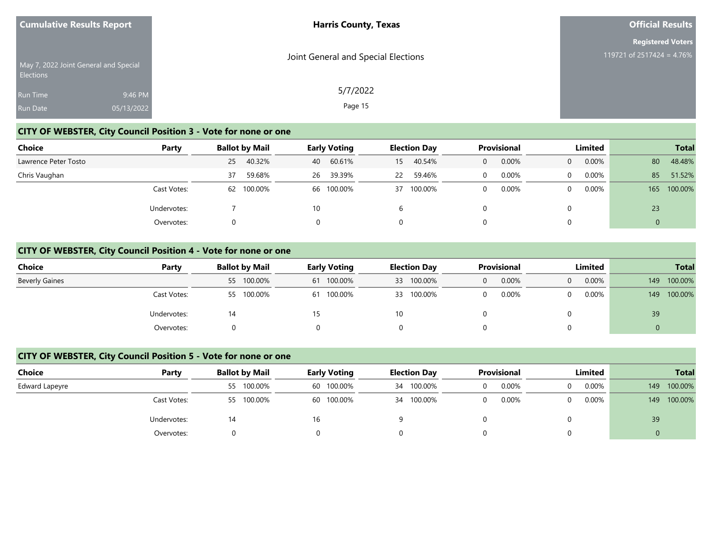|                  | <b>Cumulative Results Report</b>      | <b>Harris County, Texas</b>         | <b>Official Results</b>   |
|------------------|---------------------------------------|-------------------------------------|---------------------------|
|                  |                                       |                                     | <b>Registered Voters</b>  |
| <b>Elections</b> | May 7, 2022 Joint General and Special | Joint General and Special Elections | 119721 of 2517424 = 4.76% |
| <b>Run Time</b>  | 9:46 PM                               | 5/7/2022                            |                           |
| <b>Run Date</b>  | 05/13/2022                            | Page 15                             |                           |

## **CITY OF WEBSTER, City Council Position 3 - Vote for none or one**

| Choice               | Party       | <b>Ballot by Mail</b> |            | <b>Early Voting</b> |            | <b>Election Day</b> |         | <b>Provisional</b> |       | Limited        |          | <b>Total</b> |         |
|----------------------|-------------|-----------------------|------------|---------------------|------------|---------------------|---------|--------------------|-------|----------------|----------|--------------|---------|
| Lawrence Peter Tosto |             | 25                    | 40.32%     | 40                  | 60.61%     | 15                  | 40.54%  | 0                  | 0.00% | $\overline{0}$ | $0.00\%$ | 80           | 48.48%  |
| Chris Vaughan        |             | 37                    | 59.68%     | 26                  | 39.39%     | 22                  | 59.46%  | 0                  | 0.00% | $\Omega$       | $0.00\%$ | 85           | 51.52%  |
|                      | Cast Votes: |                       | 62 100.00% |                     | 66 100.00% | 37                  | 100.00% | $\Omega$           | 0.00% | $\Omega$       | $0.00\%$ | 165          | 100.00% |
|                      | Undervotes: |                       |            | 10                  |            | b                   |         |                    |       |                |          | 23           |         |
|                      | Overvotes:  |                       |            |                     |            | 0                   |         |                    |       |                |          |              |         |

#### **CITY OF WEBSTER, City Council Position 4 - Vote for none or one**

| Choice                | Party       |    | <b>Ballot by Mail</b> | <b>Early Voting</b> |            |    | <b>Election Day</b> | <b>Provisional</b> |       | Limited        |          | <b>Total</b> |         |
|-----------------------|-------------|----|-----------------------|---------------------|------------|----|---------------------|--------------------|-------|----------------|----------|--------------|---------|
| <b>Beverly Gaines</b> |             |    | 55 100.00%            |                     | 61 100.00% |    | 33 100.00%          | 0                  | 0.00% | $\overline{0}$ | $0.00\%$ | 149          | 100.00% |
|                       | Cast Votes: |    | 55 100.00%            |                     | 61 100.00% |    | 33 100.00%          |                    | 0.00% | 0              | $0.00\%$ | 149          | 100.00% |
|                       | Undervotes: | 14 |                       | 15                  |            | 10 |                     |                    |       |                |          | 39           |         |
|                       | Overvotes:  |    |                       |                     |            |    |                     |                    |       |                |          |              |         |

#### **CITY OF WEBSTER, City Council Position 5 - Vote for none or one**

| Choice         | Party       | <b>Ballot by Mail</b> | <b>Early Voting</b> | <b>Election Day</b> | <b>Provisional</b> | Limited       | <b>Total</b>   |
|----------------|-------------|-----------------------|---------------------|---------------------|--------------------|---------------|----------------|
| Edward Lapeyre |             | 55 100.00%            | 60 100.00%          | 34 100.00%          | 0.00%              | $0.00\%$<br>0 | 100.00%<br>149 |
|                | Cast Votes: | 55 100.00%            | 60 100.00%          | 34 100.00%          | 0.00%              | $0.00\%$<br>0 | 100.00%<br>149 |
|                | Undervotes: | 14                    | 16                  |                     |                    |               | 39             |
|                | Overvotes:  |                       |                     |                     |                    | 0             |                |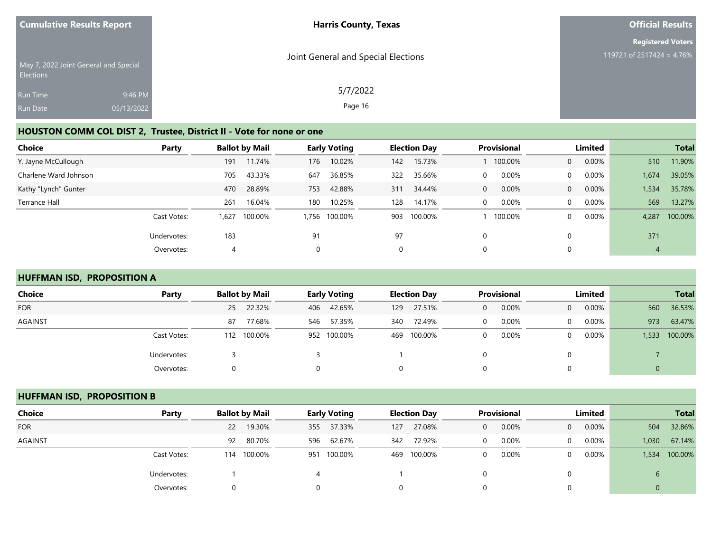| <b>Cumulative Results Report</b>                   | <b>Harris County, Texas</b>         | <b>Official Results</b>   |
|----------------------------------------------------|-------------------------------------|---------------------------|
|                                                    |                                     | <b>Registered Voters</b>  |
| May 7, 2022 Joint General and Special<br>Elections | Joint General and Special Elections | 119721 of 2517424 = 4.76% |
| Run Time<br>9:46 PM                                | 5/7/2022                            |                           |
| 05/13/2022<br>Run Date                             | Page 16                             |                           |

## **HOUSTON COMM COL DIST 2, Trustee, District II - Vote for none or one**

| Choice                | Party       |      | <b>Ballot by Mail</b> |          | <b>Early Voting</b> | <b>Election Day</b> |         | <b>Provisional</b> |         | Limited        |          | <b>Total</b> |         |
|-----------------------|-------------|------|-----------------------|----------|---------------------|---------------------|---------|--------------------|---------|----------------|----------|--------------|---------|
| Y. Jayne McCullough   |             | 191  | 11.74%                | 176      | 10.02%              | 142                 | 15.73%  |                    | 100.00% | $\overline{0}$ | $0.00\%$ | 510          | 11.90%  |
| Charlene Ward Johnson |             | 705  | 43.33%                | 647      | 36.85%              | 322                 | 35.66%  | 0                  | 0.00%   | $\Omega$       | 0.00%    | 1,674        | 39.05%  |
| Kathy "Lynch" Gunter  |             | 470  | 28.89%                | 753      | 42.88%              | 311                 | 34.44%  | 0                  | 0.00%   | $\overline{0}$ | $0.00\%$ | 1,534        | 35.78%  |
| Terrance Hall         |             | 261  | 16.04%                | 180      | 10.25%              | 128                 | 14.17%  | 0                  | 0.00%   | $\Omega$       | 0.00%    | 569          | 13.27%  |
|                       | Cast Votes: | .627 | 100.00%               |          | 1,756 100.00%       | 903                 | 100.00% |                    | 100.00% | 0              | 0.00%    | 4,287        | 100.00% |
|                       | Undervotes: | 183  |                       | 91       |                     | 97                  |         | 0                  |         |                |          | 371          |         |
|                       | Overvotes:  |      |                       | $\Omega$ |                     | 0                   |         |                    |         |                |          | 4            |         |

## **HUFFMAN ISD, PROPOSITION A**

| <b>Choice</b>  | Party       | <b>Ballot by Mail</b> | <b>Early Voting</b> | <b>Election Day</b> | <b>Provisional</b>    | Limited                    | <b>Total</b>     |
|----------------|-------------|-----------------------|---------------------|---------------------|-----------------------|----------------------------|------------------|
| <b>FOR</b>     |             | 22.32%<br>25          | 42.65%<br>406       | 27.51%<br>129       | 0.00%<br>$\mathbf{0}$ | 0.00%<br>$\overline{0}$    | 36.53%<br>560    |
| <b>AGAINST</b> |             | 77.68%<br>87          | 57.35%<br>546       | 72.49%<br>340       | 0.00%<br>$\Omega$     | $0.00\%$<br>$\overline{0}$ | 63.47%<br>973    |
|                | Cast Votes: | 100.00%<br>112        | 952 100.00%         | 100.00%<br>469      | 0.00%<br>$\mathbf 0$  | $0.00\%$<br>0              | 100.00%<br>1,533 |
|                | Undervotes: |                       |                     |                     |                       |                            |                  |
|                | Overvotes:  | $\Omega$              | 0                   | 0                   | 0                     |                            | 0                |

#### **HUFFMAN ISD, PROPOSITION B**

| <b>Choice</b>  | Party       | <b>Ballot by Mail</b> | <b>Early Voting</b> | <b>Election Day</b> | Provisional | Limited              | <b>Total</b>     |
|----------------|-------------|-----------------------|---------------------|---------------------|-------------|----------------------|------------------|
| <b>FOR</b>     |             | 19.30%<br>22          | 37.33%<br>355       | 27.08%<br>127       | 0.00%<br>0  | $0.00\%$<br>$\Omega$ | 32.86%<br>504    |
| <b>AGAINST</b> |             | 80.70%<br>92          | 62.67%<br>596       | 72.92%<br>342       | 0.00%<br>0  | $0.00\%$<br>0        | 67.14%<br>1,030  |
|                | Cast Votes: | 100.00%<br>114        | 100.00%<br>951      | 100.00%<br>469      | 0.00%<br>0  | $0.00\%$<br>0        | 100.00%<br>1,534 |
|                | Undervotes: |                       |                     |                     |             |                      |                  |
|                | Overvotes:  |                       |                     |                     |             |                      | 0                |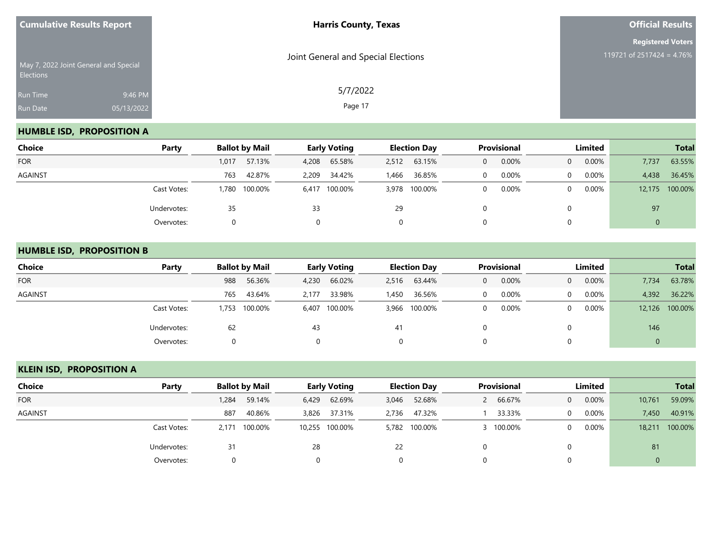| <b>Cumulative Results Report</b> |                                       | <b>Harris County, Texas</b>         | <b>Official Results</b>                               |  |  |  |
|----------------------------------|---------------------------------------|-------------------------------------|-------------------------------------------------------|--|--|--|
| Elections                        | May 7, 2022 Joint General and Special | Joint General and Special Elections | <b>Registered Voters</b><br>119721 of 2517424 = 4.76% |  |  |  |
| Run Time<br>Run Date             | 9:46 PM<br>05/13/2022                 | 5/7/2022<br>Page 17                 |                                                       |  |  |  |

## **HUMBLE ISD, PROPOSITION A**

| Choice     | Party       |        | <b>Ballot by Mail</b> | <b>Early Voting</b> |               | <b>Election Day</b> |               | <b>Provisional</b> |       | Limited  |          |        |         | <b>Total</b> |  |
|------------|-------------|--------|-----------------------|---------------------|---------------|---------------------|---------------|--------------------|-------|----------|----------|--------|---------|--------------|--|
| <b>FOR</b> |             | 1,017  | 57.13%                | 4,208               | 65.58%        | 2,512               | 63.15%        | 0                  | 0.00% | $\Omega$ | 0.00%    | 7,737  | 63.55%  |              |  |
| AGAINST    |             | 763    | 42.87%                | 2,209               | 34.42%        | 1,466               | 36.85%        |                    | 0.00% | $\Omega$ | 0.00%    | 4,438  | 36.45%  |              |  |
|            | Cast Votes: | 780. ا | 100.00%               |                     | 6,417 100.00% |                     | 3,978 100.00% |                    | 0.00% | $\Omega$ | $0.00\%$ | 12,175 | 100.00% |              |  |
|            | Undervotes: | 35     |                       | 33                  |               | 29                  |               |                    |       | 0        |          | 97     |         |              |  |
|            | Overvotes:  |        |                       |                     |               | 0                   |               |                    |       | 0        |          | 0      |         |              |  |

#### **HUMBLE ISD, PROPOSITION B**

| <b>Choice</b>  | Party       | <b>Ballot by Mail</b> | <b>Early Voting</b> | <b>Election Day</b> | <b>Provisional</b> | Limited                 | <b>Total</b>     |
|----------------|-------------|-----------------------|---------------------|---------------------|--------------------|-------------------------|------------------|
| <b>FOR</b>     |             | 988<br>56.36%         | 66.02%<br>4,230     | 2,516 63.44%        | 0.00%<br>0         | 0.00%<br>$\overline{0}$ | 63.78%<br>7,734  |
| <b>AGAINST</b> |             | 43.64%<br>765         | 33.98%<br>2.177     | 36.56%<br>1,450     | 0.00%<br>$\Omega$  | 0.00%<br>$\Omega$       | 4,392<br>36.22%  |
|                | Cast Votes: | 100.00%<br>1,753      | 6,407 100.00%       | 3,966 100.00%       | 0.00%<br>0         | 0.00%<br>$\mathbf{0}$   | 12,126 100.00%   |
|                | Undervotes: | 62                    | 43                  | 41                  |                    | 0                       | 146              |
|                | Overvotes:  | 0                     |                     | $\Omega$            |                    | $\Omega$                | $\boldsymbol{0}$ |

## **KLEIN ISD, PROPOSITION A**

| Choice         | Party       | <b>Ballot by Mail</b> |         | <b>Early Voting</b> |                | <b>Election Day</b> |               | <b>Provisional</b> |           | Limited        |          |             | <b>Total</b> |
|----------------|-------------|-----------------------|---------|---------------------|----------------|---------------------|---------------|--------------------|-----------|----------------|----------|-------------|--------------|
| <b>FOR</b>     |             | 1,284                 | 59.14%  | 6,429               | 62.69%         |                     | 3,046 52.68%  |                    | 66.67%    | $\overline{0}$ | 0.00%    | 10,761      | 59.09%       |
| <b>AGAINST</b> |             | 887                   | 40.86%  |                     | 3,826 37.31%   |                     | 2,736 47.32%  |                    | 33.33%    | 0              | 0.00%    | 7,450       | 40.91%       |
|                | Cast Votes: | 2.171                 | 100.00% |                     | 10,255 100.00% |                     | 5,782 100.00% |                    | 3 100.00% | 0              | $0.00\%$ | 18,211      | 100.00%      |
|                | Undervotes: | 31                    |         | 28                  |                | 22                  |               |                    |           |                |          | 81          |              |
|                | Overvotes:  |                       |         |                     |                |                     |               |                    |           |                |          | $\mathbf 0$ |              |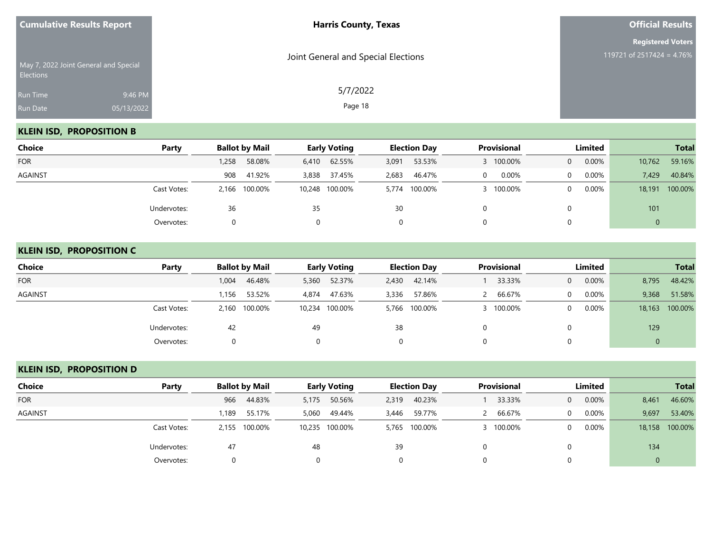| Joint General and Special Elections<br>May 7, 2022 Joint General and Special      | <b>Registered Voters</b><br>119721 of 2517424 = 4.76% |
|-----------------------------------------------------------------------------------|-------------------------------------------------------|
| Elections<br>5/7/2022<br>9:46 PM<br>Run Time<br>Page 18<br>05/13/2022<br>Run Date |                                                       |

## **KLEIN ISD, PROPOSITION B**

| Choice     | Party       | <b>Ballot by Mail</b> |                 | <b>Early Voting</b> |       | <b>Election Day</b> | Provisional |         | Limited  |          |             | <b>Total</b> |
|------------|-------------|-----------------------|-----------------|---------------------|-------|---------------------|-------------|---------|----------|----------|-------------|--------------|
| <b>FOR</b> |             | 1,258                 | 58.08%<br>6,410 | 62.55%              | 3,091 | 53.53%              |             | 100.00% | $\Omega$ | 0.00%    | 10,762      | 59.16%       |
| AGAINST    |             | 908                   | 41.92%<br>3,838 | 37.45%              | 2,683 | 46.47%              | $\Omega$    | 0.00%   | $\Omega$ | $0.00\%$ | 7,429       | 40.84%       |
|            | Cast Votes: | 2,166 100.00%         |                 | 10,248 100.00%      |       | 5,774 100.00%       |             | 100.00% | $\Omega$ | $0.00\%$ | 18,191      | 100.00%      |
|            | Undervotes: | 36                    | 35              |                     | 30    |                     |             |         |          |          | 101         |              |
|            | Overvotes:  |                       |                 |                     |       | $\Omega$            |             |         |          |          | $\mathbf 0$ |              |

#### **KLEIN ISD, PROPOSITION C**

| <b>Choice</b>  | Party       | <b>Ballot by Mail</b> | <b>Early Voting</b> | <b>Election Day</b> | Provisional | Limited              | <b>Total</b>      |
|----------------|-------------|-----------------------|---------------------|---------------------|-------------|----------------------|-------------------|
| <b>FOR</b>     |             | 46.48%<br>1,004       | 52.37%<br>5,360     | 42.14%<br>2,430     | 33.33%      | 0.00%<br>$\Omega$    | 48.42%<br>8,795   |
| <b>AGAINST</b> |             | 53.52%<br>1,156       | 47.63%<br>4,874     | 57.86%<br>3,336     | 66.67%      | $0.00\%$<br>$\Omega$ | 9,368<br>51.58%   |
|                | Cast Votes: | 2,160 100.00%         | 10,234 100.00%      | 5,766 100.00%       | 100.00%     | $0.00\%$<br>$\Omega$ | 100.00%<br>18,163 |
|                | Undervotes: | 42                    | 49                  | 38                  |             |                      | 129               |
|                | Overvotes:  |                       |                     | 0                   |             |                      | $\mathbf 0$       |

## **KLEIN ISD, PROPOSITION D**

| Choice         | Party       |       | <b>Ballot by Mail</b> |       | <b>Early Voting</b> |       |               | <b>Provisional</b><br><b>Election Day</b> |           |                | Limited  |             | <b>Total</b>   |
|----------------|-------------|-------|-----------------------|-------|---------------------|-------|---------------|-------------------------------------------|-----------|----------------|----------|-------------|----------------|
| <b>FOR</b>     |             | 966   | 44.83%                | 5,175 | 50.56%              | 2,319 | 40.23%        |                                           | 33.33%    | $\overline{0}$ | 0.00%    | 8,461       | 46.60%         |
| <b>AGAINST</b> |             | 1,189 | 55.17%                | 5,060 | 49.44%              | 3,446 | 59.77%        |                                           | 66.67%    | $\Omega$       | 0.00%    | 9,697       | 53.40%         |
|                | Cast Votes: |       | 2,155 100.00%         |       | 10,235 100.00%      |       | 5,765 100.00% |                                           | 3 100.00% | 0              | $0.00\%$ |             | 18,158 100.00% |
|                | Undervotes: | 47    |                       | 48    |                     | 39    |               |                                           |           |                |          | 134         |                |
|                | Overvotes:  | 0     |                       |       |                     |       |               |                                           |           |                |          | $\mathbf 0$ |                |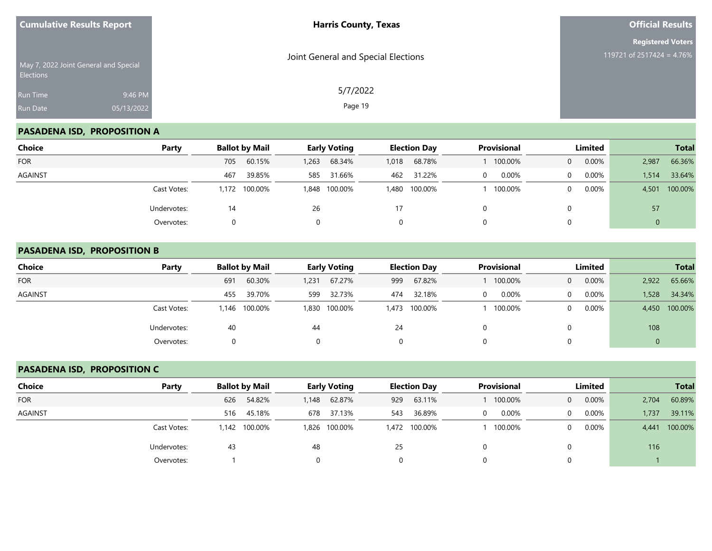| <b>Cumulative Results Report</b> |                                       | <b>Harris County, Texas</b>         | <b>Official Results</b>                               |
|----------------------------------|---------------------------------------|-------------------------------------|-------------------------------------------------------|
| Elections                        | May 7, 2022 Joint General and Special | Joint General and Special Elections | <b>Registered Voters</b><br>119721 of 2517424 = 4.76% |
| Run Time<br>Run Date             | 9:46 PM<br>05/13/2022                 | 5/7/2022<br>Page 19                 |                                                       |

# **PASADENA ISD, PROPOSITION A**

| <b>Choice</b> | Party       | <b>Ballot by Mail</b> | <b>Early Voting</b> | <b>Election Day</b> | Provisional | Limited              | <b>Total</b>     |
|---------------|-------------|-----------------------|---------------------|---------------------|-------------|----------------------|------------------|
| <b>FOR</b>    |             | 60.15%<br>705         | 68.34%<br>1,263     | 68.78%<br>1,018     | 100.00%     | 0.00%<br>$\Omega$    | 66.36%<br>2,987  |
| AGAINST       |             | 39.85%<br>467         | 31.66%<br>585       | 31.22%<br>462       | 0.00%<br>0  | 0.00%<br>$\Omega$    | 33.64%<br>1,514  |
|               | Cast Votes: | 1,172 100.00%         | 1,848 100.00%       | 1,480 100.00%       | 100.00%     | $0.00\%$<br>$\Omega$ | 100.00%<br>4,501 |
|               | Undervotes: | 14                    | 26                  | 17                  |             | $\Omega$             | 57               |
|               | Overvotes:  |                       |                     | 0                   |             | 0                    |                  |

#### **PASADENA ISD, PROPOSITION B**

| <b>Choice</b>  | Party       | <b>Ballot by Mail</b> | <b>Early Voting</b> | <b>Election Day</b> | <b>Provisional</b> | Limited                 | <b>Total</b>     |
|----------------|-------------|-----------------------|---------------------|---------------------|--------------------|-------------------------|------------------|
| <b>FOR</b>     |             | 60.30%<br>691         | 67.27%<br>1,231     | 67.82%<br>999       | 100.00%            | 0.00%<br>$\overline{0}$ | 65.66%<br>2,922  |
| <b>AGAINST</b> |             | 39.70%<br>455         | 32.73%<br>599       | 32.18%<br>474       | 0.00%<br>0         | $0.00\%$<br>$\Omega$    | 34.34%<br>1,528  |
|                | Cast Votes: | 1,146 100.00%         | 1,830 100.00%       | 1,473 100.00%       | 100.00%            | $0.00\%$<br>$\Omega$    | 4,450 100.00%    |
|                | Undervotes: | 40                    | 44                  | 24                  |                    | 0                       | 108              |
|                | Overvotes:  |                       |                     |                     |                    | 0                       | $\boldsymbol{0}$ |

## **PASADENA ISD, PROPOSITION C**

| Choice         | Party       |       | <b>Ballot by Mail</b> |       | <b>Early Voting</b> |     | <b>Election Day</b> | <b>Provisional</b> |                | Limited |       | <b>Total</b> |
|----------------|-------------|-------|-----------------------|-------|---------------------|-----|---------------------|--------------------|----------------|---------|-------|--------------|
| <b>FOR</b>     |             | 626   | 54.82%                | 1,148 | 62.87%              | 929 | 63.11%              | 100.00%            | $\overline{0}$ | 0.00%   | 2,704 | 60.89%       |
| <b>AGAINST</b> |             | 516   | 45.18%                | 678   | 37.13%              | 543 | 36.89%              | 0.00%              | 0              | 0.00%   | 1,737 | 39.11%       |
|                | Cast Votes: | 1.142 | 100.00%               |       | 1,826 100.00%       |     | 1,472 100.00%       | 100.00%            | 0              | 0.00%   | 4,441 | 100.00%      |
|                | Undervotes: | 43    |                       | 48    |                     | 25  |                     |                    |                |         | 116   |              |
|                | Overvotes:  |       |                       |       |                     |     |                     |                    |                |         |       |              |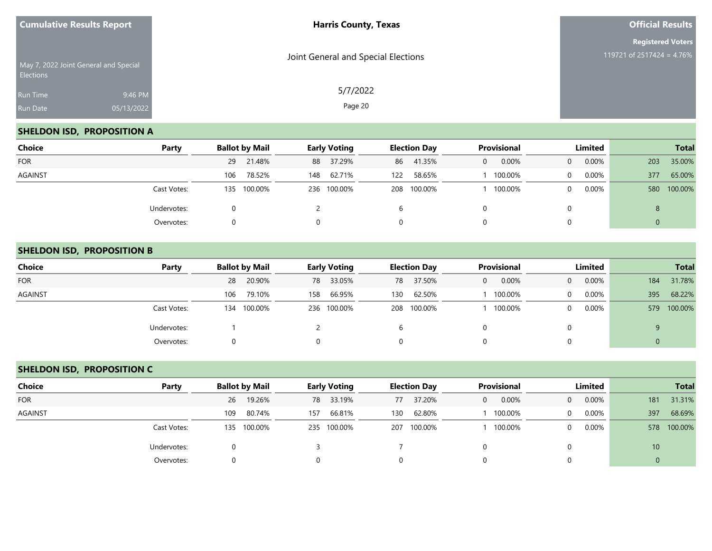| <b>Cumulative Results Report</b> |                                       | <b>Harris County, Texas</b>         | <b>Official Results</b>   |  |  |
|----------------------------------|---------------------------------------|-------------------------------------|---------------------------|--|--|
|                                  |                                       |                                     | <b>Registered Voters</b>  |  |  |
| Elections                        | May 7, 2022 Joint General and Special | Joint General and Special Elections | 119721 of 2517424 = 4.76% |  |  |
| Run Time                         | 9:46 PM                               | 5/7/2022                            |                           |  |  |
| Run Date                         | 05/13/2022                            | Page 20                             |                           |  |  |

## **SHELDON ISD, PROPOSITION A**

| <b>Choice</b> | Party       | <b>Ballot by Mail</b> | <b>Early Voting</b> | <b>Election Day</b> | Provisional | Limited              | <b>Total</b>   |
|---------------|-------------|-----------------------|---------------------|---------------------|-------------|----------------------|----------------|
| <b>FOR</b>    |             | 21.48%<br>29          | 88 37.29%           | 41.35%<br>86        | 0.00%<br>0  | 0.00%<br>$\Omega$    | 35.00%<br>203  |
| AGAINST       |             | 78.52%<br>106         | 62.71%<br>148       | 58.65%<br>122       | 100.00%     | 0.00%<br>$\Omega$    | 65.00%<br>377  |
|               | Cast Votes: | 135 100.00%           | 236 100.00%         | 208 100.00%         | 100.00%     | $0.00\%$<br>$\Omega$ | 100.00%<br>580 |
|               | Undervotes: |                       |                     | b                   |             |                      | 8              |
|               | Overvotes:  |                       | $\Omega$            | 0                   |             |                      | 0              |

#### **SHELDON ISD, PROPOSITION B**

| <b>Choice</b>  | Party       | <b>Ballot by Mail</b> | <b>Early Voting</b> | <b>Election Day</b> | <b>Provisional</b>    | Limited           | <b>Total</b>   |
|----------------|-------------|-----------------------|---------------------|---------------------|-----------------------|-------------------|----------------|
| <b>FOR</b>     |             | 20.90%<br>28          | 33.05%<br>78        | 37.50%<br>78        | 0.00%<br>$\mathbf{0}$ | 0.00%<br>$\Omega$ | 31.78%<br>184  |
| <b>AGAINST</b> |             | 79.10%<br>106         | 66.95%<br>158       | 62.50%<br>130       | 100.00%               | $0.00\%$<br>0     | 68.22%<br>395  |
|                | Cast Votes: | 100.00%<br>134        | 236 100.00%         | 208 100.00%         | 100.00%               | $0.00\%$<br>0     | 100.00%<br>579 |
|                | Undervotes: |                       |                     | b                   |                       |                   | 9              |
|                | Overvotes:  |                       |                     | 0                   |                       |                   | 0              |

## **SHELDON ISD, PROPOSITION C**

| Choice         | Party       | <b>Ballot by Mail</b> | <b>Early Voting</b> | <b>Election Day</b> | <b>Provisional</b> | Limited                 | <b>Total</b>    |
|----------------|-------------|-----------------------|---------------------|---------------------|--------------------|-------------------------|-----------------|
| <b>FOR</b>     |             | 19.26%<br>26          | 78 33.19%           | 37.20%<br>77        | 0.00%<br>$\Omega$  | 0.00%<br>$\overline{0}$ | 31.31%<br>181   |
| <b>AGAINST</b> |             | 80.74%<br>109         | 66.81%<br>157       | 62.80%<br>130       | 100.00%            | 0.00%<br>$\Omega$       | 68.69%<br>397   |
|                | Cast Votes: | 135 100.00%           | 235 100.00%         | 207 100.00%         | 100.00%            | 0.00%<br>0              | 100.00%<br>578  |
|                | Undervotes: |                       |                     |                     |                    |                         | 10 <sup>°</sup> |
|                | Overvotes:  | 0                     |                     |                     |                    |                         | $\mathbf 0$     |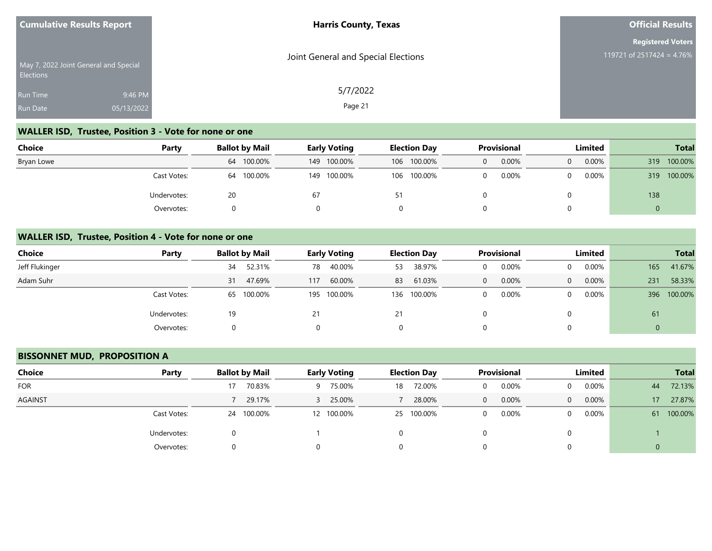| <b>Cumulative Results Report</b>                          |            | <b>Harris County, Texas</b>         | <b>Official Results</b>   |
|-----------------------------------------------------------|------------|-------------------------------------|---------------------------|
|                                                           |            |                                     | <b>Registered Voters</b>  |
| May 7, 2022 Joint General and Special<br><b>Elections</b> |            | Joint General and Special Elections | 119721 of 2517424 = 4.76% |
| <b>Run Time</b>                                           | 9:46 PM    | 5/7/2022                            |                           |
| <b>Run Date</b>                                           | 05/13/2022 | Page 21                             |                           |

# **WALLER ISD, Trustee, Position 3 - Vote for none or one**

| Choice     | Party       | <b>Ballot by Mail</b> | <b>Early Voting</b> | <b>Election Day</b> | <b>Provisional</b> | Limited              | <b>Total</b>   |
|------------|-------------|-----------------------|---------------------|---------------------|--------------------|----------------------|----------------|
| Bryan Lowe |             | 64 100.00%            | 149 100.00%         | 106 100.00%         | 0.00%<br>0         | $0.00\%$<br>$\Omega$ | 100.00%<br>319 |
|            | Cast Votes: | 100.00%<br>64         | 149 100.00%         | 106 100.00%         | 0.00%              | 0.00%<br>0           | 100.00%<br>319 |
|            | Undervotes: | 20                    | 67                  | 51                  |                    |                      | 138            |
|            | Overvotes:  |                       |                     |                     |                    |                      |                |

#### **WALLER ISD, Trustee, Position 4 - Vote for none or one**

| <b>Choice</b>  | Party       |    | <b>Ballot by Mail</b> |     | <b>Early Voting</b> |    | <b>Election Day</b> |   | <b>Provisional</b> |          | Limited  |     | <b>Total</b> |
|----------------|-------------|----|-----------------------|-----|---------------------|----|---------------------|---|--------------------|----------|----------|-----|--------------|
| Jeff Flukinger |             | 34 | 52.31%                | 78  | 40.00%              | 53 | 38.97%              |   | 0.00%              | $\Omega$ | $0.00\%$ | 165 | 41.67%       |
| Adam Suhr      |             | 31 | 47.69%                | 117 | 60.00%              | 83 | 61.03%              | 0 | 0.00%              | $\Omega$ | $0.00\%$ | 231 | 58.33%       |
|                | Cast Votes: |    | 65 100.00%            |     | 195 100.00%         |    | 136 100.00%         |   | 0.00%              | $\Omega$ | $0.00\%$ | 396 | 100.00%      |
|                | Undervotes: | 19 |                       |     |                     | 21 |                     |   |                    | 0        |          | 61  |              |
|                | Overvotes:  | 0  |                       | 0   |                     | 0  |                     | O |                    | $\Omega$ |          |     |              |

#### **BISSONNET MUD, PROPOSITION A**

| <b>Choice</b> | Party       | <b>Ballot by Mail</b> | <b>Early Voting</b> | <b>Election Day</b> | Provisional       | Limited              | <b>Total</b>              |
|---------------|-------------|-----------------------|---------------------|---------------------|-------------------|----------------------|---------------------------|
| <b>FOR</b>    |             | 70.83%                | 75.00%<br>9         | 72.00%<br>18        | 0.00%<br>0        | $0.00\%$<br>$\Omega$ | 72.13%<br>44              |
| AGAINST       |             | 29.17%                | 25.00%<br>3.        | 28.00%              | 0.00%<br>0        | 0.00%<br>$\Omega$    | 27.87%<br>17 <sup>°</sup> |
|               | Cast Votes: | 24 100.00%            | 12 100.00%          | 25 100.00%          | 0.00%<br>$\Omega$ | $0.00\%$<br>0        | 100.00%<br>61             |
|               | Undervotes: |                       |                     | 0                   | 0                 |                      |                           |
|               | Overvotes:  |                       | 0                   | 0                   | 0                 |                      | 0                         |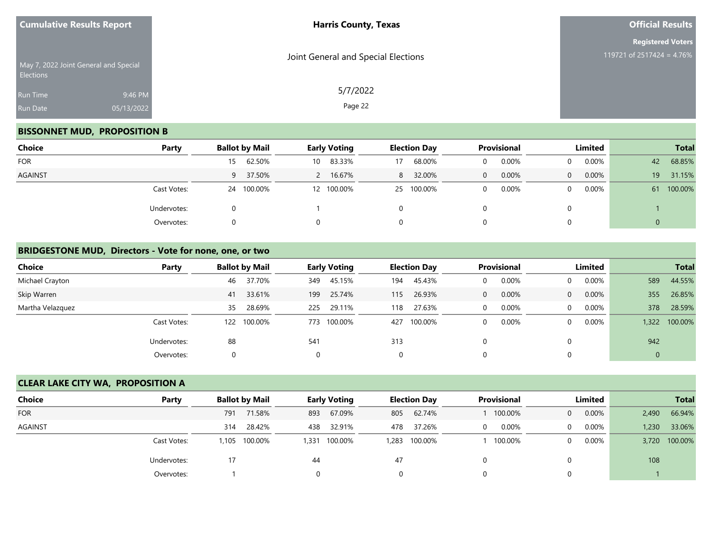| <b>Cumulative Results Report</b>                   |            | <b>Harris County, Texas</b>         | <b>Official Results</b>                               |  |  |
|----------------------------------------------------|------------|-------------------------------------|-------------------------------------------------------|--|--|
|                                                    |            |                                     | <b>Registered Voters</b><br>119721 of 2517424 = 4.76% |  |  |
| May 7, 2022 Joint General and Special<br>Elections |            | Joint General and Special Elections |                                                       |  |  |
| Run Time                                           | 9:46 PM    | 5/7/2022                            |                                                       |  |  |
| Run Date                                           | 05/13/2022 | Page 22                             |                                                       |  |  |

## **BISSONNET MUD, PROPOSITION B**

| <b>Choice</b> | Party       | <b>Ballot by Mail</b> | <b>Early Voting</b> | <b>Election Day</b> | Provisional | Limited              | <b>Total</b>  |
|---------------|-------------|-----------------------|---------------------|---------------------|-------------|----------------------|---------------|
| <b>FOR</b>    |             | 62.50%<br>15          | 83.33%<br>10        | 68.00%<br>17        | 0.00%       | 0.00%<br>0           | 68.85%<br>42  |
| AGAINST       |             | 9 37.50%              | 16.67%              | 32.00%<br>8         | 0.00%<br>0  | $0.00\%$<br>$\Omega$ | 19<br>31.15%  |
|               | Cast Votes: | 24 100.00%            | 12 100.00%          | 25 100.00%          | 0.00%<br>0  | $0.00\%$<br>$\Omega$ | 100.00%<br>61 |
|               | Undervotes: |                       |                     | 0                   |             |                      |               |
|               | Overvotes:  |                       | $\Omega$            | 0                   |             |                      | 0             |

#### **BRIDGESTONE MUD, Directors - Vote for none, one, or two**

| <b>Choice</b>    | Party       | <b>Ballot by Mail</b> |             |          | <b>Early Voting</b> |     | <b>Election Day</b> |   | <b>Provisional</b> |          | Limited  |             | <b>Total</b> |
|------------------|-------------|-----------------------|-------------|----------|---------------------|-----|---------------------|---|--------------------|----------|----------|-------------|--------------|
| Michael Crayton  |             | 46                    | 37.70%      | 349      | 45.15%              | 194 | 45.43%              |   | 0.00%              | $\Omega$ | $0.00\%$ | 589         | 44.55%       |
| Skip Warren      |             | 41                    | 33.61%      | 199      | 25.74%              | 115 | 26.93%              | 0 | 0.00%              | $\Omega$ | 0.00%    | 355         | 26.85%       |
| Martha Velazquez |             | 35                    | 28.69%      | 225      | 29.11%              | 118 | 27.63%              | 0 | 0.00%              | $\Omega$ | 0.00%    | 378         | 28.59%       |
|                  | Cast Votes: |                       | 122 100.00% | 773      | 100.00%             | 427 | 100.00%             | 0 | 0.00%              | $\Omega$ | 0.00%    | 1.322       | 100.00%      |
|                  | Undervotes: | 88                    |             | 541      |                     | 313 |                     | 0 |                    |          |          | 942         |              |
|                  | Overvotes:  |                       |             | $\Omega$ |                     | 0   |                     | 0 |                    |          |          | $\mathbf 0$ |              |

## **CLEAR LAKE CITY WA, PROPOSITION A**

| <b>Choice</b> | Party       | <b>Ballot by Mail</b><br><b>Early Voting</b> |         |     | <b>Provisional</b><br><b>Election Day</b> |     |               |          | Limited  |                | <b>Total</b> |       |               |
|---------------|-------------|----------------------------------------------|---------|-----|-------------------------------------------|-----|---------------|----------|----------|----------------|--------------|-------|---------------|
| <b>FOR</b>    |             | 791                                          | 71.58%  | 893 | 67.09%                                    | 805 | 62.74%        |          | 100.00%  | $\overline{0}$ | 0.00%        | 2,490 | 66.94%        |
| AGAINST       |             | 314                                          | 28.42%  | 438 | 32.91%                                    | 478 | 37.26%        | $\Omega$ | $0.00\%$ | $\mathbf{0}$   | $0.00\%$     | 1,230 | 33.06%        |
|               | Cast Votes: | .105                                         | 100.00% |     | 1,331 100.00%                             |     | 1,283 100.00% |          | 100.00%  | $\Omega$       | $0.00\%$     |       | 3,720 100.00% |
|               | Undervotes: | 17                                           |         | 44  |                                           | 47  |               |          |          |                |              | 108   |               |
|               | Overvotes:  |                                              |         | 0   |                                           |     |               |          |          |                |              |       |               |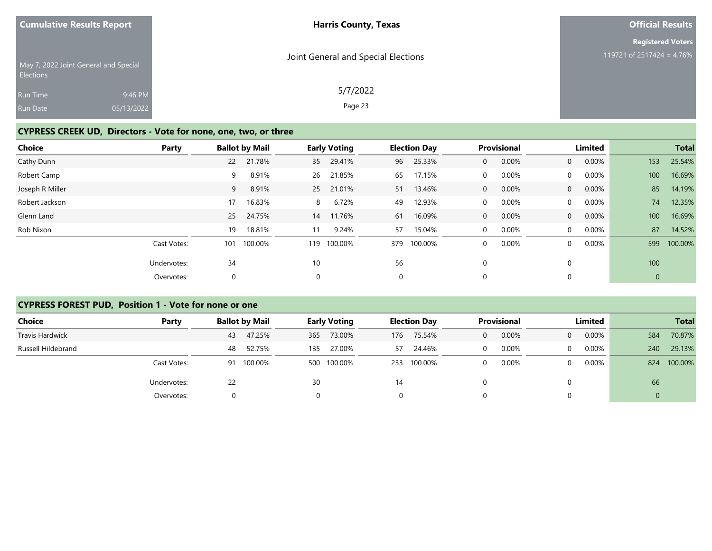| <b>Cumulative Results Report</b>                   |            | <b>Harris County, Texas</b>         | <b>Official Results</b>   |
|----------------------------------------------------|------------|-------------------------------------|---------------------------|
|                                                    |            |                                     | <b>Registered Voters</b>  |
| May 7, 2022 Joint General and Special<br>Elections |            | Joint General and Special Elections | 119721 of 2517424 = 4.76% |
| Run Time                                           | 9:46 PM    | 5/7/2022                            |                           |
| Run Date                                           | 05/13/2022 | Page 23                             |                           |

## **CYPRESS CREEK UD, Directors - Vote for none, one, two, or three**

| <b>Choice</b>   | Party       |     | <b>Ballot by Mail</b> |     | <b>Early Voting</b> |             | <b>Election Day</b> |              | <b>Provisional</b> |                | Limited  |              | <b>Total</b> |
|-----------------|-------------|-----|-----------------------|-----|---------------------|-------------|---------------------|--------------|--------------------|----------------|----------|--------------|--------------|
| Cathy Dunn      |             | 22  | 21.78%                | 35  | 29.41%              | 96          | 25.33%              | $\mathbf{0}$ | 0.00%              | $\overline{0}$ | 0.00%    | 153          | 25.54%       |
| Robert Camp     |             | 9   | 8.91%                 | 26  | 21.85%              | 65          | 17.15%              | $\mathbf 0$  | 0.00%              | $\Omega$       | $0.00\%$ | 100          | 16.69%       |
| Joseph R Miller |             | 9   | 8.91%                 | 25  | 21.01%              | 51          | 13.46%              | 0            | 0.00%              | $\overline{0}$ | $0.00\%$ | 85           | 14.19%       |
| Robert Jackson  |             | 17  | 16.83%                | 8   | 6.72%               | 49          | 12.93%              | $\mathbf 0$  | 0.00%              | $\overline{0}$ | $0.00\%$ | 74           | 12.35%       |
| Glenn Land      |             | 25  | 24.75%                | 14  | 11.76%              | 61          | 16.09%              | 0            | $0.00\%$           | $\overline{0}$ | 0.00%    | 100          | 16.69%       |
| Rob Nixon       |             | 19  | 18.81%                | 11  | 9.24%               | 57          | 15.04%              | $\mathbf 0$  | 0.00%              | $\Omega$       | $0.00\%$ | 87           | 14.52%       |
|                 | Cast Votes: | 101 | 100.00%               | 119 | 100.00%             | 379         | 100.00%             | 0            | 0.00%              | $\Omega$       | 0.00%    | 599          | 100.00%      |
|                 | Undervotes: | 34  |                       | 10  |                     | 56          |                     | 0            |                    |                |          | 100          |              |
|                 | Overvotes:  | 0   |                       | 0   |                     | $\mathbf 0$ |                     | 0            |                    |                |          | $\mathbf{0}$ |              |

#### **CYPRESS FOREST PUD, Position 1 - Vote for none or one**

| <b>Choice</b>      | Party       | <b>Ballot by Mail</b> | <b>Early Voting</b> | <b>Election Day</b> | <b>Provisional</b> | Limited           | <b>Total</b>   |
|--------------------|-------------|-----------------------|---------------------|---------------------|--------------------|-------------------|----------------|
| Travis Hardwick    |             | 47.25%<br>43          | 73.00%<br>365       | 75.54%<br>176       | 0.00%<br>0         | 0.00%<br>$\Omega$ | 70.87%<br>584  |
| Russell Hildebrand |             | 52.75%<br>48          | 27.00%<br>135       | 24.46%<br>57        | 0.00%              | 0.00%<br>$\Omega$ | 29.13%<br>240  |
|                    | Cast Votes: | 100.00%<br>91         | 100.00%<br>500      | 100.00%<br>233      | 0.00%              | 0.00%<br>0        | 100.00%<br>824 |
|                    | Undervotes: | 22                    | 30                  | 14                  |                    | 0                 | 66             |
|                    | Overvotes:  |                       |                     | 0                   |                    |                   |                |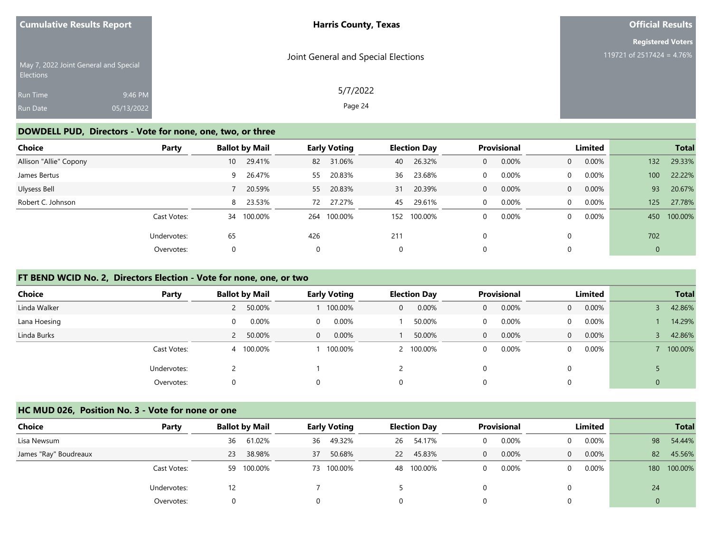| <b>Cumulative Results Report</b>                          | <b>Harris County, Texas</b>         | <b>Official Results</b>   |
|-----------------------------------------------------------|-------------------------------------|---------------------------|
|                                                           |                                     | <b>Registered Voters</b>  |
| May 7, 2022 Joint General and Special<br><b>Elections</b> | Joint General and Special Elections | 119721 of 2517424 = 4.76% |
| 9:46 PM<br><b>Run Time</b>                                | 5/7/2022                            |                           |
| 05/13/2022<br><b>Run Date</b>                             | Page 24                             |                           |

#### **DOWDELL PUD, Directors - Vote for none, one, two, or three**

| Choice                 | Party       |                 | <b>Ballot by Mail</b> |     | <b>Early Voting</b> |     | <b>Election Day</b> |              | Provisional |                | Limited  |             | <b>Total</b> |
|------------------------|-------------|-----------------|-----------------------|-----|---------------------|-----|---------------------|--------------|-------------|----------------|----------|-------------|--------------|
| Allison "Allie" Copony |             | 10 <sup>°</sup> | 29.41%                | 82  | 31.06%              | 40  | 26.32%              | 0            | 0.00%       | $\overline{0}$ | $0.00\%$ | 132         | 29.33%       |
| James Bertus           |             |                 | 9 26.47%              | 55  | 20.83%              | 36  | 23.68%              | 0            | 0.00%       | $\mathbf{0}$   | $0.00\%$ | 100         | 22.22%       |
| Ulysess Bell           |             |                 | 20.59%                | 55  | 20.83%              | 31  | 20.39%              | 0            | 0.00%       | $\overline{0}$ | $0.00\%$ | 93          | 20.67%       |
| Robert C. Johnson      |             |                 | 8 23.53%              | 72  | 27.27%              | 45  | 29.61%              | $\mathbf{0}$ | 0.00%       | $\overline{0}$ | 0.00%    | 125         | 27.78%       |
|                        | Cast Votes: | 34              | 100.00%               | 264 | 100.00%             | 152 | 100.00%             | 0            | 0.00%       | $\mathbf{0}$   | 0.00%    | 450         | 100.00%      |
|                        | Undervotes: | 65              |                       | 426 |                     | 211 |                     | 0            |             | $\Omega$       |          | 702         |              |
|                        | Overvotes:  | $\mathbf 0$     |                       | 0   |                     | 0   |                     | 0            |             | $\Omega$       |          | $\mathbf 0$ |              |

#### **FT BEND WCID No. 2, Directors Election - Vote for none, one, or two**

| <b>Choice</b> | Party       | <b>Ballot by Mail</b> |           |              | <b>Early Voting</b> |             | <b>Election Day</b> |              | <b>Provisional</b> |                | Limited  |   | <b>Total</b> |
|---------------|-------------|-----------------------|-----------|--------------|---------------------|-------------|---------------------|--------------|--------------------|----------------|----------|---|--------------|
| Linda Walker  |             |                       | 2 50.00%  |              | 100.00%             | 0           | 0.00%               | $\mathbf{0}$ | 0.00%              | $\overline{0}$ | $0.00\%$ |   | 42.86%       |
| Lana Hoesing  |             | 0                     | 0.00%     | $\Omega$     | 0.00%               |             | 50.00%              | 0            | 0.00%              | $\overline{0}$ | $0.00\%$ |   | 14.29%       |
| Linda Burks   |             |                       | 2 50.00%  | $\mathbf{0}$ | 0.00%               |             | 50.00%              | $\mathbf{0}$ | 0.00%              | $\overline{0}$ | $0.00\%$ |   | 42.86%       |
|               | Cast Votes: |                       | 4 100.00% |              | 100.00%             |             | 2 100.00%           | 0            | 0.00%              | $\Omega$       | $0.00\%$ |   | 100.00%      |
|               | Undervotes: |                       |           |              |                     |             |                     | 0            |                    |                |          |   |              |
|               | Overvotes:  |                       |           |              |                     | $\mathbf 0$ |                     | 0            |                    |                |          | 0 |              |

#### **HC MUD 026, Position No. 3 - Vote for none or one**

| Choice                | Party       | <b>Ballot by Mail</b> | <b>Early Voting</b> | <b>Election Day</b> | <b>Provisional</b> | Limited              | <b>Total</b>   |
|-----------------------|-------------|-----------------------|---------------------|---------------------|--------------------|----------------------|----------------|
| Lisa Newsum           |             | 61.02%<br>36          | 49.32%<br>36        | 54.17%<br>26        | 0.00%              | $0.00\%$<br>$\Omega$ | 98<br>54.44%   |
| James "Ray" Boudreaux |             | 38.98%<br>23          | 50.68%<br>37        | 45.83%<br><b>22</b> | 0.00%<br>0         | 0.00%<br>$\Omega$    | 82<br>45.56%   |
|                       | Cast Votes: | 100.00%<br>59         | 73 100.00%          | 48 100.00%          | 0.00%              | $0.00\%$<br>$\Omega$ | 100.00%<br>180 |
|                       | Undervotes: | 12                    |                     |                     |                    | 0                    | 24             |
|                       | Overvotes:  | 0                     | 0                   | $\Omega$            |                    | 0                    |                |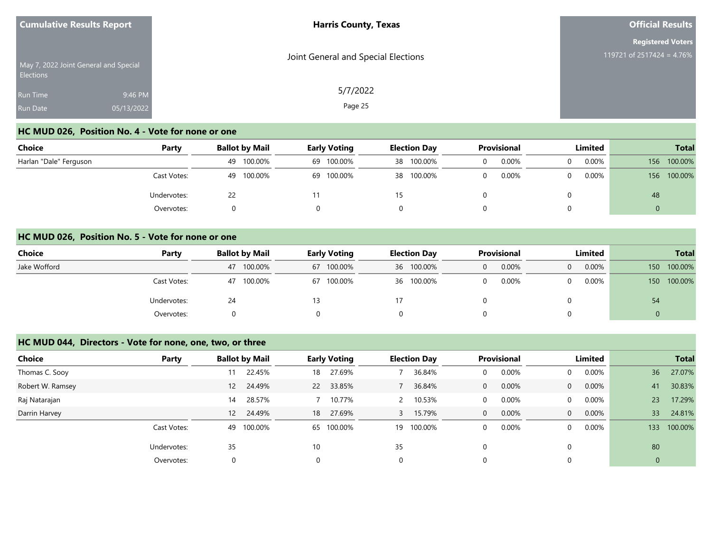| <b>Cumulative Results Report</b>   |                                       | <b>Harris County, Texas</b>         | <b>Official Results</b>                               |
|------------------------------------|---------------------------------------|-------------------------------------|-------------------------------------------------------|
| <b>Elections</b>                   | May 7, 2022 Joint General and Special | Joint General and Special Elections | <b>Registered Voters</b><br>119721 of 2517424 = 4.76% |
| <b>Run Time</b><br><b>Run Date</b> | 9:46 PM<br>05/13/2022                 | 5/7/2022<br>Page 25                 |                                                       |

## **HC MUD 026, Position No. 4 - Vote for none or one**

| <b>Choice</b>          | Party       | <b>Ballot by Mail</b> | <b>Early Voting</b> | <b>Election Day</b> | <b>Provisional</b> | Limited           | <b>Total</b>   |
|------------------------|-------------|-----------------------|---------------------|---------------------|--------------------|-------------------|----------------|
| Harlan "Dale" Ferguson |             | 100.00%<br>49         | 69 100.00%          | 38 100.00%          | 0.00%              | 0.00%<br>$\Omega$ | 100.00%<br>156 |
|                        | Cast Votes: | 100.00%<br>49         | 69 100.00%          | 38 100.00%          | 0.00%              | $0.00\%$<br>0     | 100.00%<br>156 |
|                        | Undervotes: | 22                    |                     |                     |                    |                   | 48             |
|                        | Overvotes:  |                       |                     |                     |                    |                   |                |

#### **HC MUD 026, Position No. 5 - Vote for none or one**

| Choice       | Party       | <b>Ballot by Mail</b> | <b>Early Voting</b> | <b>Election Day</b> | <b>Provisional</b> | <b>Limited</b>    | <b>Total</b>                |  |
|--------------|-------------|-----------------------|---------------------|---------------------|--------------------|-------------------|-----------------------------|--|
| Jake Wofford |             | 100.00%<br>47         | 67 100.00%          | 36 100.00%          | 0.00%              | 0.00%<br>$\Omega$ | 100.00%<br>150 <sup>°</sup> |  |
|              | Cast Votes: | 100.00%<br>47         | 67 100.00%          | 36 100.00%          | 0.00%              | $0.00\%$<br>0     | 100.00%<br>150 <sup>2</sup> |  |
|              | Undervotes: | 24                    |                     |                     |                    |                   | 54                          |  |
|              | Overvotes:  |                       |                     | 0                   |                    |                   | v                           |  |

#### **HC MUD 044, Directors - Vote for none, one, two, or three**

| <b>Choice</b>    | Party       | <b>Ballot by Mail</b> | <b>Early Voting</b> |        |    | <b>Election Day</b> |              | Provisional |                | Limited  |              | <b>Total</b> |
|------------------|-------------|-----------------------|---------------------|--------|----|---------------------|--------------|-------------|----------------|----------|--------------|--------------|
| Thomas C. Sooy   |             | 22.45%<br>11          | 18                  | 27.69% |    | 36.84%              | 0            | 0.00%       | $\Omega$       | 0.00%    | 36           | 27.07%       |
| Robert W. Ramsey |             | 12 24.49%             | 22 33.85%           |        |    | 36.84%              | 0            | 0.00%       | $\overline{0}$ | $0.00\%$ | 41           | 30.83%       |
| Raj Natarajan    |             | 28.57%<br>14          |                     | 10.77% |    | 10.53%              | 0            | 0.00%       | $\Omega$       | 0.00%    | 23           | 17.29%       |
| Darrin Harvey    |             | 12 24.49%             | 18                  | 27.69% | 3  | 15.79%              | $\mathbf{0}$ | 0.00%       | $\overline{0}$ | $0.00\%$ | 33           | 24.81%       |
|                  | Cast Votes: | 100.00%<br>49         | 65 100.00%          |        | 19 | 100.00%             | 0            | 0.00%       | $\Omega$       | 0.00%    | 133          | 100.00%      |
|                  | Undervotes: | 35                    | 10                  |        | 35 |                     | 0            |             |                |          | 80           |              |
|                  | Overvotes:  | 0                     | $\mathbf 0$         |        | 0  |                     | 0            |             |                |          | $\mathbf{0}$ |              |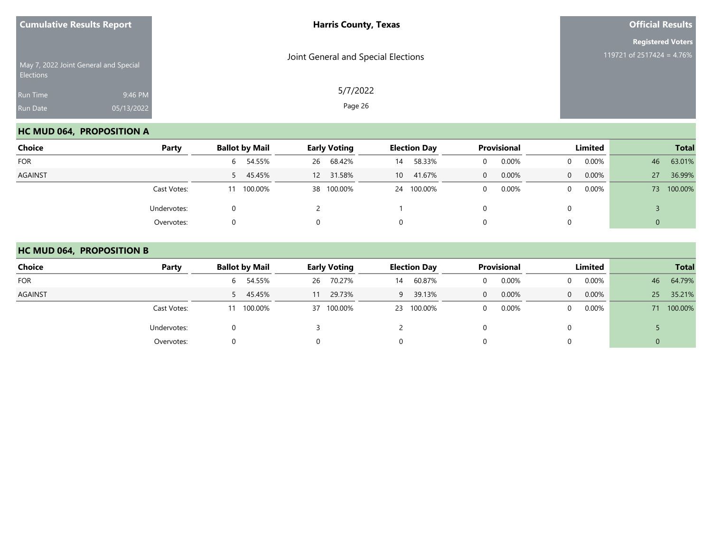| <b>Cumulative Results Report</b>      |            | <b>Harris County, Texas</b>         | <b>Official Results</b>                               |
|---------------------------------------|------------|-------------------------------------|-------------------------------------------------------|
| May 7, 2022 Joint General and Special |            | Joint General and Special Elections | <b>Registered Voters</b><br>119721 of 2517424 = 4.76% |
| Elections                             |            |                                     |                                                       |
| Run Time                              | 9:46 PM    | 5/7/2022                            |                                                       |
| Run Date                              | 05/13/2022 | Page 26                             |                                                       |

## **HC MUD 064, PROPOSITION A**

| <b>Choice</b>  | Party       | <b>Ballot by Mail</b> | <b>Early Voting</b> | <b>Election Day</b> | Provisional       | Limited           | <b>Total</b>  |
|----------------|-------------|-----------------------|---------------------|---------------------|-------------------|-------------------|---------------|
| <b>FOR</b>     |             | 6 54.55%              | 68.42%<br>26        | 58.33%<br>14        | 0.00%             | 0.00%<br>$\Omega$ | 63.01%<br>46  |
| <b>AGAINST</b> |             | 5 45.45%              | 12 31.58%           | 41.67%<br>10        | 0.00%<br>$\Omega$ | 0.00%<br>$\Omega$ | 36.99%<br>27  |
|                | Cast Votes: | 11 100.00%            | 38 100.00%          | 24 100.00%          | 0.00%             | 0.00%<br>$\Omega$ | 100.00%<br>73 |
|                | Undervotes: |                       |                     |                     |                   |                   |               |
|                | Overvotes:  |                       | $\Omega$            | 0                   |                   |                   | 0             |

#### **HC MUD 064, PROPOSITION B**

| Choice         | Party       | <b>Ballot by Mail</b> | <b>Early Voting</b> | <b>Election Day</b> | <b>Provisional</b> | <b>Limited</b>       | <b>Total</b> |
|----------------|-------------|-----------------------|---------------------|---------------------|--------------------|----------------------|--------------|
| <b>FOR</b>     |             | 6 54.55%              | 70.27%<br>26        | 60.87%<br>14        | 0.00%              | 0.00%<br>$\Omega$    | 64.79%<br>46 |
| <b>AGAINST</b> |             | 5 45.45%              | 29.73%<br>11        | 39.13%<br>9         | 0.00%<br>0         | $0.00\%$<br>$\Omega$ | 25<br>35.21% |
|                | Cast Votes: | 100.00%<br>11         | 37 100.00%          | 23 100.00%          | 0.00%              | $0.00\%$<br>$\Omega$ | 71 100.00%   |
|                | Undervotes: |                       |                     |                     |                    | 0                    |              |
|                | Overvotes:  |                       |                     | 0                   |                    | 0                    | U            |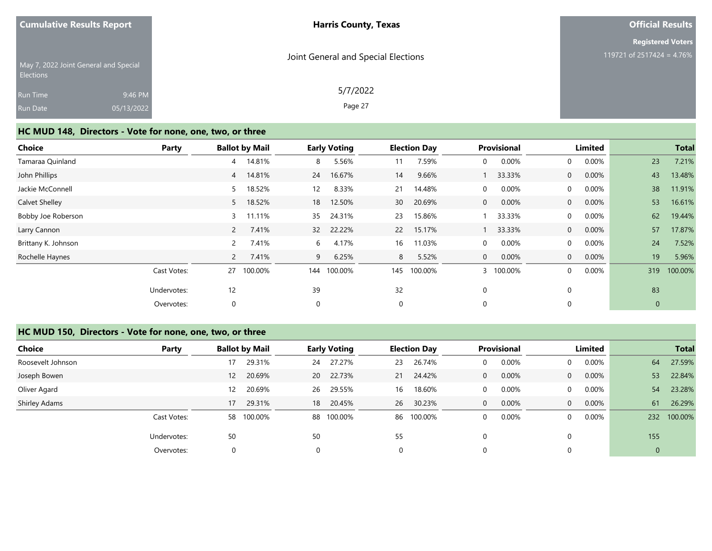| <b>Harris County, Texas</b>         | <b>Official Results</b>   |
|-------------------------------------|---------------------------|
|                                     | <b>Registered Voters</b>  |
| Joint General and Special Elections | 119721 of 2517424 = 4.76% |
| 5/7/2022                            |                           |
| Page 27                             |                           |
|                                     |                           |

#### **HC MUD 148, Directors - Vote for none, one, two, or three**

| <b>Choice</b>       | <b>Party</b> |                | <b>Ballot by Mail</b> |                 | <b>Early Voting</b> |             | <b>Election Day</b> |              | <b>Provisional</b> |                | Limited |              | <b>Total</b> |
|---------------------|--------------|----------------|-----------------------|-----------------|---------------------|-------------|---------------------|--------------|--------------------|----------------|---------|--------------|--------------|
| Tamaraa Quinland    |              | 4              | 14.81%                | 8               | 5.56%               | 11          | 7.59%               | 0            | 0.00%              | $\overline{0}$ | 0.00%   | 23           | 7.21%        |
| John Phillips       |              | $\overline{4}$ | 14.81%                | 24              | 16.67%              | 14          | 9.66%               |              | 33.33%             | $\overline{0}$ | 0.00%   | 43           | 13.48%       |
| Jackie McConnell    |              | 5              | 18.52%                | 12 <sup>2</sup> | 8.33%               | 21          | 14.48%              | $\mathbf 0$  | 0.00%              | $\overline{0}$ | 0.00%   | 38           | 11.91%       |
| Calvet Shelley      |              | 5              | 18.52%                | 18              | 12.50%              | 30          | 20.69%              | $\mathbf{0}$ | 0.00%              | $\overline{0}$ | 0.00%   | 53           | 16.61%       |
| Bobby Joe Roberson  |              | 3              | 11.11%                | 35              | 24.31%              | 23          | 15.86%              |              | 33.33%             | $\Omega$       | 0.00%   | 62           | 19.44%       |
| Larry Cannon        |              | $\overline{2}$ | 7.41%                 | 32 <sup>2</sup> | 22.22%              | 22          | 15.17%              |              | 33.33%             | $\overline{0}$ | 0.00%   | 57           | 17.87%       |
| Brittany K. Johnson |              | $\overline{2}$ | 7.41%                 | 6               | 4.17%               | 16          | 11.03%              | $\Omega$     | 0.00%              | $\Omega$       | 0.00%   | 24           | 7.52%        |
| Rochelle Haynes     |              |                | 7.41%                 | 9               | 6.25%               | 8           | 5.52%               | $\Omega$     | 0.00%              | $\Omega$       | 0.00%   | 19           | 5.96%        |
|                     | Cast Votes:  | 27             | 100.00%               | 144             | 100.00%             | 145         | 100.00%             |              | 100.00%            | $\Omega$       | 0.00%   | 319          | 100.00%      |
|                     | Undervotes:  | 12             |                       | 39              |                     | 32          |                     | $\mathbf 0$  |                    |                |         | 83           |              |
|                     | Overvotes:   | 0              |                       | 0               |                     | $\mathbf 0$ |                     | $\mathbf 0$  |                    |                |         | $\mathbf{0}$ |              |

## **HC MUD 150, Directors - Vote for none, one, two, or three**

| <b>Choice</b>     | Party       |                   | <b>Ballot by Mail</b> |    | <b>Early Voting</b> |    | <b>Election Day</b> |              | <b>Provisional</b> |                | Limited  |                | <b>Total</b> |
|-------------------|-------------|-------------------|-----------------------|----|---------------------|----|---------------------|--------------|--------------------|----------------|----------|----------------|--------------|
| Roosevelt Johnson |             | 17                | 29.31%                | 24 | 27.27%              | 23 | 26.74%              |              | 0.00%              | $\overline{0}$ | 0.00%    | 64             | 27.59%       |
| Joseph Bowen      |             | $12 \overline{ }$ | 20.69%                | 20 | 22.73%              | 21 | 24.42%              | $\Omega$     | 0.00%              | $\overline{0}$ | 0.00%    | 53             | 22.84%       |
| Oliver Agard      |             | 12                | 20.69%                | 26 | 29.55%              | 16 | 18.60%              | $\Omega$     | 0.00%              | $\overline{0}$ | $0.00\%$ | 54             | 23.28%       |
| Shirley Adams     |             | 17                | 29.31%                | 18 | 20.45%              | 26 | 30.23%              | $\mathbf{0}$ | 0.00%              | $\overline{0}$ | 0.00%    | 61             | 26.29%       |
|                   | Cast Votes: |                   | 58 100.00%            |    | 88 100.00%          | 86 | 100.00%             | $\Omega$     | 0.00%              | $\Omega$       | $0.00\%$ | 232            | 100.00%      |
|                   | Undervotes: | 50                |                       | 50 |                     | 55 |                     |              |                    | $\Omega$       |          | 155            |              |
|                   | Overvotes:  | $\Omega$          |                       |    |                     | 0  |                     |              |                    | $\mathbf 0$    |          | $\overline{0}$ |              |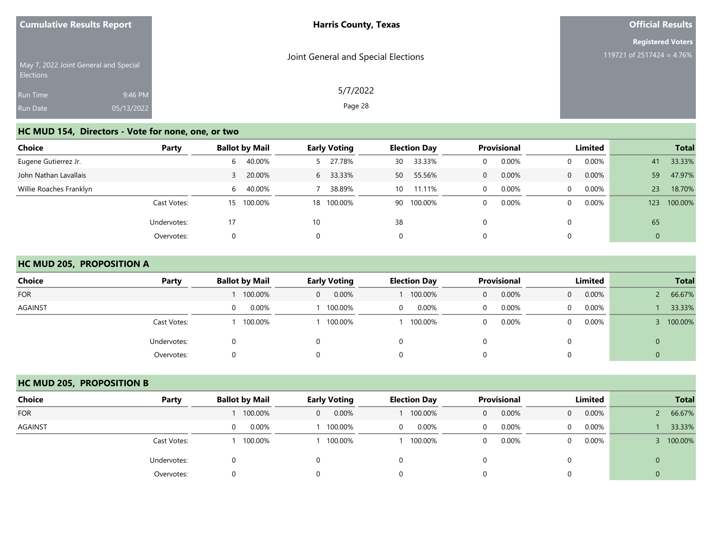| <b>Cumulative Results Report</b>                   |                       | <b>Harris County, Texas</b>         | <b>Official Results</b>                               |
|----------------------------------------------------|-----------------------|-------------------------------------|-------------------------------------------------------|
| May 7, 2022 Joint General and Special<br>Elections |                       | Joint General and Special Elections | <b>Registered Voters</b><br>119721 of 2517424 = 4.76% |
| Run Time<br>Run Date                               | 9:46 PM<br>05/13/2022 | 5/7/2022<br>Page 28                 |                                                       |

# **HC MUD 154, Directors - Vote for none, one, or two**

| <b>Choice</b>           | Party       | <b>Ballot by Mail</b> | <b>Early Voting</b> | <b>Election Day</b> | Provisional       | Limited           | <b>Total</b>   |
|-------------------------|-------------|-----------------------|---------------------|---------------------|-------------------|-------------------|----------------|
| Eugene Gutierrez Jr.    |             | 40.00%<br>6           | 27.78%              | 33.33%<br>30        | 0.00%<br>0        | 0.00%<br>$\Omega$ | 33.33%<br>41   |
| John Nathan Lavallais   |             | 20.00%                | 33.33%<br>6         | 55.56%<br>50        | 0.00%<br>$\Omega$ | 0.00%<br>$\Omega$ | 59<br>47.97%   |
| Willie Roaches Franklyn |             | 40.00%<br>6.          | 38.89%              | 11.11%<br>10        | 0.00%<br>$\Omega$ | 0.00%<br>$\Omega$ | 18.70%<br>23   |
|                         | Cast Votes: | 15 100.00%            | 18 100.00%          | 90 100.00%          | 0.00%<br>$\Omega$ | 0.00%<br>$\Omega$ | 100.00%<br>123 |
|                         | Undervotes: | 17                    | 10                  | 38                  | 0                 |                   | 65             |
|                         | Overvotes:  |                       |                     | $\Omega$            | 0                 |                   | 0              |

#### **HC MUD 205, PROPOSITION A**

| <b>Choice</b>  | Party       | <b>Ballot by Mail</b> | <b>Early Voting</b> | <b>Election Day</b> | Provisional | Limited              | <b>Total</b>   |
|----------------|-------------|-----------------------|---------------------|---------------------|-------------|----------------------|----------------|
| <b>FOR</b>     |             | 100.00%               | 0.00%<br>0          | 100.00%             | 0.00%<br>0  | 0.00%<br>$\Omega$    | 66.67%         |
| <b>AGAINST</b> |             | 0.00%<br>0            | 100.00%             | 0.00%<br>0          | 0.00%<br>0  | $0.00\%$<br>$\Omega$ | 33.33%         |
|                | Cast Votes: | 100.00%               | 100.00%             | 100.00%             | 0.00%<br>0  | $0.00\%$<br>$\Omega$ | 100.00%        |
|                | Undervotes: |                       |                     | 0                   |             |                      | $\overline{0}$ |
|                | Overvotes:  |                       |                     | 0                   | 0           |                      | 0              |

## **HC MUD 205, PROPOSITION B**

| <b>Choice</b>  | Party       | <b>Ballot by Mail</b> | <b>Early Voting</b> | <b>Election Day</b> | <b>Provisional</b> | Limited                    | <b>Total</b> |
|----------------|-------------|-----------------------|---------------------|---------------------|--------------------|----------------------------|--------------|
| <b>FOR</b>     |             | 100.00%               | 0.00%<br>$\Omega$   | 100.00%             | 0.00%<br>$\Omega$  | $0.00\%$<br>$\overline{0}$ | 66.67%       |
| <b>AGAINST</b> |             | 0.00%<br>0            | 100.00%             | 0.00%<br>0          | 0.00%              | $0.00\%$<br>0              | 33.33%       |
|                | Cast Votes: | 100.00%               | 100.00%             | 100.00%             | 0.00%              | $0.00\%$<br>$\Omega$       | 100.00%      |
|                | Undervotes: | $\Omega$              |                     |                     |                    |                            | $\mathbf 0$  |
|                | Overvotes:  | $\Omega$              |                     |                     |                    |                            | 0            |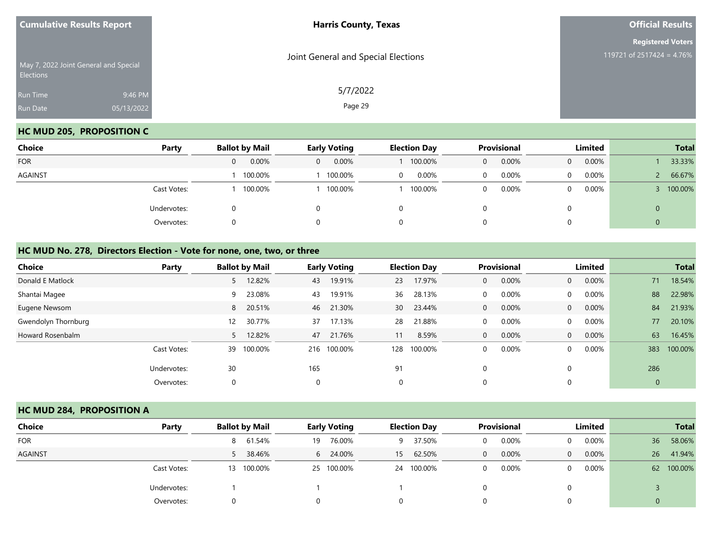| <b>Cumulative Results Report</b> |                                       | <b>Harris County, Texas</b>         | <b>Official Results</b>                               |  |  |
|----------------------------------|---------------------------------------|-------------------------------------|-------------------------------------------------------|--|--|
| Elections                        | May 7, 2022 Joint General and Special | Joint General and Special Elections | <b>Registered Voters</b><br>119721 of 2517424 = 4.76% |  |  |
| Run Time<br>Run Date             | 9:46 PM<br>05/13/2022                 | 5/7/2022<br>Page 29                 |                                                       |  |  |

## **HC MUD 205, PROPOSITION C**

| Choice     | Party       | <b>Ballot by Mail</b> | <b>Early Voting</b>     | <b>Election Day</b> | Provisional       | Limited           | <b>Total</b> |
|------------|-------------|-----------------------|-------------------------|---------------------|-------------------|-------------------|--------------|
| <b>FOR</b> |             | 0.00%                 | 0.00%<br>$\overline{0}$ | 100.00%             | 0.00%<br>$\Omega$ | 0.00%<br>$\Omega$ | 33.33%       |
| AGAINST    |             | 100.00%               | 100.00%                 | 0.00%<br>$\Omega$   | 0.00%<br>$\Omega$ | 0.00%             | 66.67%       |
|            | Cast Votes: | 100.00%               | 100.00%                 | 100.00%             | 0.00%<br>$\Omega$ | 0.00%             | 100.00%      |
|            | Undervotes: |                       | 0                       |                     |                   |                   | 0            |
|            | Overvotes:  |                       | 0                       |                     |                   |                   | 0            |

#### **HC MUD No. 278, Directors Election - Vote for none, one, two, or three**

| <b>Choice</b>       | Party       |    | <b>Ballot by Mail</b> |     | <b>Early Voting</b> |             | <b>Election Day</b> |              | <b>Provisional</b> |                | Limited  |              | <b>Total</b> |
|---------------------|-------------|----|-----------------------|-----|---------------------|-------------|---------------------|--------------|--------------------|----------------|----------|--------------|--------------|
| Donald E Matlock    |             |    | 12.82%                | 43  | 19.91%              | 23          | 17.97%              | $\Omega$     | 0.00%              | $\overline{0}$ | 0.00%    | 71           | 18.54%       |
| Shantai Magee       |             | 9  | 23.08%                | 43  | 19.91%              | 36          | 28.13%              | $\Omega$     | 0.00%              | $\Omega$       | $0.00\%$ | 88           | 22.98%       |
| Eugene Newsom       |             | 8  | 20.51%                | 46  | 21.30%              | 30          | 23.44%              | $\mathbf{0}$ | 0.00%              | $\overline{0}$ | 0.00%    | 84           | 21.93%       |
| Gwendolyn Thornburg |             | 12 | 30.77%                | 37  | 17.13%              | 28          | 21.88%              | $\Omega$     | 0.00%              | $\Omega$       | 0.00%    | 77           | 20.10%       |
| Howard Rosenbalm    |             |    | 12.82%                | 47  | 21.76%              | 11          | 8.59%               | $\Omega$     | 0.00%              | $\Omega$       | 0.00%    | 63           | 16.45%       |
|                     | Cast Votes: | 39 | 100.00%               | 216 | 100.00%             | 128         | 100.00%             | $\Omega$     | 0.00%              | $\Omega$       | 0.00%    | 383          | 100.00%      |
|                     | Undervotes: | 30 |                       | 165 |                     | 91          |                     | $\Omega$     |                    |                |          | 286          |              |
|                     | Overvotes:  | 0  |                       | 0   |                     | $\mathbf 0$ |                     | $\Omega$     |                    |                |          | $\mathbf{0}$ |              |

#### **HC MUD 284, PROPOSITION A**

| <b>Choice</b> | Party       | <b>Ballot by Mail</b> | <b>Early Voting</b> | <b>Election Day</b> | <b>Provisional</b>   | Limited              | <b>Total</b> |
|---------------|-------------|-----------------------|---------------------|---------------------|----------------------|----------------------|--------------|
| <b>FOR</b>    |             | 8 61.54%              | 76.00%<br>19        | 37.50%<br>9         | 0.00%<br>0           | $0.00\%$<br>$\Omega$ | 58.06%<br>36 |
| AGAINST       |             | 5 38.46%              | 6 24.00%            | 62.50%<br>15        | $0.00\%$<br>$\Omega$ | $0.00\%$<br>$\Omega$ | 41.94%<br>26 |
|               | Cast Votes: | 13 100.00%            | 25 100.00%          | 100.00%<br>24       | 0.00%<br>$\mathbf 0$ | $0.00\%$<br>$\Omega$ | 62 100.00%   |
|               | Undervotes: |                       |                     |                     |                      |                      |              |
|               | Overvotes:  |                       |                     | 0                   |                      |                      | $\Omega$     |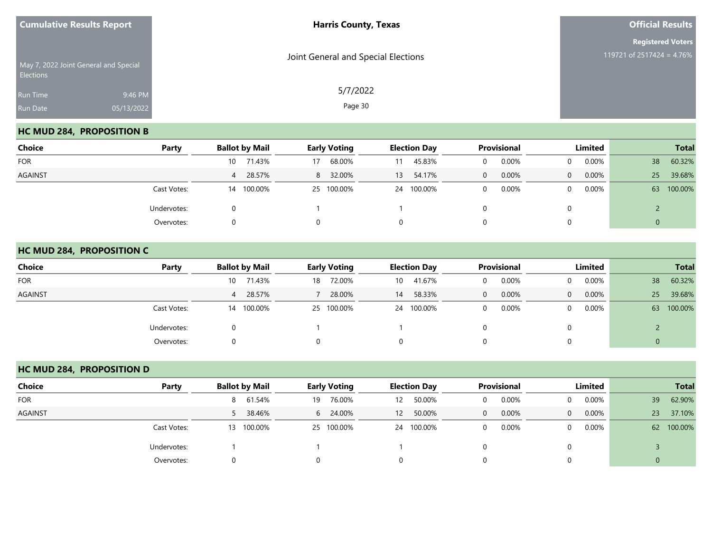| <b>Cumulative Results Report</b>                | <b>Harris County, Texas</b>         | <b>Official Results</b>                               |  |  |
|-------------------------------------------------|-------------------------------------|-------------------------------------------------------|--|--|
| May 7, 2022 Joint General and Special           | Joint General and Special Elections | <b>Registered Voters</b><br>119721 of 2517424 = 4.76% |  |  |
| Elections<br>Run Time<br>05/13/2022<br>Run Date | 5/7/2022<br>9:46 PM<br>Page 30      |                                                       |  |  |

## **HC MUD 284, PROPOSITION B**

| Choice         | Party       | <b>Ballot by Mail</b> | <b>Early Voting</b> | <b>Election Day</b> | Provisional       | Limited              | <b>Total</b>  |
|----------------|-------------|-----------------------|---------------------|---------------------|-------------------|----------------------|---------------|
| <b>FOR</b>     |             | 71.43%<br>10          | 68.00%<br>17        | 45.83%<br>11        | 0.00%             | $0.00\%$<br>$\Omega$ | 60.32%<br>38  |
| <b>AGAINST</b> |             | 4 28.57%              | 32.00%<br>8         | 54.17%<br>13        | 0.00%<br>$\Omega$ | $0.00\%$<br>$\Omega$ | 39.68%<br>25  |
|                | Cast Votes: | 14 100.00%            | 25 100.00%          | 24 100.00%          | 0.00%             | $0.00\%$<br>$\Omega$ | 100.00%<br>63 |
|                | Undervotes: |                       |                     |                     |                   | 0                    |               |
|                | Overvotes:  |                       |                     | 0                   |                   | 0                    | 0             |

#### **HC MUD 284, PROPOSITION C**

| <b>Choice</b>  | Party       | <b>Ballot by Mail</b> | <b>Early Voting</b> | <b>Election Day</b> | <b>Provisional</b>   | Limited                    | <b>Total</b>  |
|----------------|-------------|-----------------------|---------------------|---------------------|----------------------|----------------------------|---------------|
| <b>FOR</b>     |             | 71.43%<br>10          | 72.00%<br>18        | 41.67%<br>10        | 0.00%<br>$\Omega$    | $0.00\%$<br>$\overline{0}$ | 60.32%<br>38  |
| <b>AGAINST</b> |             | 4 28.57%              | 28.00%              | 58.33%<br>14        | 0.00%<br>$\Omega$    | $0.00\%$<br>$\Omega$       | 39.68%<br>25  |
|                | Cast Votes: | 100.00%<br>14         | 25 100.00%          | 24 100.00%          | 0.00%<br>$\mathbf 0$ | $0.00\%$<br>$\overline{0}$ | 100.00%<br>63 |
|                | Undervotes: |                       |                     |                     |                      | 0                          |               |
|                | Overvotes:  |                       |                     | 0                   | 0                    | 0                          | U             |

## **HC MUD 284, PROPOSITION D**

| Choice         | Party       | <b>Ballot by Mail</b> | <b>Early Voting</b> | <b>Election Day</b>         | Provisional           | Limited                    | <b>Total</b>  |
|----------------|-------------|-----------------------|---------------------|-----------------------------|-----------------------|----------------------------|---------------|
| <b>FOR</b>     |             | 8 61.54%              | 76.00%<br>19        | 50.00%<br>$12 \overline{ }$ | 0.00%<br>$\Omega$     | $0.00\%$<br>$\Omega$       | 62.90%<br>39  |
| <b>AGAINST</b> |             | 38.46%                | 24.00%<br>6         | 50.00%<br>12                | 0.00%<br>$\mathbf{0}$ | $0.00\%$<br>$\overline{0}$ | 37.10%<br>23  |
|                | Cast Votes: | 100.00%<br>13         | 25 100.00%          | 24 100.00%                  | 0.00%<br>$\Omega$     | $0.00\%$<br>0              | 100.00%<br>62 |
|                | Undervotes: |                       |                     |                             |                       |                            |               |
|                | Overvotes:  |                       |                     |                             |                       |                            |               |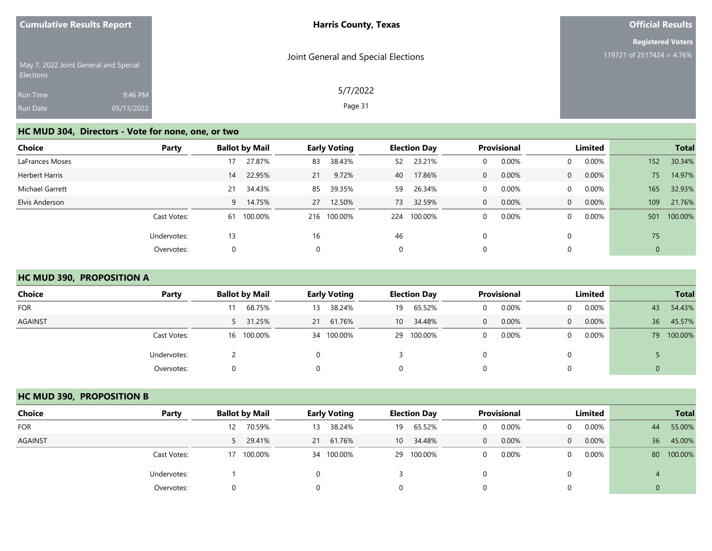| <b>Cumulative Results Report</b>                   |                       | <b>Harris County, Texas</b>         | <b>Official Results</b>                               |  |  |
|----------------------------------------------------|-----------------------|-------------------------------------|-------------------------------------------------------|--|--|
| May 7, 2022 Joint General and Special<br>Elections |                       | Joint General and Special Elections | <b>Registered Voters</b><br>119721 of 2517424 = 4.76% |  |  |
| Run Time<br>Run Date                               | 9:46 PM<br>05/13/2022 | 5/7/2022<br>Page 31                 |                                                       |  |  |

# **HC MUD 304, Directors - Vote for none, one, or two**

| Choice                | Party       |    | <b>Ballot by Mail</b> |    | <b>Early Voting</b> |     | <b>Election Day</b> |   | <b>Provisional</b> |                | Limited  |     | <b>Total</b> |
|-----------------------|-------------|----|-----------------------|----|---------------------|-----|---------------------|---|--------------------|----------------|----------|-----|--------------|
| LaFrances Moses       |             | 17 | 27.87%                | 83 | 38.43%              | 52  | 23.21%              | 0 | 0.00%              | $\mathbf{0}$   | $0.00\%$ | 152 | 30.34%       |
| <b>Herbert Harris</b> |             | 14 | 22.95%                | 21 | 9.72%               | 40  | 17.86%              | 0 | 0.00%              | $\overline{0}$ | 0.00%    | 75  | 14.97%       |
| Michael Garrett       |             | 21 | 34.43%                | 85 | 39.35%              | 59  | 26.34%              | 0 | 0.00%              | $\overline{0}$ | 0.00%    | 165 | 32.93%       |
| Elvis Anderson        |             | 9  | 14.75%                | 27 | 12.50%              | 73  | 32.59%              | 0 | 0.00%              | $\overline{0}$ | 0.00%    | 109 | 21.76%       |
|                       | Cast Votes: |    | 61 100.00%            |    | 216 100.00%         | 224 | 100.00%             | 0 | 0.00%              | $\Omega$       | $0.00\%$ | 501 | 100.00%      |
|                       | Undervotes: | 13 |                       | 16 |                     | 46  |                     | 0 |                    | $\Omega$       |          | 75  |              |
|                       | Overvotes:  | 0  |                       | 0  |                     | 0   |                     | 0 |                    | 0              |          | 0   |              |

## **HC MUD 390, PROPOSITION A**

| <b>Choice</b>  | Party       | <b>Ballot by Mail</b> | <b>Early Voting</b> | <b>Election Day</b>       | <b>Provisional</b> | Limited                    | <b>Total</b>  |
|----------------|-------------|-----------------------|---------------------|---------------------------|--------------------|----------------------------|---------------|
| <b>FOR</b>     |             | 68.75%                | 38.24%<br>13        | 65.52%<br>19              | 0.00%<br>0         | $0.00\%$<br>$\mathbf{0}$   | 54.43%<br>43  |
| <b>AGAINST</b> |             | 5 31.25%              | 21 61.76%           | 34.48%<br>10 <sup>1</sup> | 0.00%<br>$\Omega$  | $0.00\%$<br>$\overline{0}$ | 45.57%<br>36  |
|                | Cast Votes: | 16 100.00%            | 34 100.00%          | 100.00%<br>29             | 0.00%<br>0         | $0.00\%$<br>$\Omega$       | 100.00%<br>79 |
|                | Undervotes: |                       |                     |                           |                    |                            |               |
|                | Overvotes:  | $\Omega$              |                     | 0                         |                    |                            |               |

#### **HC MUD 390, PROPOSITION B**

| Choice         | Party       | <b>Ballot by Mail</b> | <b>Early Voting</b> | <b>Election Day</b> | <b>Provisional</b> | Limited                    | <b>Total</b>  |
|----------------|-------------|-----------------------|---------------------|---------------------|--------------------|----------------------------|---------------|
| <b>FOR</b>     |             | 70.59%<br>12          | 38.24%<br>13        | 65.52%<br>19        | 0.00%              | $0.00\%$<br>0              | 55.00%<br>44  |
| <b>AGAINST</b> |             | 5 29.41%              | 21 61.76%           | 34.48%<br>10        | 0.00%<br>0         | $0.00\%$<br>$\overline{0}$ | 36<br>45.00%  |
|                | Cast Votes: | 17 100.00%            | 34 100.00%          | 29 100.00%          | 0.00%              | $0.00\%$<br>0              | 100.00%<br>80 |
|                | Undervotes: |                       |                     |                     |                    |                            |               |
|                | Overvotes:  |                       |                     |                     |                    |                            |               |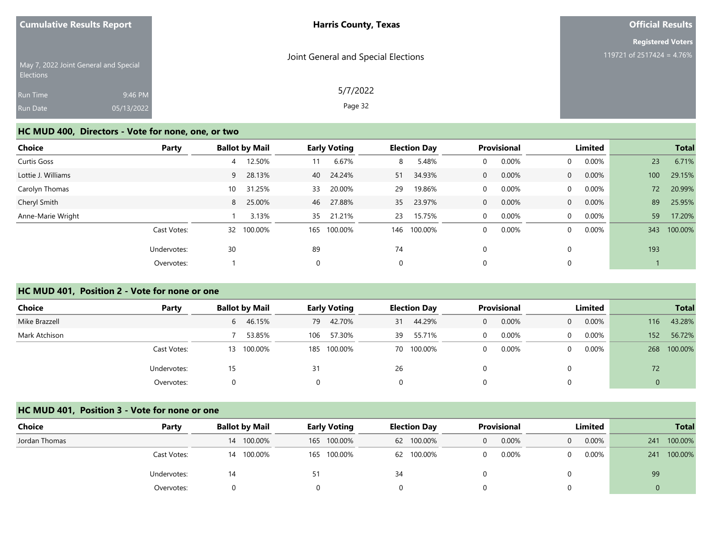| <b>Cumulative Results Report</b> |                                       | <b>Harris County, Texas</b>         | <b>Official Results</b>                               |  |  |
|----------------------------------|---------------------------------------|-------------------------------------|-------------------------------------------------------|--|--|
| Elections                        | May 7, 2022 Joint General and Special | Joint General and Special Elections | <b>Registered Voters</b><br>119721 of 2517424 = 4.76% |  |  |
| Run Time<br>Run Date             | 9:46 PM<br>05/13/2022                 | 5/7/2022<br>Page 32                 |                                                       |  |  |

#### **HC MUD 400, Directors - Vote for none, one, or two**

| <b>Choice</b>      | Party       | <b>Ballot by Mail</b> | <b>Early Voting</b> | <b>Election Day</b> | Provisional           | Limited                 | <b>Total</b>   |
|--------------------|-------------|-----------------------|---------------------|---------------------|-----------------------|-------------------------|----------------|
| Curtis Goss        |             | 12.50%<br>4           | 6.67%<br>11         | 5.48%<br>8          | 0.00%<br>0            | 0.00%<br>$\Omega$       | 23<br>6.71%    |
| Lottie J. Williams |             | 28.13%<br>9           | 24.24%<br>40        | 34.93%<br>51        | 0.00%<br>$\mathbf{0}$ | 0.00%<br>$\Omega$       | 29.15%<br>100  |
| Carolyn Thomas     |             | 31.25%<br>10          | 20.00%<br>33        | 19.86%<br>29        | 0.00%<br>$\mathbf 0$  | $0.00\%$<br>$\Omega$    | 20.99%<br>72   |
| Cheryl Smith       |             | 25.00%<br>8           | 27.88%<br>46        | 23.97%<br>35        | 0.00%<br>$\mathbf{0}$ | 0.00%<br>$\overline{0}$ | 89<br>25.95%   |
| Anne-Marie Wright  |             | 3.13%                 | 21.21%<br>35        | 15.75%<br>23        | 0.00%<br>$\mathbf 0$  | 0.00%<br>$\Omega$       | 59<br>17.20%   |
|                    | Cast Votes: | 100.00%<br>32         | 100.00%<br>165      | 146<br>100.00%      | 0.00%<br>0            | 0.00%<br>$\Omega$       | 100.00%<br>343 |
|                    | Undervotes: | 30                    | 89                  | 74                  | 0                     |                         | 193            |
|                    | Overvotes:  |                       | 0                   | $\mathbf 0$         | 0                     |                         |                |

#### **HC MUD 401, Position 2 - Vote for none or one**

| Choice<br>Party | <b>Ballot by Mail</b> | <b>Early Voting</b> | <b>Election Day</b> | <b>Provisional</b> | Limited                    | <b>Total</b>   |
|-----------------|-----------------------|---------------------|---------------------|--------------------|----------------------------|----------------|
| Mike Brazzell   | 6 46.15%              | 42.70%<br>79        | 44.29%<br>31        | 0.00%<br>0         | $0.00\%$<br>$\overline{0}$ | 43.28%<br>116  |
| Mark Atchison   | 53.85%                | 57.30%<br>106       | 55.71%<br>39        | 0.00%<br>0         | $0.00\%$<br>0              | 56.72%<br>152  |
| Cast Votes:     | 13 100.00%            | 185 100.00%         | 70 100.00%          | 0.00%              | $0.00\%$<br>0              | 100.00%<br>268 |
| Undervotes:     |                       | 31                  | 26                  |                    |                            | 72             |
| Overvotes:      |                       |                     | 0                   |                    |                            |                |

#### **HC MUD 401, Position 3 - Vote for none or one**

| Choice        | Party       | <b>Ballot by Mail</b> | <b>Early Voting</b> | <b>Election Day</b> | <b>Provisional</b> | Limited              | <b>Total</b>   |
|---------------|-------------|-----------------------|---------------------|---------------------|--------------------|----------------------|----------------|
| Jordan Thomas |             | 14 100.00%            | 165 100.00%         | 62 100.00%          | 0.00%<br>$\Omega$  | $0.00\%$<br>$\Omega$ | 100.00%<br>241 |
|               | Cast Votes: | 14 100.00%            | 165 100.00%         | 62 100.00%          | 0.00%<br>$\Omega$  | $0.00\%$             | 100.00%<br>241 |
|               | Undervotes: | 14                    |                     |                     |                    |                      | 99             |
|               | Overvotes:  |                       |                     |                     |                    |                      |                |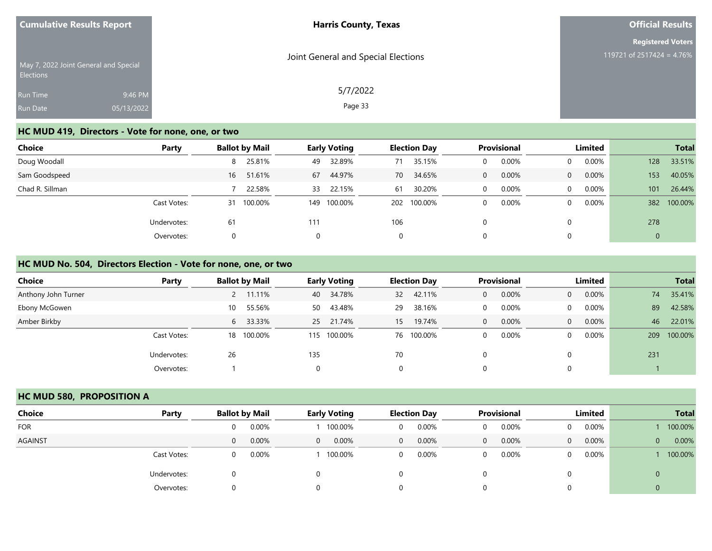| <b>Cumulative Results Report</b> |                                       | <b>Harris County, Texas</b>         | <b>Official Results</b>                               |  |  |
|----------------------------------|---------------------------------------|-------------------------------------|-------------------------------------------------------|--|--|
| Elections                        | May 7, 2022 Joint General and Special | Joint General and Special Elections | <b>Registered Voters</b><br>119721 of 2517424 = 4.76% |  |  |
| Run Time<br>Run Date             | 9:46 PM<br>05/13/2022                 | 5/7/2022<br>Page 33                 |                                                       |  |  |

# **HC MUD 419, Directors - Vote for none, one, or two**

| <b>Choice</b>   | Party       | <b>Ballot by Mail</b> | <b>Early Voting</b> | <b>Election Day</b> | Provisional                 | Limited           | <b>Total</b>   |
|-----------------|-------------|-----------------------|---------------------|---------------------|-----------------------------|-------------------|----------------|
| Doug Woodall    |             | 25.81%<br>8           | 32.89%<br>49        | 71                  | 35.15%<br>0.00%<br>$\Omega$ | 0.00%<br>$\Omega$ | 33.51%<br>128  |
| Sam Goodspeed   |             | 51.61%<br>16          | 44.97%<br>67        | 70                  | 34.65%<br>0.00%<br>$\Omega$ | 0.00%<br>$\Omega$ | 40.05%<br>153  |
| Chad R. Sillman |             | 22.58%                | 22.15%<br>33        | 61                  | 30.20%<br>0.00%<br>$\Omega$ | 0.00%<br>$\Omega$ | 26.44%<br>101  |
|                 | Cast Votes: | 100.00%<br>31         | 100.00%<br>149      | 202 100.00%         | 0.00%<br>$\Omega$           | $0.00\%$<br>0     | 100.00%<br>382 |
|                 | Undervotes: | 61                    | 111                 | 106                 |                             |                   | 278            |
|                 | Overvotes:  |                       | 0                   | 0                   | $\Omega$                    |                   | $\mathbf{0}$   |

#### **HC MUD No. 504, Directors Election - Vote for none, one, or two**

| <b>Choice</b>       | Party       | <b>Ballot by Mail</b> |     | <b>Early Voting</b><br><b>Election Day</b> |    |            | Provisional |          | Limited  |          | <b>Total</b> |         |
|---------------------|-------------|-----------------------|-----|--------------------------------------------|----|------------|-------------|----------|----------|----------|--------------|---------|
| Anthony John Turner |             | 11.11%                | 40  | 34.78%                                     | 32 | 42.11%     | $\Omega$    | 0.00%    | $\Omega$ | 0.00%    | 74           | 35.41%  |
| Ebony McGowen       |             | 55.56%<br>10          | 50  | 43.48%                                     | 29 | 38.16%     | $\Omega$    | 0.00%    |          | $0.00\%$ | 89           | 42.58%  |
| Amber Birkby        |             | 6 33.33%              |     | 25 21.74%                                  | 15 | 19.74%     | $\Omega$    | 0.00%    | $\Omega$ | 0.00%    | 46           | 22.01%  |
|                     | Cast Votes: | 18 100.00%            |     | 115 100.00%                                |    | 76 100.00% | $\Omega$    | $0.00\%$ |          | $0.00\%$ | 209          | 100.00% |
|                     | Undervotes: | 26                    | 135 |                                            | 70 |            |             |          |          |          | 231          |         |
|                     | Overvotes:  |                       | 0   |                                            |    |            |             |          |          |          |              |         |

#### **HC MUD 580, PROPOSITION A**

| Choice         | Party       | <b>Ballot by Mail</b> |       | <b>Early Voting</b> |         | <b>Election Day</b> |       | <b>Provisional</b> |       | Limited      |          | <b>Total</b>   |         |
|----------------|-------------|-----------------------|-------|---------------------|---------|---------------------|-------|--------------------|-------|--------------|----------|----------------|---------|
| <b>FOR</b>     |             | $\Omega$              | 0.00% |                     | 100.00% | 0                   | 0.00% |                    | 0.00% | $\mathbf{0}$ | $0.00\%$ |                | 100.00% |
| <b>AGAINST</b> |             | 0                     | 0.00% | $\overline{0}$      | 0.00%   | $\overline{0}$      | 0.00% | 0                  | 0.00% | $\Omega$     | $0.00\%$ | $\overline{0}$ | 0.00%   |
|                | Cast Votes: | $\Omega$              | 0.00% |                     | 100.00% | 0                   | 0.00% |                    | 0.00% | $\Omega$     | $0.00\%$ |                | 100.00% |
|                | Undervotes: | 0                     |       | 0                   |         | 0                   |       |                    |       | 0            |          | U              |         |
|                | Overvotes:  |                       |       | 0                   |         | 0                   |       |                    |       | 0            |          |                |         |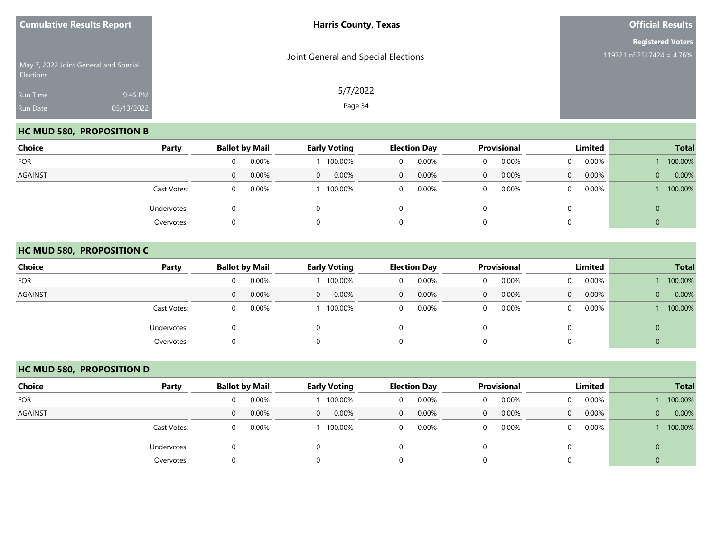| <b>Cumulative Results Report</b>                          |            | <b>Harris County, Texas</b>         | <b>Official Results</b>   |  |  |
|-----------------------------------------------------------|------------|-------------------------------------|---------------------------|--|--|
|                                                           |            |                                     | <b>Registered Voters</b>  |  |  |
| May 7, 2022 Joint General and Special<br><b>Elections</b> |            | Joint General and Special Elections | 119721 of 2517424 = 4.76% |  |  |
| Run Time                                                  | 9:46 PM    | 5/7/2022                            |                           |  |  |
| Run Date                                                  | 05/13/2022 | Page 34                             |                           |  |  |

## **HC MUD 580, PROPOSITION B**

| Choice         | Party       |   | <b>Ballot by Mail</b><br><b>Early Voting</b> |                |         | <b>Election Day</b> |       | <b>Provisional</b> |       | Limited  |          | <b>Total</b> |         |
|----------------|-------------|---|----------------------------------------------|----------------|---------|---------------------|-------|--------------------|-------|----------|----------|--------------|---------|
| <b>FOR</b>     |             |   | 0.00%                                        |                | 100.00% | 0                   | 0.00% |                    | 0.00% | $\Omega$ | 0.00%    |              | 100.00% |
| <b>AGAINST</b> |             | 0 | 0.00%                                        | $\overline{0}$ | 0.00%   | $\mathbf{0}$        | 0.00% | 0                  | 0.00% | $\Omega$ | $0.00\%$ | $\mathbf{0}$ | 0.00%   |
|                | Cast Votes: |   | 0.00%                                        |                | 100.00% | 0                   | 0.00% |                    | 0.00% | $\Omega$ | $0.00\%$ |              | 100.00% |
|                | Undervotes: |   |                                              |                |         | 0                   |       |                    |       | 0        |          | 0            |         |
|                | Overvotes:  |   |                                              |                |         | 0                   |       |                    |       | 0        |          | U            |         |

#### **HC MUD 580, PROPOSITION C**

| <b>Choice</b>  | Party       |          | <b>Ballot by Mail</b> |          | <b>Early Voting</b> |              | <b>Election Day</b> |   | <b>Provisional</b> |          | Limited  | <b>Total</b> |         |
|----------------|-------------|----------|-----------------------|----------|---------------------|--------------|---------------------|---|--------------------|----------|----------|--------------|---------|
| <b>FOR</b>     |             | $\Omega$ | 0.00%                 |          | 100.00%             | 0            | $0.00\%$            | 0 | 0.00%              | $\Omega$ | $0.00\%$ |              | 100.00% |
| <b>AGAINST</b> |             | $\Omega$ | 0.00%                 | $\Omega$ | 0.00%               | $\mathbf{0}$ | $0.00\%$            | 0 | 0.00%              | $\Omega$ | 0.00%    | $\mathbf{0}$ | 0.00%   |
|                | Cast Votes: | $\Omega$ | 0.00%                 |          | 100.00%             | 0            | 0.00%               | 0 | 0.00%              | $\Omega$ | $0.00\%$ |              | 100.00% |
|                | Undervotes: |          |                       |          |                     | 0            |                     |   |                    |          |          | $\mathbf 0$  |         |
|                | Overvotes:  |          |                       |          |                     | 0            |                     | 0 |                    |          |          | $\mathbf 0$  |         |

## **HC MUD 580, PROPOSITION D**

| Choice         | Party       | <b>Ballot by Mail</b> |       |          | <b>Early Voting</b> |              | <b>Election Day</b> |             | <b>Provisional</b> |                | Limited  |   | <b>Total</b> |
|----------------|-------------|-----------------------|-------|----------|---------------------|--------------|---------------------|-------------|--------------------|----------------|----------|---|--------------|
| <b>FOR</b>     |             | 0                     | 0.00% |          | 100.00%             | 0            | 0.00%               | 0           | 0.00%              | $\overline{0}$ | $0.00\%$ |   | 100.00%      |
| <b>AGAINST</b> |             | $\Omega$              | 0.00% | $\Omega$ | 0.00%               | $\mathbf{0}$ | 0.00%               | $\mathbf 0$ | 0.00%              | $\overline{0}$ | $0.00\%$ | 0 | 0.00%        |
|                | Cast Votes: | 0                     | 0.00% |          | 100.00%             | $\mathbf{0}$ | 0.00%               | 0           | 0.00%              | $\overline{0}$ | $0.00\%$ |   | 100.00%      |
|                | Undervotes: |                       |       |          |                     | $\Omega$     |                     |             |                    | 0              |          | 0 |              |
|                | Overvotes:  |                       |       | $\Omega$ |                     | 0            |                     |             |                    | $\Omega$       |          | 0 |              |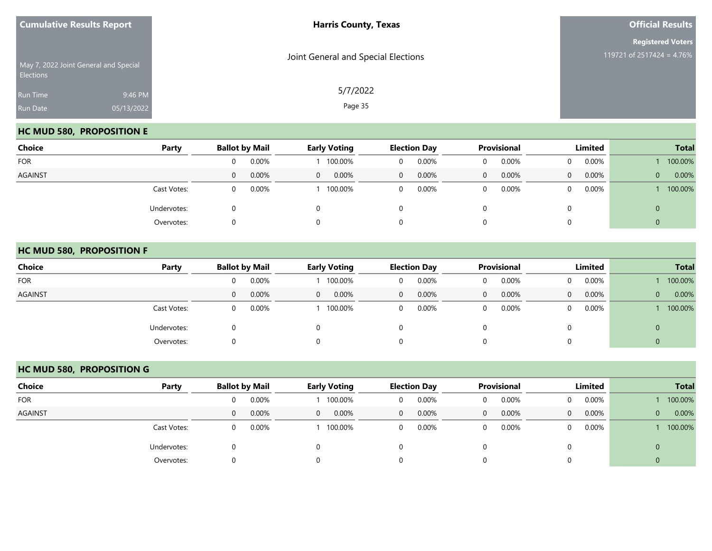| <b>Cumulative Results Report</b> |                                       | <b>Harris County, Texas</b>         | <b>Official Results</b>                               |
|----------------------------------|---------------------------------------|-------------------------------------|-------------------------------------------------------|
| <b>Elections</b>                 | May 7, 2022 Joint General and Special | Joint General and Special Elections | <b>Registered Voters</b><br>119721 of 2517424 = 4.76% |
| Run Time<br>Run Date             | 9:46 PM<br>05/13/2022                 | 5/7/2022<br>Page 35                 |                                                       |

## **HC MUD 580, PROPOSITION E**

| Choice         | Party       | <b>Ballot by Mail</b> |       |                | <b>Early Voting</b> |              | <b>Election Day</b> |   | <b>Provisional</b> |          | Limited  |              | <b>Total</b> |
|----------------|-------------|-----------------------|-------|----------------|---------------------|--------------|---------------------|---|--------------------|----------|----------|--------------|--------------|
| <b>FOR</b>     |             |                       | 0.00% |                | 100.00%             | 0            | 0.00%               |   | 0.00%              | $\Omega$ | $0.00\%$ |              | 100.00%      |
| <b>AGAINST</b> |             | 0                     | 0.00% | $\overline{0}$ | 0.00%               | $\mathbf{0}$ | 0.00%               | 0 | 0.00%              | $\Omega$ | $0.00\%$ | $\mathbf{0}$ | 0.00%        |
|                | Cast Votes: |                       | 0.00% |                | 100.00%             | 0            | 0.00%               |   | 0.00%              | $\Omega$ | $0.00\%$ |              | 100.00%      |
|                | Undervotes: |                       |       |                |                     | 0            |                     |   |                    | 0        |          | U            |              |
|                | Overvotes:  |                       |       |                |                     | 0            |                     |   |                    | 0        |          | ν            |              |

#### **HC MUD 580, PROPOSITION F**

| <b>Choice</b>  | Party       |          | <b>Ballot by Mail</b> |              | <b>Early Voting</b> |              | <b>Election Day</b> |              | <b>Provisional</b> |          | Limited  |                | <b>Total</b> |
|----------------|-------------|----------|-----------------------|--------------|---------------------|--------------|---------------------|--------------|--------------------|----------|----------|----------------|--------------|
| <b>FOR</b>     |             |          | 0.00%                 |              | 100.00%             | 0            | $0.00\%$            | 0            | 0.00%              | 0        | 0.00%    |                | 100.00%      |
| <b>AGAINST</b> |             | 0        | 0.00%                 | $\mathbf{0}$ | $0.00\%$            | $\mathbf{0}$ | 0.00%               | $\mathbf{0}$ | 0.00%              | $\Omega$ | $0.00\%$ | $\overline{0}$ | 0.00%        |
|                | Cast Votes: | $\Omega$ | 0.00%                 |              | 100.00%             | 0            | $0.00\%$            | 0            | 0.00%              | $\Omega$ | $0.00\%$ |                | 100.00%      |
|                | Undervotes: |          |                       |              |                     | 0            |                     |              |                    |          |          | $\mathbf{0}$   |              |
|                | Overvotes:  |          |                       |              |                     | 0            |                     |              |                    |          |          | 0              |              |

## **HC MUD 580, PROPOSITION G**

| Choice         | Party       | <b>Ballot by Mail</b> |       |              | <b>Early Voting</b> |   | <b>Election Day</b> |              | Provisional |                | Limited  |                | <b>Total</b> |
|----------------|-------------|-----------------------|-------|--------------|---------------------|---|---------------------|--------------|-------------|----------------|----------|----------------|--------------|
| <b>FOR</b>     |             |                       | 0.00% |              | 100.00%             |   | 0.00%               | $\Omega$     | 0.00%       | $\Omega$       | 0.00%    |                | 100.00%      |
| <b>AGAINST</b> |             | $\left( \right)$      | 0.00% | $\mathbf{0}$ | 0.00%               | 0 | $0.00\%$            | $\mathbf{0}$ | 0.00%       | $\overline{0}$ | $0.00\%$ | $\overline{0}$ | 0.00%        |
|                | Cast Votes: |                       | 0.00% |              | 100.00%             | 0 | 0.00%               | 0            | 0.00%       | 0              | 0.00%    |                | 100.00%      |
|                | Undervotes: |                       |       |              |                     |   |                     |              |             |                |          |                |              |
|                | Overvotes:  |                       |       |              |                     |   |                     |              |             |                |          |                |              |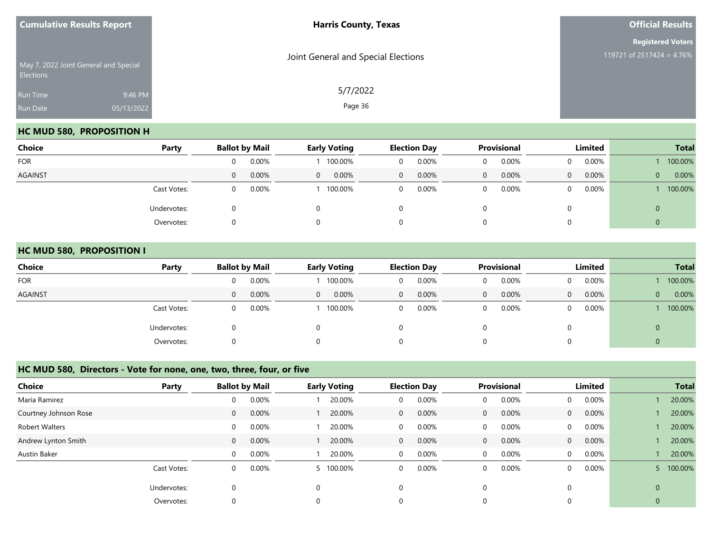| <b>Harris County, Texas</b>         | <b>Official Results</b>                               |
|-------------------------------------|-------------------------------------------------------|
| Joint General and Special Elections | <b>Registered Voters</b><br>119721 of 2517424 = 4.76% |
|                                     |                                                       |
| 5/7/2022                            |                                                       |
| Page 36                             |                                                       |
|                                     |                                                       |

## **HC MUD 580, PROPOSITION H**

| <b>Choice</b>  | Party       |              | <b>Ballot by Mail</b> |                | <b>Early Voting</b> |                | <b>Election Day</b> |   | Provisional |          | Limited  |              | <b>Total</b> |
|----------------|-------------|--------------|-----------------------|----------------|---------------------|----------------|---------------------|---|-------------|----------|----------|--------------|--------------|
| <b>FOR</b>     |             | <sup>n</sup> | 0.00%                 |                | 100.00%             | 0              | 0.00%               | 0 | 0.00%       | $\Omega$ | 0.00%    |              | 100.00%      |
| <b>AGAINST</b> |             | 0            | 0.00%                 | $\overline{0}$ | 0.00%               | $\overline{0}$ | 0.00%               | 0 | 0.00%       | $\Omega$ | $0.00\%$ | $\mathbf{0}$ | 0.00%        |
|                | Cast Votes: | 0            | 0.00%                 |                | 100.00%             | $\mathbf{0}$   | 0.00%               | 0 | 0.00%       | $\Omega$ | 0.00%    |              | 100.00%      |
|                | Undervotes: |              |                       | $\Omega$       |                     | 0              |                     |   |             |          |          | 0            |              |
|                | Overvotes:  |              |                       | $\Omega$       |                     | 0              |                     |   |             |          |          | ν            |              |

#### **HC MUD 580, PROPOSITION I**

| <b>Choice</b>  | Party       |          | <b>Ballot by Mail</b> |                | <b>Early Voting</b> |              | <b>Election Day</b> |   | <b>Provisional</b> |          | Limited  |              | <b>Total</b> |
|----------------|-------------|----------|-----------------------|----------------|---------------------|--------------|---------------------|---|--------------------|----------|----------|--------------|--------------|
| <b>FOR</b>     |             |          | 0.00%                 |                | 100.00%             | 0            | 0.00%               |   | 0.00%              | $\Omega$ | 0.00%    |              | 100.00%      |
| <b>AGAINST</b> |             | $\Omega$ | 0.00%                 | $\overline{0}$ | 0.00%               | $\mathbf{0}$ | $0.00\%$            | 0 | 0.00%              | $\Omega$ | $0.00\%$ | $\mathbf{0}$ | 0.00%        |
|                | Cast Votes: |          | 0.00%                 |                | 100.00%             | 0            | $0.00\%$            |   | 0.00%              | $\Omega$ | $0.00\%$ |              | 100.00%      |
|                | Undervotes: |          |                       |                |                     | 0            |                     |   |                    | 0        |          | U            |              |
|                | Overvotes:  |          |                       |                |                     | 0            |                     |   |                    | 0        |          | ν            |              |

#### **HC MUD 580, Directors - Vote for none, one, two, three, four, or five**

| <b>Choice</b>         | Party       |                | <b>Ballot by Mail</b> |          | <b>Early Voting</b> |              | <b>Election Day</b> |              | <b>Provisional</b> |                | Limited  |                | <b>Total</b> |
|-----------------------|-------------|----------------|-----------------------|----------|---------------------|--------------|---------------------|--------------|--------------------|----------------|----------|----------------|--------------|
| Maria Ramirez         |             | 0              | 0.00%                 |          | 20.00%              | 0            | 0.00%               | 0            | 0.00%              | $\mathbf{0}$   | 0.00%    |                | 20.00%       |
| Courtney Johnson Rose |             | $\overline{0}$ | 0.00%                 |          | 20.00%              | $\mathbf{0}$ | $0.00\%$            | $\mathbf{0}$ | 0.00%              | $\overline{0}$ | $0.00\%$ |                | 20.00%       |
| Robert Walters        |             | $\Omega$       | 0.00%                 |          | 20.00%              | 0            | $0.00\%$            | $\mathbf 0$  | 0.00%              | $\overline{0}$ | 0.00%    |                | 20.00%       |
| Andrew Lynton Smith   |             | $\Omega$       | 0.00%                 |          | 20.00%              | $\mathbf{0}$ | $0.00\%$            | $\mathbf{0}$ | 0.00%              | $\overline{0}$ | $0.00\%$ |                | 20.00%       |
| Austin Baker          |             | $\Omega$       | 0.00%                 |          | 20.00%              | $\mathbf{0}$ | $0.00\%$            | 0            | 0.00%              | $\overline{0}$ | 0.00%    |                | 20.00%       |
|                       | Cast Votes: | $\Omega$       | 0.00%                 |          | 5 100.00%           | 0            | 0.00%               | 0            | 0.00%              | $\Omega$       | 0.00%    |                | 100.00%      |
|                       | Undervotes: | 0              |                       | $\Omega$ |                     | $\mathbf 0$  |                     | $\Omega$     |                    | $\Omega$       |          | $\overline{0}$ |              |
|                       | Overvotes:  |                |                       |          |                     | 0            |                     | 0            |                    |                |          | $\mathbf 0$    |              |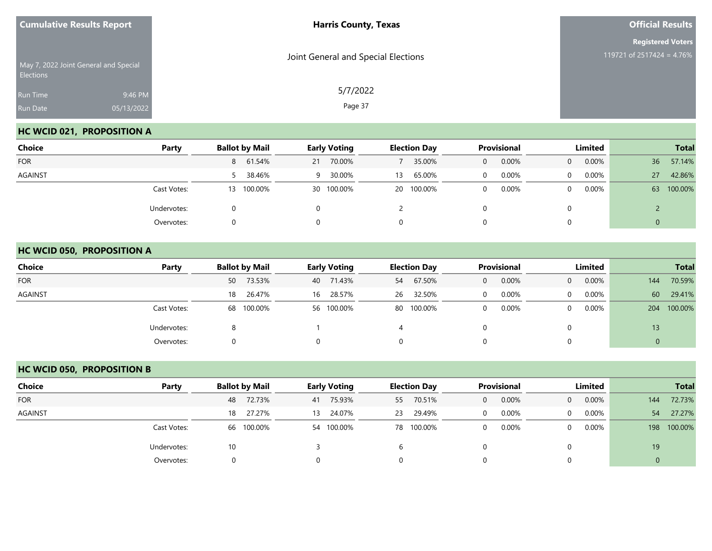| <b>Cumulative Results Report</b> |                                       | <b>Harris County, Texas</b>         | <b>Official Results</b>                               |
|----------------------------------|---------------------------------------|-------------------------------------|-------------------------------------------------------|
| Elections                        | May 7, 2022 Joint General and Special | Joint General and Special Elections | <b>Registered Voters</b><br>119721 of 2517424 = 4.76% |
| Run Time<br>Run Date             | 9:46 PM<br>05/13/2022                 | 5/7/2022<br>Page 37                 |                                                       |

## **HC WCID 021, PROPOSITION A**

| Choice         | Party       | <b>Ballot by Mail</b> | <b>Early Voting</b> | <b>Election Day</b> | Provisional | Limited              | <b>Total</b>  |
|----------------|-------------|-----------------------|---------------------|---------------------|-------------|----------------------|---------------|
| <b>FOR</b>     |             | 8 61.54%              | 70.00%<br>21        | 35.00%              | 0.00%<br>0  | 0.00%<br>$\Omega$    | 57.14%<br>36  |
| <b>AGAINST</b> |             | 5 38.46%              | 30.00%<br>-9        | 65.00%<br>13        | 0.00%       | $0.00\%$<br>$\Omega$ | 42.86%<br>27  |
|                | Cast Votes: | 13 100.00%            | 30 100.00%          | 20 100.00%          | 0.00%       | 0.00%<br>$\Omega$    | 100.00%<br>63 |
|                | Undervotes: |                       |                     |                     |             | 0                    |               |
|                | Overvotes:  |                       |                     | 0                   |             | 0                    | 0             |

#### **HC WCID 050, PROPOSITION A**

| <b>Choice</b>  | Party       | <b>Ballot by Mail</b> | <b>Early Voting</b> | <b>Election Day</b> | <b>Provisional</b>    | <b>Limited</b>             | <b>Total</b>   |
|----------------|-------------|-----------------------|---------------------|---------------------|-----------------------|----------------------------|----------------|
| <b>FOR</b>     |             | 73.53%<br>50          | 40 71.43%           | 67.50%<br>54        | 0.00%<br>$\mathbf{0}$ | 0.00%<br>$\overline{0}$    | 70.59%<br>144  |
| <b>AGAINST</b> |             | 26.47%<br>18          | 28.57%<br>16        | 32.50%<br>26        | 0.00%<br>$\mathbf 0$  | $0.00\%$<br>$\Omega$       | 60<br>29.41%   |
|                | Cast Votes: | 68 100.00%            | 56 100.00%          | 80 100.00%          | 0.00%<br>$\mathbf 0$  | $0.00\%$<br>$\overline{0}$ | 100.00%<br>204 |
|                | Undervotes: | 8                     |                     | 4                   |                       | 0                          | 13             |
|                | Overvotes:  |                       |                     | 0                   | 0                     | 0                          | U              |

## **HC WCID 050, PROPOSITION B**

| Choice     | Party             | <b>Ballot by Mail</b> | <b>Early Voting</b> | <b>Election Day</b> | <b>Provisional</b> | Limited              | <b>Total</b>   |
|------------|-------------------|-----------------------|---------------------|---------------------|--------------------|----------------------|----------------|
| <b>FOR</b> |                   | 72.73%<br>48          | 75.93%<br>41        | 55 70.51%           | 0.00%<br>$\Omega$  | $0.00\%$<br>$\Omega$ | 72.73%<br>144  |
| AGAINST    |                   | 27.27%<br>18          | 24.07%<br>13        | 29.49%<br>23        | 0.00%              | 0.00%<br>$\Omega$    | 27.27%<br>54   |
|            | Cast Votes:       | 100.00%<br>66         | 54 100.00%          | 78 100.00%          | 0.00%              | $0.00\%$<br>$\Omega$ | 100.00%<br>198 |
|            | Undervotes:<br>10 |                       |                     | b                   |                    |                      | 19             |
|            | Overvotes:        | 0                     |                     |                     |                    |                      | $\mathbf 0$    |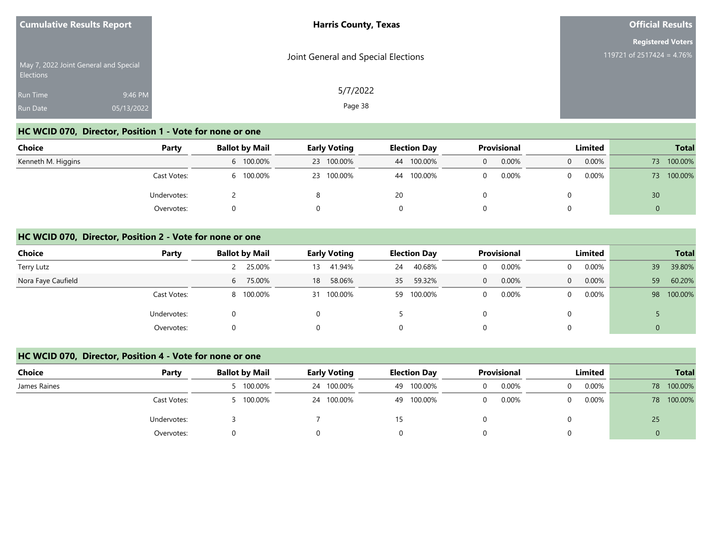| <b>Cumulative Results Report</b>                          |            | <b>Harris County, Texas</b>         | <b>Official Results</b>   |  |  |
|-----------------------------------------------------------|------------|-------------------------------------|---------------------------|--|--|
|                                                           |            |                                     | <b>Registered Voters</b>  |  |  |
| May 7, 2022 Joint General and Special<br><b>Elections</b> |            | Joint General and Special Elections | 119721 of 2517424 = 4.76% |  |  |
| Run Time                                                  | 9:46 PM    | 5/7/2022                            |                           |  |  |
| <b>Run Date</b>                                           | 05/13/2022 | Page 38                             |                           |  |  |

# **HC WCID 070, Director, Position 1 - Vote for none or one**

| <b>Choice</b>      | Party       | <b>Ballot by Mail</b> | <b>Early Voting</b> | <b>Election Day</b> | Provisional | Limited       | <b>Total</b>  |
|--------------------|-------------|-----------------------|---------------------|---------------------|-------------|---------------|---------------|
| Kenneth M. Higgins |             | 6 100.00%             | 23 100.00%          | 44 100.00%          | 0.00%       | $0.00\%$<br>0 | 100.00%<br>73 |
|                    | Cast Votes: | 100.00%               | 23 100.00%          | 100.00%<br>44       | 0.00%       | $0.00\%$      | 100.00%<br>73 |
|                    | Undervotes: |                       |                     | 20                  |             |               | 30            |
|                    | Overvotes:  |                       |                     |                     |             |               |               |

#### **HC WCID 070, Director, Position 2 - Vote for none or one**

| <b>Choice</b>      | Party       | <b>Ballot by Mail</b> | <b>Early Voting</b> | <b>Election Day</b> | <b>Provisional</b> | Limited                  | <b>Total</b>  |
|--------------------|-------------|-----------------------|---------------------|---------------------|--------------------|--------------------------|---------------|
| Terry Lutz         |             | 25.00%                | 41.94%<br>13        | 40.68%<br>24        | 0.00%              | $0.00\%$<br>$\Omega$     | 39.80%<br>39  |
| Nora Faye Caufield |             | 75.00%<br>6           | 58.06%<br>18        | 59.32%<br>35        | 0.00%<br>0         | $0.00\%$<br>$\mathbf{0}$ | 60.20%<br>59  |
|                    | Cast Votes: | 8 100.00%             | 31 100.00%          | 59 100.00%          | 0.00%              | $0.00\%$<br>$\Omega$     | 100.00%<br>98 |
|                    | Undervotes: | 0                     |                     |                     |                    | $\Omega$                 |               |
|                    | Overvotes:  |                       |                     | 0                   |                    | $\overline{0}$           |               |

#### **HC WCID 070, Director, Position 4 - Vote for none or one**

| <b>Choice</b> | Party       | <b>Ballot by Mail</b> | <b>Early Voting</b> | <b>Election Day</b> | Provisional       | Limited | <b>Total</b>  |
|---------------|-------------|-----------------------|---------------------|---------------------|-------------------|---------|---------------|
| James Raines  |             | 5 100.00%             | 24 100.00%          | 100.00%<br>49       | 0.00%<br>$\Omega$ | 0.00%   | 100.00%<br>78 |
|               | Cast Votes: | 5 100.00%             | 24 100.00%          | 100.00%<br>49       | 0.00%<br>$\Omega$ | 0.00%   | 100.00%<br>78 |
|               | Undervotes: |                       |                     | 15                  |                   |         | 25            |
|               | Overvotes:  |                       |                     |                     |                   |         |               |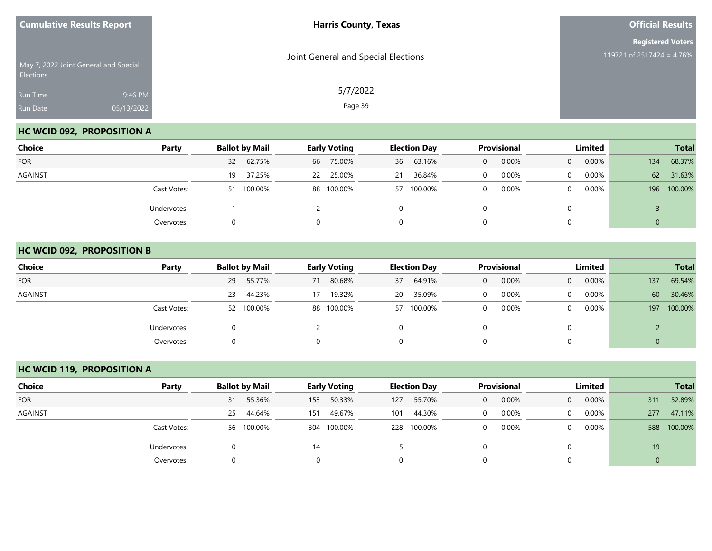| <b>Cumulative Results Report</b> |                                       | <b>Harris County, Texas</b>         | <b>Official Results</b>                               |  |  |
|----------------------------------|---------------------------------------|-------------------------------------|-------------------------------------------------------|--|--|
| Elections                        | May 7, 2022 Joint General and Special | Joint General and Special Elections | <b>Registered Voters</b><br>119721 of 2517424 = 4.76% |  |  |
| Run Time<br>Run Date             | 9:46 PM<br>05/13/2022                 | 5/7/2022<br>Page 39                 |                                                       |  |  |

## **HC WCID 092, PROPOSITION A**

| <b>Choice</b>  | Party       | <b>Ballot by Mail</b> | <b>Early Voting</b> | <b>Election Day</b> | Provisional | Limited              | <b>Total</b>   |  |
|----------------|-------------|-----------------------|---------------------|---------------------|-------------|----------------------|----------------|--|
| <b>FOR</b>     |             | 32 62.75%             | 75.00%<br>66        | 63.16%<br>36        | 0.00%<br>0  | 0.00%<br>$\Omega$    | 68.37%<br>134  |  |
| <b>AGAINST</b> |             | 37.25%<br>19          | 25.00%<br>22        | 36.84%<br>21        | 0.00%       | $0.00\%$<br>$\Omega$ | 62<br>31.63%   |  |
|                | Cast Votes: | 51 100.00%            | 88 100.00%          | 57 100.00%          | 0.00%       | 0.00%<br>$\Omega$    | 100.00%<br>196 |  |
|                | Undervotes: |                       |                     | 0                   |             |                      |                |  |
|                | Overvotes:  |                       | $\Omega$            | 0                   |             |                      | 0              |  |

#### **HC WCID 092, PROPOSITION B**

| <b>Choice</b>  | Party       | <b>Ballot by Mail</b> | <b>Early Voting</b> | <b>Election Day</b> | <b>Provisional</b>    | Limited                  | <b>Total</b>   |
|----------------|-------------|-----------------------|---------------------|---------------------|-----------------------|--------------------------|----------------|
| <b>FOR</b>     |             | 55.77%<br>29          | 80.68%<br>71        | 64.91%<br>37        | 0.00%<br>$\mathbf{0}$ | 0.00%<br>$\overline{0}$  | 69.54%<br>137  |
| <b>AGAINST</b> |             | 44.23%<br>23          | 19.32%<br>17        | 35.09%<br>20        | 0.00%<br>$\Omega$     | 0.00%<br>$\Omega$        | 60<br>30.46%   |
|                | Cast Votes: | 52 100.00%            | 88 100.00%          | 57 100.00%          | 0.00%<br>$\mathbf 0$  | $0.00\%$<br>$\mathbf{0}$ | 100.00%<br>197 |
|                | Undervotes: |                       |                     | 0                   |                       | 0                        |                |
|                | Overvotes:  |                       |                     | 0                   | 0                     | 0                        | 0              |

## **HC WCID 119, PROPOSITION A**

| Choice         | Party       | <b>Ballot by Mail</b> | <b>Early Voting</b> | <b>Election Day</b> | <b>Provisional</b> | Limited                 | <b>Total</b>   |
|----------------|-------------|-----------------------|---------------------|---------------------|--------------------|-------------------------|----------------|
| <b>FOR</b>     |             | 55.36%<br>31          | 50.33%<br>153       | 55.70%<br>127       | 0.00%<br>$\Omega$  | 0.00%<br>$\overline{0}$ | 52.89%<br>311  |
| <b>AGAINST</b> |             | 44.64%<br>25          | 49.67%<br>151       | 44.30%<br>101       | 0.00%              | 0.00%<br>$\Omega$       | 47.11%<br>277  |
|                | Cast Votes: | 56 100.00%            | 304 100.00%         | 228 100.00%         | 0.00%              | 0.00%<br>0              | 100.00%<br>588 |
|                | Undervotes: |                       | 14                  |                     |                    |                         | 19             |
|                | Overvotes:  | 0                     |                     |                     |                    |                         | $\mathbf 0$    |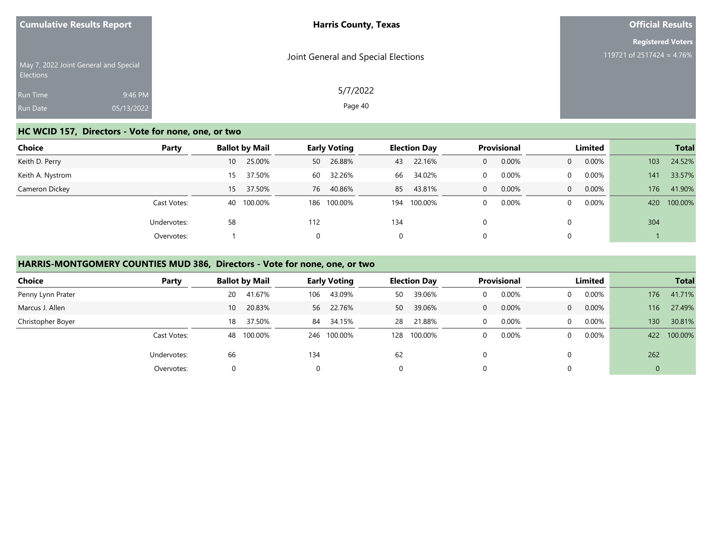| <b>Cumulative Results Report</b>                          |            | <b>Harris County, Texas</b>         | <b>Official Results</b>   |  |  |
|-----------------------------------------------------------|------------|-------------------------------------|---------------------------|--|--|
|                                                           |            |                                     | <b>Registered Voters</b>  |  |  |
| May 7, 2022 Joint General and Special<br><b>Elections</b> |            | Joint General and Special Elections | 119721 of 2517424 = 4.76% |  |  |
| <b>Run Time</b>                                           | 9:46 PM    | 5/7/2022                            |                           |  |  |
| Run Date                                                  | 05/13/2022 | Page 40                             |                           |  |  |

## **HC WCID 157, Directors - Vote for none, one, or two**

| <b>Choice</b>    | Party       | <b>Ballot by Mail</b> |              | <b>Early Voting</b> | <b>Election Day</b> |             | Provisional  |       | <b>Limited</b> |          | <b>Total</b> |         |
|------------------|-------------|-----------------------|--------------|---------------------|---------------------|-------------|--------------|-------|----------------|----------|--------------|---------|
| Keith D. Perry   |             | 10 <sup>°</sup>       | 25.00%<br>50 | 26.88%              | 43                  | 22.16%      | 0            | 0.00% | $\Omega$       | $0.00\%$ | 103          | 24.52%  |
| Keith A. Nystrom |             | 15                    | 37.50%<br>60 | 32.26%              | 66                  | 34.02%      | 0            | 0.00% | $\Omega$       | $0.00\%$ | 141          | 33.57%  |
| Cameron Dickey   |             | 15                    | 37.50%       | 76 40.86%           | 85                  | 43.81%      | $\mathbf{0}$ | 0.00% | $\Omega$       | 0.00%    | 176          | 41.90%  |
|                  | Cast Votes: | 40 100.00%            | 186          | 100.00%             |                     | 194 100.00% | 0            | 0.00% | $\Omega$       | $0.00\%$ | 420          | 100.00% |
|                  | Undervotes: | 58                    | 112          |                     | 134                 |             | 0            |       |                |          | 304          |         |
|                  | Overvotes:  |                       | $\Omega$     |                     | $\Omega$            |             | 0            |       |                |          |              |         |

# **HARRIS-MONTGOMERY COUNTIES MUD 386, Directors - Vote for none, one, or two**

| <b>Choice</b>     | Party       | <b>Ballot by Mail</b> |              | <b>Early Voting</b> |     | <b>Election Day</b> | <b>Provisional</b> |          | Limited |          | <b>Total</b> |
|-------------------|-------------|-----------------------|--------------|---------------------|-----|---------------------|--------------------|----------|---------|----------|--------------|
| Penny Lynn Prater |             | 41.67%<br>20          | 106          | 43.09%              | 50  | 39.06%              | 0.00%              | 0        | 0.00%   | 176      | 41.71%       |
| Marcus J. Allen   |             | 10 <sup>°</sup>       | 20.83%<br>56 | 22.76%              | 50  | 39.06%              | 0.00%              | $\Omega$ | 0.00%   | 116      | 27.49%       |
| Christopher Boyer |             | 18                    | 37.50%<br>84 | 34.15%              | 28  | 21.88%              | 0.00%              | $\Omega$ | 0.00%   | 130      | 30.81%       |
|                   | Cast Votes: | 100.00%<br>48         | 246          | 100.00%             | 128 | 100.00%             | 0.00%              | $\Omega$ | 0.00%   | 422      | 100.00%      |
|                   | Undervotes: | 66                    | 134          |                     | 62  |                     |                    |          |         | 262      |              |
|                   | Overvotes:  |                       |              |                     |     |                     |                    |          |         | $\Omega$ |              |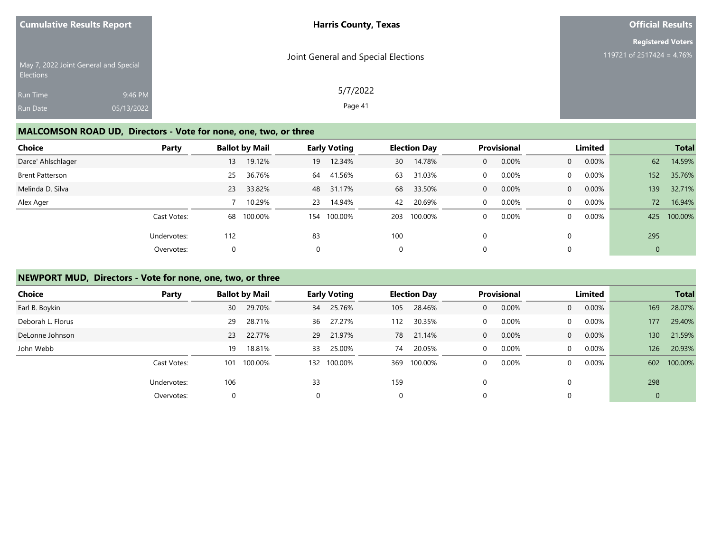| <b>Cumulative Results Report</b>                   |            | <b>Harris County, Texas</b>         | <b>Official Results</b>   |
|----------------------------------------------------|------------|-------------------------------------|---------------------------|
|                                                    |            |                                     | <b>Registered Voters</b>  |
| May 7, 2022 Joint General and Special<br>Elections |            | Joint General and Special Elections | 119721 of 2517424 = 4.76% |
| Run Time                                           | 9:46 PM    | 5/7/2022                            |                           |
| Run Date                                           | 05/13/2022 | Page 41                             |                           |
|                                                    |            |                                     |                           |

# **MALCOMSON ROAD UD, Directors - Vote for none, one, two, or three**

| Choice                 | Party       |     | <b>Ballot by Mail</b> | <b>Early Voting</b> |         | <b>Election Day</b> |         | <b>Provisional</b> |       | Limited        |          |                | <b>Total</b> |
|------------------------|-------------|-----|-----------------------|---------------------|---------|---------------------|---------|--------------------|-------|----------------|----------|----------------|--------------|
| Darce' Ahlschlager     |             | 13  | 19.12%                | 19                  | 12.34%  | 30                  | 14.78%  | 0                  | 0.00% | $\overline{0}$ | 0.00%    | 62             | 14.59%       |
| <b>Brent Patterson</b> |             | 25  | 36.76%                | 64                  | 41.56%  | 63                  | 31.03%  | 0                  | 0.00% | $\mathbf{0}$   | 0.00%    | 152            | 35.76%       |
| Melinda D. Silva       |             | 23  | 33.82%                | 48                  | 31.17%  | 68                  | 33.50%  | $\mathbf{0}$       | 0.00% | $\overline{0}$ | $0.00\%$ | 139            | 32.71%       |
| Alex Ager              |             |     | 10.29%                | 23                  | 14.94%  | 42                  | 20.69%  | $\Omega$           | 0.00% | $\Omega$       | 0.00%    | 72             | 16.94%       |
|                        | Cast Votes: |     | 68 100.00%            | 154                 | 100.00% | 203                 | 100.00% | 0                  | 0.00% | $\mathbf{0}$   | 0.00%    | 425            | 100.00%      |
|                        | Undervotes: | 112 |                       | 83                  |         | 100                 |         | 0                  |       |                |          | 295            |              |
|                        | Overvotes:  |     |                       |                     |         | 0                   |         | 0                  |       |                |          | $\overline{0}$ |              |

## **NEWPORT MUD, Directors - Vote for none, one, two, or three**

| <b>Choice</b>     | Party       |     | <b>Ballot by Mail</b> |          | <b>Early Voting</b> |     | <b>Election Day</b> |              | <b>Provisional</b> |                | Limited  |     | <b>Total</b> |
|-------------------|-------------|-----|-----------------------|----------|---------------------|-----|---------------------|--------------|--------------------|----------------|----------|-----|--------------|
| Earl B. Boykin    |             | 30  | 29.70%                | 34       | 25.76%              | 105 | 28.46%              | $\mathbf{0}$ | 0.00%              | $\overline{0}$ | $0.00\%$ | 169 | 28.07%       |
| Deborah L. Florus |             | 29  | 28.71%                | 36       | 27.27%              | 112 | 30.35%              | 0            | 0.00%              | $\overline{0}$ | $0.00\%$ | 177 | 29.40%       |
| DeLonne Johnson   |             | 23  | 22.77%                |          | 29 21.97%           | 78  | 21.14%              | $\mathbf{0}$ | 0.00%              | $\overline{0}$ | $0.00\%$ | 130 | 21.59%       |
| John Webb         |             | 19  | 18.81%                | 33       | 25.00%              | 74  | 20.05%              | $\mathbf 0$  | 0.00%              | $\overline{0}$ | 0.00%    | 126 | 20.93%       |
|                   | Cast Votes: | 101 | 100.00%               | 132      | 100.00%             | 369 | 100.00%             | 0            | 0.00%              | $\Omega$       | 0.00%    | 602 | 100.00%      |
|                   | Undervotes: | 106 |                       | 33       |                     | 159 |                     | $\Omega$     |                    | $\Omega$       |          | 298 |              |
|                   | Overvotes:  |     |                       | $\Omega$ |                     | 0   |                     | 0            |                    | $\Omega$       |          | 0   |              |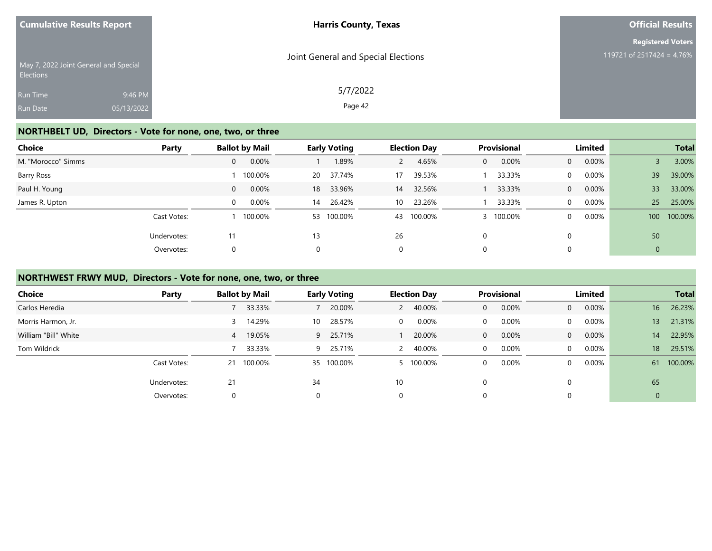|                                                        | <b>Cumulative Results Report</b>      | <b>Harris County, Texas</b>         | <b>Official Results</b>                               |  |  |  |
|--------------------------------------------------------|---------------------------------------|-------------------------------------|-------------------------------------------------------|--|--|--|
|                                                        | May 7, 2022 Joint General and Special | Joint General and Special Elections | <b>Registered Voters</b><br>119721 of 2517424 = 4.76% |  |  |  |
| <b>Elections</b><br><b>Run Time</b><br><b>Run Date</b> | 9:46 PM<br>05/13/2022                 | 5/7/2022<br>Page 42                 |                                                       |  |  |  |

## **NORTHBELT UD, Directors - Vote for none, one, two, or three**

| Choice             | Party       | <b>Ballot by Mail</b> |         |           | <b>Early Voting</b> |    | <b>Election Day</b> |   | Provisional | Limited        |          |     | <b>Total</b> |
|--------------------|-------------|-----------------------|---------|-----------|---------------------|----|---------------------|---|-------------|----------------|----------|-----|--------------|
| M. "Morocco" Simms |             | 0                     | 0.00%   |           | 1.89%               |    | 4.65%               | 0 | 0.00%       | $\overline{0}$ | $0.00\%$ |     | 3.00%        |
| Barry Ross         |             |                       | 100.00% | <b>20</b> | 37.74%              | 17 | 39.53%              |   | 33.33%      | $\mathbf{0}$   | 0.00%    | 39  | 39.00%       |
| Paul H. Young      |             | $\overline{0}$        | 0.00%   | 18        | 33.96%              | 14 | 32.56%              |   | 33.33%      | $\overline{0}$ | $0.00\%$ | 33  | 33.00%       |
| James R. Upton     |             | $\Omega$              | 0.00%   | 14        | 26.42%              | 10 | 23.26%              |   | 33.33%      | $\Omega$       | 0.00%    | 25  | 25.00%       |
|                    | Cast Votes: |                       | 100.00% |           | 53 100.00%          | 43 | 100.00%             |   | 100.00%     | $\mathbf{0}$   | $0.00\%$ | 100 | 100.00%      |
|                    | Undervotes: | 11                    |         | 13        |                     | 26 |                     | 0 |             | $\Omega$       |          | 50  |              |
|                    | Overvotes:  | 0                     |         | 0         |                     | 0  |                     | 0 |             | 0              |          | 0   |              |

## **NORTHWEST FRWY MUD, Directors - Vote for none, one, two, or three**

| <b>Choice</b>        | Party       | <b>Ballot by Mail</b>    | <b>Early Voting</b> | <b>Election Day</b>      | Provisional           | Limited                 | <b>Total</b>              |
|----------------------|-------------|--------------------------|---------------------|--------------------------|-----------------------|-------------------------|---------------------------|
| Carlos Heredia       |             | 33.33%                   | 20.00%              | 40.00%<br>$\mathbf{2}$   | 0.00%<br>$\mathbf{0}$ | 0.00%<br>$\overline{0}$ | 16 <sup>°</sup><br>26.23% |
| Morris Harmon, Jr.   |             | 14.29%                   | 28.57%<br>10        | $0.00\%$<br>$\mathbf{0}$ | 0.00%<br>0            | 0.00%<br>$\Omega$       | 21.31%<br>13              |
| William "Bill" White |             | 19.05%<br>$\overline{4}$ | 25.71%<br>9         | 20.00%                   | 0.00%<br>$\mathbf{0}$ | 0.00%<br>$\overline{0}$ | 22.95%<br>14              |
| Tom Wildrick         |             | 33.33%                   | 25.71%<br>9         | 40.00%                   | 0.00%<br>0            | 0.00%<br>$\Omega$       | 29.51%<br>18              |
|                      | Cast Votes: | 21 100.00%               | 35 100.00%          | 5 100.00%                | 0.00%<br>0            | $0.00\%$<br>$\Omega$    | 100.00%<br>61             |
|                      | Undervotes: | 21                       | 34                  | 10                       | 0                     |                         | 65                        |
|                      | Overvotes:  | 0                        | $\Omega$            | $\mathbf 0$              | 0                     |                         | $\mathbf 0$               |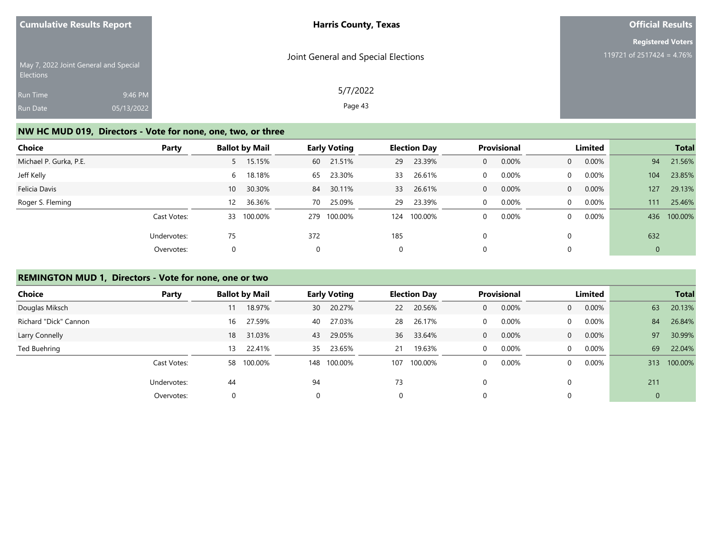| <b>Cumulative Results Report</b>                          |            | <b>Harris County, Texas</b>         | <b>Official Results</b>   |
|-----------------------------------------------------------|------------|-------------------------------------|---------------------------|
|                                                           |            |                                     | <b>Registered Voters</b>  |
| May 7, 2022 Joint General and Special<br><b>Elections</b> |            | Joint General and Special Elections | 119721 of 2517424 = 4.76% |
| <b>Run Time</b>                                           | 9:46 PM    | 5/7/2022                            |                           |
| Run Date                                                  | 05/13/2022 | Page 43                             |                           |

## **NW HC MUD 019, Directors - Vote for none, one, two, or three**

| Choice                 | Party       |                   | <b>Ballot by Mail</b> |          | <b>Early Voting</b> |     | <b>Election Day</b> |              | <b>Provisional</b> |                | Limited  |     | <b>Total</b> |
|------------------------|-------------|-------------------|-----------------------|----------|---------------------|-----|---------------------|--------------|--------------------|----------------|----------|-----|--------------|
| Michael P. Gurka, P.E. |             | $5 -$             | 15.15%                |          | 60 21.51%           | 29  | 23.39%              | 0            | 0.00%              | $\overline{0}$ | $0.00\%$ | 94  | 21.56%       |
| Jeff Kelly             |             | 6                 | 18.18%                | 65       | 23.30%              | 33  | 26.61%              | $\Omega$     | 0.00%              | $\Omega$       | $0.00\%$ | 104 | 23.85%       |
| Felicia Davis          |             | 10 <sup>1</sup>   | 30.30%                | 84       | 30.11%              | 33  | 26.61%              | $\mathbf{0}$ | 0.00%              | $\overline{0}$ | $0.00\%$ | 127 | 29.13%       |
| Roger S. Fleming       |             | $12 \overline{ }$ | 36.36%                | 70       | 25.09%              | 29  | 23.39%              | $\Omega$     | 0.00%              | $\Omega$       | 0.00%    | 111 | 25.46%       |
|                        | Cast Votes: | 33                | 100.00%               | 279      | 100.00%             | 124 | 100.00%             | 0            | 0.00%              | $\mathbf{0}$   | $0.00\%$ | 436 | 100.00%      |
|                        | Undervotes: | 75                |                       | 372      |                     | 185 |                     | $\Omega$     |                    | $\Omega$       |          | 632 |              |
|                        | Overvotes:  |                   |                       | $\Omega$ |                     | 0   |                     | 0            |                    | $\mathbf 0$    |          | 0   |              |

## **REMINGTON MUD 1, Directors - Vote for none, one or two**

| Choice                | Party       |    | <b>Ballot by Mail</b> |     | <b>Early Voting</b> |             | <b>Election Day</b> |          | <b>Provisional</b> |                | Limited  |             | <b>Total</b> |
|-----------------------|-------------|----|-----------------------|-----|---------------------|-------------|---------------------|----------|--------------------|----------------|----------|-------------|--------------|
| Douglas Miksch        |             |    | 18.97%                | 30  | 20.27%              | <b>22</b>   | 20.56%              | 0        | 0.00%              | $\overline{0}$ | 0.00%    | 63          | 20.13%       |
| Richard "Dick" Cannon |             | 16 | 27.59%                | 40  | 27.03%              | 28          | 26.17%              | 0        | $0.00\%$           | $\mathbf{0}$   | $0.00\%$ | 84          | 26.84%       |
| Larry Connelly        |             | 18 | 31.03%                | 43  | 29.05%              | 36          | 33.64%              | $\Omega$ | 0.00%              | $\overline{0}$ | $0.00\%$ | 97          | 30.99%       |
| Ted Buehring          |             | 13 | 22.41%                | 35  | 23.65%              | 21          | 19.63%              | 0        | 0.00%              | $\overline{0}$ | $0.00\%$ | 69          | 22.04%       |
|                       | Cast Votes: | 58 | 100.00%               | 148 | 100.00%             | 107         | 100.00%             | 0        | 0.00%              | $\Omega$       | $0.00\%$ | 313         | 100.00%      |
|                       | Undervotes: | 44 |                       | 94  |                     | 73          |                     | $\Omega$ |                    |                |          | 211         |              |
|                       | Overvotes:  |    |                       |     |                     | $\mathbf 0$ |                     | 0        |                    |                |          | $\mathbf 0$ |              |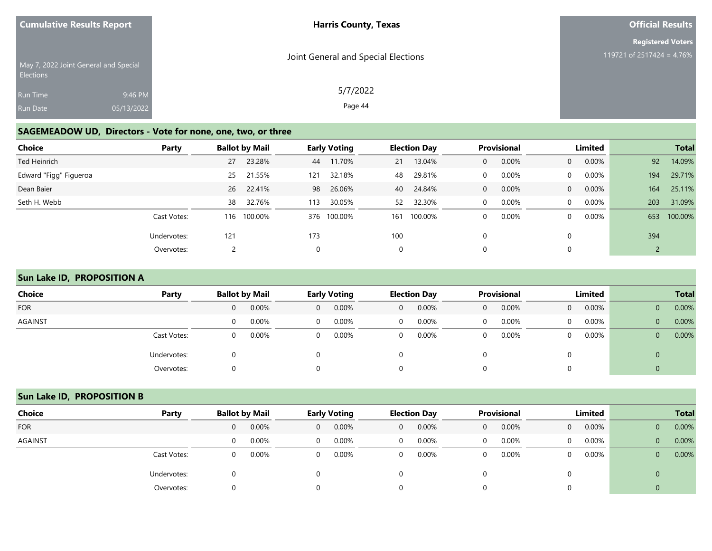| <b>Cumulative Results Report</b>                          | <b>Harris County, Texas</b>         | <b>Official Results</b>   |
|-----------------------------------------------------------|-------------------------------------|---------------------------|
|                                                           |                                     | <b>Registered Voters</b>  |
| May 7, 2022 Joint General and Special<br><b>Elections</b> | Joint General and Special Elections | 119721 of 2517424 = 4.76% |
| Run Time                                                  | 5/7/2022<br>9:46 PM                 |                           |
| 05/13/2022<br>Run Date                                    | Page 44                             |                           |

## **SAGEMEADOW UD, Directors - Vote for none, one, two, or three**

| Choice                 | Party       |     | <b>Ballot by Mail</b> |          | <b>Early Voting</b> |     | <b>Election Day</b> |              | Provisional |                | Limited  |     | <b>Total</b> |
|------------------------|-------------|-----|-----------------------|----------|---------------------|-----|---------------------|--------------|-------------|----------------|----------|-----|--------------|
| Ted Heinrich           |             | 27  | 23.28%                | 44       | 11.70%              | 21  | 13.04%              | $\mathbf{0}$ | 0.00%       | $\overline{0}$ | $0.00\%$ | 92  | 14.09%       |
| Edward "Figg" Figueroa |             | 25  | 21.55%                | 121      | 32.18%              | 48  | 29.81%              | $\Omega$     | 0.00%       | $\mathbf{0}$   | 0.00%    | 194 | 29.71%       |
| Dean Baier             |             |     | 26 22.41%             | 98       | 26.06%              | 40  | 24.84%              | $\mathbf{0}$ | 0.00%       | $\overline{0}$ | $0.00\%$ | 164 | 25.11%       |
| Seth H. Webb           |             | 38  | 32.76%                | 113      | 30.05%              | 52  | 32.30%              | $\Omega$     | 0.00%       | $\Omega$       | $0.00\%$ | 203 | 31.09%       |
|                        | Cast Votes: | 116 | 100.00%               |          | 376 100.00%         | 161 | 100.00%             | 0            | 0.00%       | $\mathbf{0}$   | $0.00\%$ | 653 | 100.00%      |
|                        | Undervotes: | 121 |                       | 173      |                     | 100 |                     | $\Omega$     |             | $\Omega$       |          | 394 |              |
|                        | Overvotes:  |     |                       | $\Omega$ |                     | 0   |                     | 0            |             | 0              |          |     |              |

## **Sun Lake ID, PROPOSITION A**

| <b>Choice</b>  | Party       | <b>Ballot by Mail</b> |       | <b>Early Voting</b> |       |                | <b>Election Day</b> | <b>Provisional</b> |       | Limited        |          |                | <b>Total</b> |
|----------------|-------------|-----------------------|-------|---------------------|-------|----------------|---------------------|--------------------|-------|----------------|----------|----------------|--------------|
| <b>FOR</b>     |             | $\overline{0}$        | 0.00% | $\mathbf{0}$        | 0.00% | $\mathbf{0}$   | 0.00%               | $\mathbf{0}$       | 0.00% | $\overline{0}$ | $0.00\%$ | $\overline{0}$ | 0.00%        |
| <b>AGAINST</b> |             | $\Omega$              | 0.00% | $\Omega$            | 0.00% | $\overline{0}$ | 0.00%               | $\Omega$           | 0.00% | $\overline{0}$ | $0.00\%$ | $\overline{0}$ | 0.00%        |
|                | Cast Votes: | $\Omega$              | 0.00% | $\Omega$            | 0.00% | $\overline{0}$ | 0.00%               | $\mathbf 0$        | 0.00% | 0              | 0.00%    | $\mathbf{0}$   | 0.00%        |
|                | Undervotes: | $\Omega$              |       |                     |       | 0              |                     |                    |       |                |          | 0              |              |
|                | Overvotes:  | $\Omega$              |       | 0                   |       | 0              |                     | 0                  |       |                |          |                |              |

## **Sun Lake ID, PROPOSITION B**

| Choice         | Party       | <b>Ballot by Mail</b> |       | <b>Early Voting</b> |          | <b>Election Day</b> |          | <b>Provisional</b> |       | Limited      |          |                | <b>Total</b> |
|----------------|-------------|-----------------------|-------|---------------------|----------|---------------------|----------|--------------------|-------|--------------|----------|----------------|--------------|
| <b>FOR</b>     |             |                       | 0.00% | 0                   | 0.00%    | 0                   | 0.00%    | 0                  | 0.00% | $\Omega$     | $0.00\%$ | 0              | 0.00%        |
| <b>AGAINST</b> |             |                       | 0.00% | $\Omega$            | $0.00\%$ | 0                   | $0.00\%$ |                    | 0.00% | $\mathbf{0}$ | $0.00\%$ | $\overline{0}$ | 0.00%        |
|                | Cast Votes: |                       | 0.00% | 0                   | 0.00%    | 0                   | 0.00%    |                    | 0.00% | $\Omega$     | $0.00\%$ | 0              | 0.00%        |
|                | Undervotes: |                       |       |                     |          |                     |          |                    |       |              |          | 0              |              |
|                | Overvotes:  |                       |       |                     |          |                     |          |                    |       |              |          |                |              |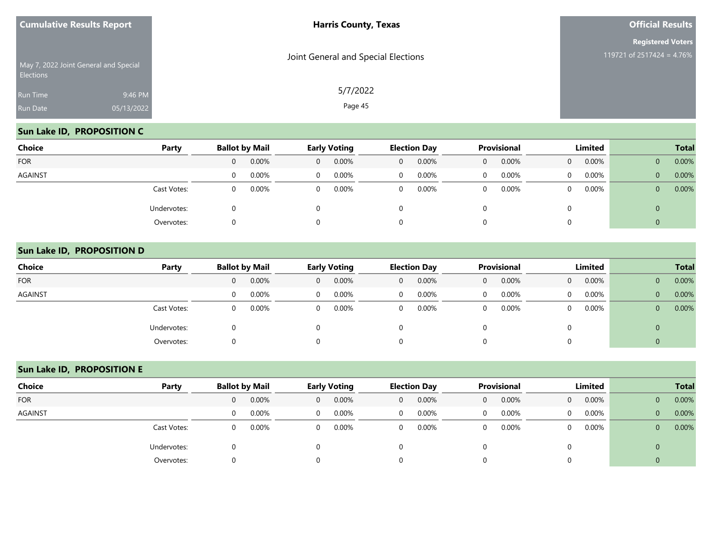| <b>Cumulative Results Report</b> |                                       | <b>Harris County, Texas</b>         | <b>Official Results</b>                               |  |  |
|----------------------------------|---------------------------------------|-------------------------------------|-------------------------------------------------------|--|--|
| <b>Elections</b>                 | May 7, 2022 Joint General and Special | Joint General and Special Elections | <b>Registered Voters</b><br>119721 of 2517424 = 4.76% |  |  |
| Run Time<br>Run Date             | 9:46 PM<br>05/13/2022                 | 5/7/2022<br>Page 45                 |                                                       |  |  |
|                                  |                                       |                                     |                                                       |  |  |

## **Sun Lake ID, PROPOSITION C**

| Choice     | Party       | <b>Ballot by Mail</b> |          | <b>Early Voting</b> |          |                | <b>Election Day</b> |   | Provisional |          | Limited  |              | <b>Total</b> |
|------------|-------------|-----------------------|----------|---------------------|----------|----------------|---------------------|---|-------------|----------|----------|--------------|--------------|
| <b>FOR</b> |             | 0                     | 0.00%    | $\mathbf{0}$        | 0.00%    | $\overline{0}$ | $0.00\%$            | 0 | 0.00%       | $\Omega$ | 0.00%    | $\mathbf 0$  | 0.00%        |
| AGAINST    |             | 0                     | $0.00\%$ | $\mathbf{0}$        | $0.00\%$ | $\overline{0}$ | 0.00%               | 0 | 0.00%       | $\Omega$ | $0.00\%$ | $\mathbf{0}$ | 0.00%        |
|            | Cast Votes: | 0                     | 0.00%    | $\mathbf{0}$        | $0.00\%$ | $\overline{0}$ | 0.00%               | 0 | 0.00%       | $\Omega$ | 0.00%    | $\mathbf{0}$ | 0.00%        |
|            | Undervotes: |                       |          | $\Omega$            |          | 0              |                     |   |             |          |          | 0            |              |
|            | Overvotes:  |                       |          | $\Omega$            |          | 0              |                     |   |             |          |          | 0            |              |

#### **Sun Lake ID, PROPOSITION D**

| <b>Choice</b>  | Party       | <b>Ballot by Mail</b> |       |              | <b>Early Voting</b> |                | <b>Election Day</b> |              | <b>Provisional</b> |                | <b>Limited</b> |              | <b>Total</b> |
|----------------|-------------|-----------------------|-------|--------------|---------------------|----------------|---------------------|--------------|--------------------|----------------|----------------|--------------|--------------|
| <b>FOR</b>     |             |                       | 0.00% | $\mathbf{0}$ | 0.00%               | $\mathbf 0$    | $0.00\%$            | $\mathbf{0}$ | 0.00%              | $\overline{0}$ | 0.00%          | 0            | 0.00%        |
| <b>AGAINST</b> |             | 0                     | 0.00% | $\Omega$     | $0.00\%$            | $\mathbf{0}$   | 0.00%               | $\Omega$     | 0.00%              | $\mathbf{0}$   | $0.00\%$       | $\mathbf{0}$ | 0.00%        |
|                | Cast Votes: | $\Omega$              | 0.00% | $\Omega$     | 0.00%               | $\overline{0}$ | 0.00%               | $\mathbf 0$  | 0.00%              | $\mathbf{0}$   | $0.00\%$       | $\mathbf{0}$ | 0.00%        |
|                | Undervotes: |                       |       |              |                     | Ü              |                     |              |                    | 0              |                | 0            |              |
|                | Overvotes:  |                       |       |              |                     | 0              |                     | U            |                    | $\Omega$       |                | U            |              |

## **Sun Lake ID, PROPOSITION E**

| Choice         | Party       | <b>Ballot by Mail</b> |       | <b>Early Voting</b> |       |   | <b>Election Day</b> |          | <b>Provisional</b> |                | Limited |                | <b>Total</b> |
|----------------|-------------|-----------------------|-------|---------------------|-------|---|---------------------|----------|--------------------|----------------|---------|----------------|--------------|
| <b>FOR</b>     |             | $\Omega$              | 0.00% | $\overline{0}$      | 0.00% | 0 | 0.00%               | $\Omega$ | 0.00%              | $\overline{0}$ | 0.00%   | $\overline{0}$ | 0.00%        |
| <b>AGAINST</b> |             | $\Omega$              | 0.00% | 0                   | 0.00% | 0 | $0.00\%$            |          | 0.00%              | 0              | 0.00%   | $\mathbf{0}$   | 0.00%        |
|                | Cast Votes: | $\Omega$              | 0.00% | 0                   | 0.00% | 0 | 0.00%               | $\Omega$ | 0.00%              | $\Omega$       | 0.00%   | $\overline{0}$ | 0.00%        |
|                | Undervotes: |                       |       |                     |       |   |                     |          |                    |                |         | $\mathbf 0$    |              |
|                | Overvotes:  | O                     |       |                     |       |   |                     |          |                    |                |         | 0              |              |